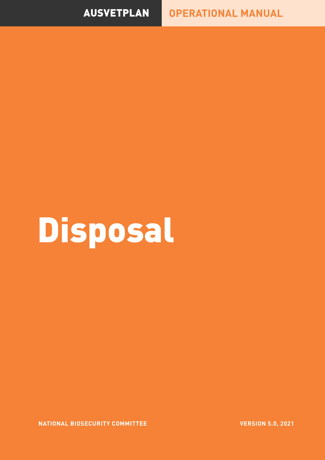## AUSVETPLAN **OPERATIONAL MANUAL**

## Disposal

**NATIONAL BIOSECURITY COMMITTEE**

**VERSION 5.0, 2021**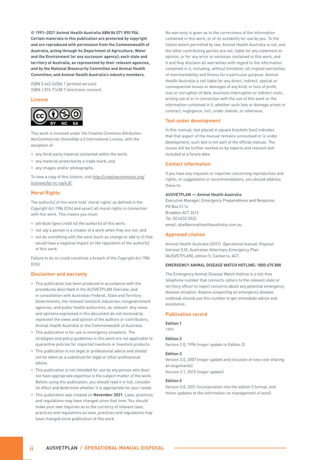**© 1991–2021 Animal Health Australia ABN 86 071 890 956. Certain materials in this publication are protected by copyright and are reproduced with permission from the Commonwealth of Australia, acting through its Department of Agriculture, Water and the Environment (or any successor agency); each state and territory of Australia, as represented by their relevant agencies, and by the National Biosecurity Committee and Animal Health Committee; and Animal Health Australia's industry members.**

ISBN 0 642 24506 1 (printed version) ISBN 1 876 71438 7 (electronic version)

#### **Licence**



This work is licensed under the *Creative Commons Attribution-NonCommercial-ShareAlike 4.0 International License*, with the exception of:

- any third-party material contained within the work;
- any material protected by a trade mark; and
- any images and/or photographs.

To view a copy of this licence, visit http://creativecommons.org/ licenses/by-nc-sa/4.0/.

#### **Moral Rights**

The author(s) of this work hold 'moral rights' as defined in the *Copyright Act 1986* (Cth) and assert all moral rights in connection with this work. This means you must:

- attribute (give credit to) the author(s) of this work;
- not say a person is a creator of a work when they are not; and
- not do something with the work (such as change or add to it) that would have a negative impact on the reputation of the author(s) of this work.

Failure to do so could constitute a breach of the *Copyright Act 1986*  $(C<sub>th</sub>)$ .

#### **Disclaimer and warranty**

- This publication has been produced in accordance with the procedures described in the AUSVETPLAN *Overview*, and in consultation with Australian Federal, State and Territory Governments; the relevant livestock industries; nongovernment agencies; and public health authorities, as relevant. Any views and opinions expressed in this document do not necessarily represent the views and opinion of the authors or contributors, Animal Health Australia or the Commonwealth of Australia.
- This publication is for use in emergency situations. The strategies and policy guidelines in this work are not applicable to quarantine policies for imported livestock or livestock products.
- This publication is not legal or professional advice and should not be taken as a substitute for legal or other professional advice.
- This publication is not intended for use by any person who does not have appropriate expertise in the subject matter of the work. Before using this publication, you should read it in full, consider its effect and determine whether it is appropriate for your needs.
- This publication was created on **November 2021**. Laws, practices and regulations may have changed since that time. You should make your own inquiries as to the currency of relevant laws, practices and regulations as laws, practices and regulations may have changed since publication of this work.

No warranty is given as to the correctness of the information contained in this work, or of its suitability for use by you. To the fullest extent permitted by law, Animal Health Australia is not, and the other contributing parties are not, liable for any statement or opinion, or for any error or omission contained in this work, and it and they disclaim all warranties with regard to the information contained in it, including, without limitation, all implied warranties of merchantability and fitness for a particular purpose. Animal Health Australia is not liable for any direct, indirect, special or consequential losses or damages of any kind, or loss of profit, loss or corruption of data, business interruption or indirect costs, arising out of or in connection with the use of this work or the information contained in it, whether such loss or damage arises in contract, negligence, tort, under statute, or otherwise.

#### **Text under development**

In this manual, text placed in square brackets [xxx] indicates that that aspect of the manual remains unresolved or is under development; such text is not part of the official manual. The issues will be further worked on by experts and relevant text included at a future date.

#### **Contact information**

If you have any requests or inquiries concerning reproduction and rights, or suggestions or recommendations, you should address these to:

#### **AUSVETPLAN — Animal Health Australia**

Executive Manager, Emergency Preparedness and Response PO Box 5116 Braddon ACT 2612 Tel: 02 6232 5522 email: aha@animalhealthaustralia.com.au

#### **Approved citation**

Animal Health Australia (2021). *Operational manual: Disposal* (version 5.0). Australian Veterinary Emergency Plan (AUSVETPLAN), edition 5, Canberra, ACT.

#### **EMERGENCY ANIMAL DISEASE WATCH HOTLINE: 1800 675 888**

The Emergency Animal Disease Watch Hotline is a toll-free telephone number that connects callers to the relevant state or territory officer to report concerns about any potential emergency disease situation. Anyone suspecting an emergency disease outbreak should use this number to get immediate advice and assistance.

#### **Publication record**

**Edition 1** 1991

#### **Edition 2**

Version 2.0, 1996 (major update to Edition 2)

#### **Edition 3**

Version 3.0, 2007 (major update and inclusion of new cost-sharing arrangements)

Version 3.1, 2015 (major update)

#### **Edition 5**

Version 5.0, 2021 (incorporation into the edition 5 format, and minor updates to the information on management of wool).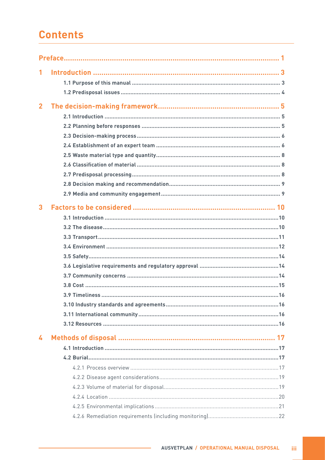## **Contents**

| 1              |  |
|----------------|--|
|                |  |
|                |  |
| $\overline{2}$ |  |
|                |  |
|                |  |
|                |  |
|                |  |
|                |  |
|                |  |
|                |  |
|                |  |
|                |  |
| 3              |  |
|                |  |
|                |  |
|                |  |
|                |  |
|                |  |
|                |  |
|                |  |
|                |  |
|                |  |
|                |  |
|                |  |
|                |  |
| 4              |  |
|                |  |
|                |  |
|                |  |
|                |  |
|                |  |
|                |  |
|                |  |
|                |  |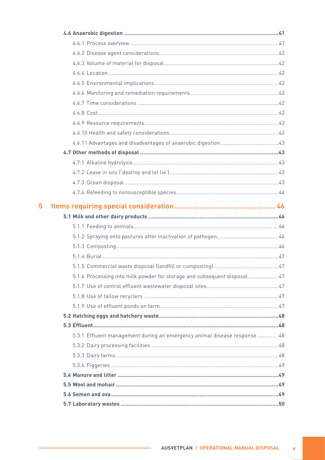| 5 |                                                                          |  |
|---|--------------------------------------------------------------------------|--|
|   |                                                                          |  |
|   |                                                                          |  |
|   |                                                                          |  |
|   |                                                                          |  |
|   |                                                                          |  |
|   |                                                                          |  |
|   |                                                                          |  |
|   | 5.1.6 Processing into milk powder for storage and subsequent disposal47  |  |
|   |                                                                          |  |
|   |                                                                          |  |
|   |                                                                          |  |
|   |                                                                          |  |
|   |                                                                          |  |
|   | 5.3.1 Effluent management during an emergency animal disease response 48 |  |
|   |                                                                          |  |
|   |                                                                          |  |
|   |                                                                          |  |
|   |                                                                          |  |
|   |                                                                          |  |
|   |                                                                          |  |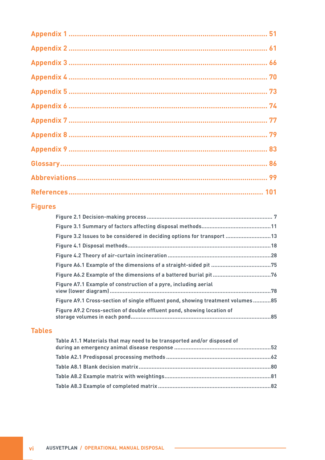### **Figures**

| Figure 3.2 Issues to be considered in deciding options for transport 13        |  |
|--------------------------------------------------------------------------------|--|
|                                                                                |  |
|                                                                                |  |
|                                                                                |  |
|                                                                                |  |
| Figure A7.1 Example of construction of a pyre, including aerial                |  |
| Figure A9.1 Cross-section of single effluent pond, showing treatment volumes85 |  |
| Figure A9.2 Cross-section of double effluent pond, showing location of         |  |

#### **Tables**

| Table A1.1 Materials that may need to be transported and/or disposed of |  |
|-------------------------------------------------------------------------|--|
|                                                                         |  |
|                                                                         |  |
|                                                                         |  |
|                                                                         |  |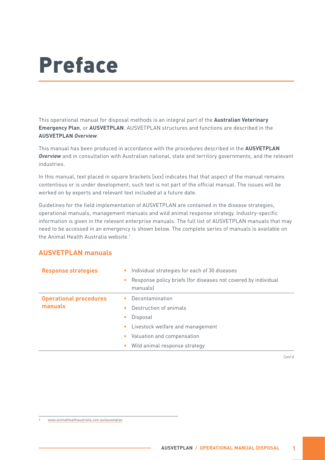## <span id="page-6-0"></span>Preface

This operational manual for disposal methods is an integral part of the **Australian Veterinary Emergency Plan**, or **AUSVETPLAN**. AUSVETPLAN structures and functions are described in the **AUSVETPLAN** *Overview*.

This manual has been produced in accordance with the procedures described in the **AUSVETPLAN** *Overview* and in consultation with Australian national, state and territory governments, and the relevant industries.

In this manual, text placed in square brackets [xxx] indicates that that aspect of the manual remains contentious or is under development; such text is not part of the official manual. The issues will be worked on by experts and relevant text included at a future date.

Guidelines for the field implementation of AUSVETPLAN are contained in the disease strategies, operational manuals, management manuals and wild animal response strategy. Industry-specific information is given in the relevant enterprise manuals. The full list of AUSVETPLAN manuals that may need to be accessed in an emergency is shown below. The complete series of manuals is available on the Animal Health Australia website.<sup>1</sup>

| <b>Response strategies</b>               | Individual strategies for each of 30 diseases<br>۰<br>Response policy briefs (for diseases not covered by individual<br>۰<br>manuals |
|------------------------------------------|--------------------------------------------------------------------------------------------------------------------------------------|
| <b>Operational procedures</b><br>manuals | Decontamination<br>Destruction of animals<br>$\bullet$<br>Disposal<br>$\bullet$                                                      |
|                                          | Livestock welfare and management<br>۰<br>Valuation and compensation<br>۰<br>Wild animal response strategy<br>۰                       |

#### **AUSVETPLAN manuals**

*Cont'd*

<sup>1</sup> [www.animalhealthaustralia.com.au/ausvetplan](https://animalhealthaustralia.com.au/ausvetplan/)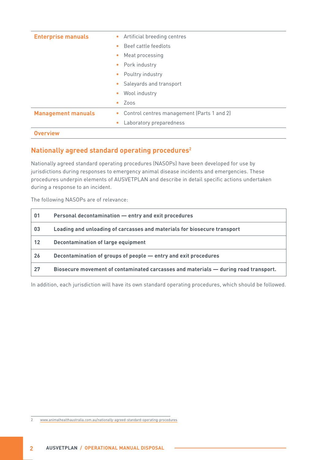| <b>Enterprise manuals</b> | Artificial breeding centres<br>$\bullet$                |  |  |
|---------------------------|---------------------------------------------------------|--|--|
|                           | Beef cattle feedlots<br>$\bullet$                       |  |  |
|                           | Meat processing<br>$\bullet$                            |  |  |
|                           | Pork industry<br>$\bullet$                              |  |  |
|                           | Poultry industry<br>$\bullet$                           |  |  |
|                           | Saleyards and transport<br>$\bullet$                    |  |  |
|                           | Wool industry<br>$\bullet$                              |  |  |
|                           | Zoos<br>۰                                               |  |  |
| <b>Management manuals</b> | Control centres management (Parts 1 and 2)<br>$\bullet$ |  |  |
|                           | Laboratory preparedness<br>۰                            |  |  |
| <b>Overview</b>           |                                                         |  |  |

#### **Nationally agreed standard operating procedures2**

Nationally agreed standard operating procedures (NASOPs) have been developed for use by jurisdictions during responses to emergency animal disease incidents and emergencies. These procedures underpin elements of AUSVETPLAN and describe in detail specific actions undertaken during a response to an incident.

The following NASOPs are of relevance:

| 01 | Personal decontamination - entry and exit procedures                                |
|----|-------------------------------------------------------------------------------------|
| 03 | Loading and unloading of carcasses and materials for biosecure transport            |
| 12 | Decontamination of large equipment                                                  |
| 26 | Decontamination of groups of people - entry and exit procedures                     |
| 27 | Biosecure movement of contaminated carcasses and materials - during road transport. |

In addition, each jurisdiction will have its own standard operating procedures, which should be followed.

2 [www.animalhealthaustralia.com.au/nationally-agreed-standard-operating-procedures](https://animalhealthaustralia.com.au/nationally-agreed-standard-operating-procedures/)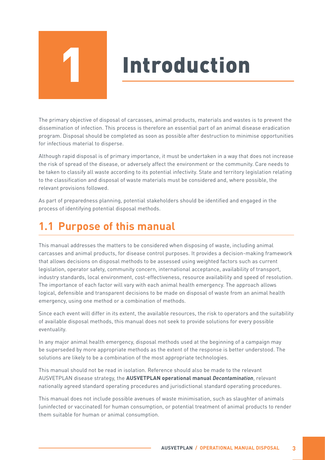## **Introduction**

<span id="page-8-0"></span>The primary objective of disposal of carcasses, animal products, materials and wastes is to prevent the dissemination of infection. This process is therefore an essential part of an animal disease eradication program. Disposal should be completed as soon as possible after destruction to minimise opportunities for infectious material to disperse.

Although rapid disposal is of primary importance, it must be undertaken in a way that does not increase the risk of spread of the disease, or adversely affect the environment or the community. Care needs to be taken to classify all waste according to its potential infectivity. State and territory legislation relating to the classification and disposal of waste materials must be considered and, where possible, the relevant provisions followed.

As part of preparedness planning, potential stakeholders should be identified and engaged in the process of identifying potential disposal methods.

## **1.1 Purpose of this manual**

This manual addresses the matters to be considered when disposing of waste, including animal carcasses and animal products, for disease control purposes. It provides a decision-making framework that allows decisions on disposal methods to be assessed using weighted factors such as current legislation, operator safety, community concern, international acceptance, availability of transport, industry standards, local environment, cost-effectiveness, resource availability and speed of resolution. The importance of each factor will vary with each animal health emergency. The approach allows logical, defensible and transparent decisions to be made on disposal of waste from an animal health emergency, using one method or a combination of methods.

Since each event will differ in its extent, the available resources, the risk to operators and the suitability of available disposal methods, this manual does not seek to provide solutions for every possible eventuality.

In any major animal health emergency, disposal methods used at the beginning of a campaign may be superseded by more appropriate methods as the extent of the response is better understood. The solutions are likely to be a combination of the most appropriate technologies.

This manual should not be read in isolation. Reference should also be made to the relevant AUSVETPLAN disease strategy, the **AUSVETPLAN operational manual** *Decontamination*, relevant nationally agreed standard operating procedures and jurisdictional standard operating procedures.

This manual does not include possible avenues of waste minimisation, such as slaughter of animals (uninfected or vaccinated) for human consumption, or potential treatment of animal products to render them suitable for human or animal consumption.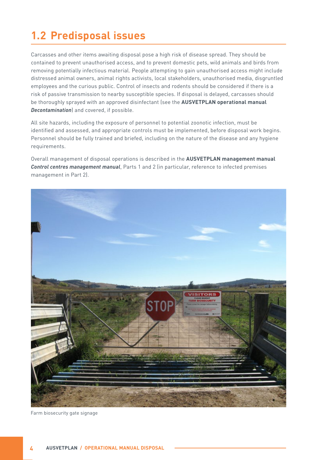## <span id="page-9-0"></span>**1.2 Predisposal issues**

Carcasses and other items awaiting disposal pose a high risk of disease spread. They should be contained to prevent unauthorised access, and to prevent domestic pets, wild animals and birds from removing potentially infectious material. People attempting to gain unauthorised access might include distressed animal owners, animal rights activists, local stakeholders, unauthorised media, disgruntled employees and the curious public. Control of insects and rodents should be considered if there is a risk of passive transmission to nearby susceptible species. If disposal is delayed, carcasses should be thoroughly sprayed with an approved disinfectant (see the **AUSVETPLAN operational manual**  *Decontamination*) and covered, if possible.

All site hazards, including the exposure of personnel to potential zoonotic infection, must be identified and assessed, and appropriate controls must be implemented, before disposal work begins. Personnel should be fully trained and briefed, including on the nature of the disease and any hygiene requirements.

Overall management of disposal operations is described in the **AUSVETPLAN management manual**  *Control centres management manual*, Parts 1 and 2 (in particular, reference to infected premises management in Part 2).



Farm biosecurity gate signage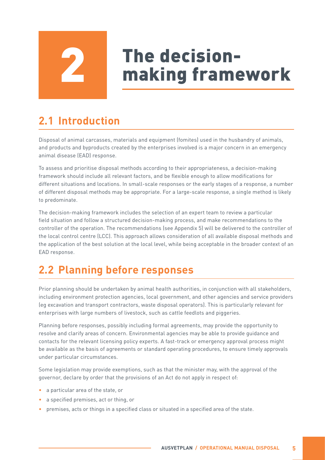## The decision-<br>making framework

## <span id="page-10-0"></span>**2.1 Introduction**

Disposal of animal carcasses, materials and equipment (fomites) used in the husbandry of animals, and products and byproducts created by the enterprises involved is a major concern in an emergency animal disease (EAD) response.

To assess and prioritise disposal methods according to their appropriateness, a decision-making framework should include all relevant factors, and be flexible enough to allow modifications for different situations and locations. In small-scale responses or the early stages of a response, a number of different disposal methods may be appropriate. For a large-scale response, a single method is likely to predominate.

The decision-making framework includes the selection of an expert team to review a particular field situation and follow a structured decision-making process, and make recommendations to the controller of the operation. The recommendations (see Appendix 5) will be delivered to the controller of the local control centre (LCC). This approach allows consideration of all available disposal methods and the application of the best solution at the local level, while being acceptable in the broader context of an EAD response.

## **2.2 Planning before responses**

Prior planning should be undertaken by animal health authorities, in conjunction with all stakeholders, including environment protection agencies, local government, and other agencies and service providers (eg excavation and transport contractors, waste disposal operators). This is particularly relevant for enterprises with large numbers of livestock, such as cattle feedlots and piggeries.

Planning before responses, possibly including formal agreements, may provide the opportunity to resolve and clarify areas of concern. Environmental agencies may be able to provide guidance and contacts for the relevant licensing policy experts. A fast-track or emergency approval process might be available as the basis of agreements or standard operating procedures, to ensure timely approvals under particular circumstances.

Some legislation may provide exemptions, such as that the minister may, with the approval of the governor, declare by order that the provisions of an Act do not apply in respect of:

- a particular area of the state, or
- a specified premises, act or thing, or
- premises, acts or things in a specified class or situated in a specified area of the state.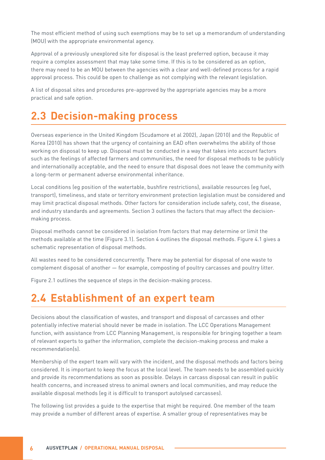<span id="page-11-0"></span>The most efficient method of using such exemptions may be to set up a memorandum of understanding (MOU) with the appropriate environmental agency.

Approval of a previously unexplored site for disposal is the least preferred option, because it may require a complex assessment that may take some time. If this is to be considered as an option, there may need to be an MOU between the agencies with a clear and well-defined process for a rapid approval process. This could be open to challenge as not complying with the relevant legislation.

A list of disposal sites and procedures pre-approved by the appropriate agencies may be a more practical and safe option.

## **2.3 Decision-making process**

Overseas experience in the United Kingdom (Scudamore et al 2002), Japan (2010) and the Republic of Korea (2010) has shown that the urgency of containing an EAD often overwhelms the ability of those working on disposal to keep up. Disposal must be conducted in a way that takes into account factors such as the feelings of affected farmers and communities, the need for disposal methods to be publicly and internationally acceptable, and the need to ensure that disposal does not leave the community with a long-term or permanent adverse environmental inheritance.

Local conditions (eg position of the watertable, bushfire restrictions), available resources (eg fuel, transport), timeliness, and state or territory environment protection legislation must be considered and may limit practical disposal methods. Other factors for consideration include safety, cost, the disease, and industry standards and agreements. Section 3 outlines the factors that may affect the decisionmaking process.

Disposal methods cannot be considered in isolation from factors that may determine or limit the methods available at the time (Figure 3.1). Section 4 outlines the disposal methods. Figure 4.1 gives a schematic representation of disposal methods.

All wastes need to be considered concurrently. There may be potential for disposal of one waste to complement disposal of another — for example, composting of poultry carcasses and poultry litter.

Figure 2.1 outlines the sequence of steps in the decision-making process.

### **2.4 Establishment of an expert team**

Decisions about the classification of wastes, and transport and disposal of carcasses and other potentially infective material should never be made in isolation. The LCC Operations Management function, with assistance from LCC Planning Management, is responsible for bringing together a team of relevant experts to gather the information, complete the decision-making process and make a recommendation(s).

Membership of the expert team will vary with the incident, and the disposal methods and factors being considered. It is important to keep the focus at the local level. The team needs to be assembled quickly and provide its recommendations as soon as possible. Delays in carcass disposal can result in public health concerns, and increased stress to animal owners and local communities, and may reduce the available disposal methods (eg it is difficult to transport autolysed carcasses).

The following list provides a guide to the expertise that might be required. One member of the team may provide a number of different areas of expertise. A smaller group of representatives may be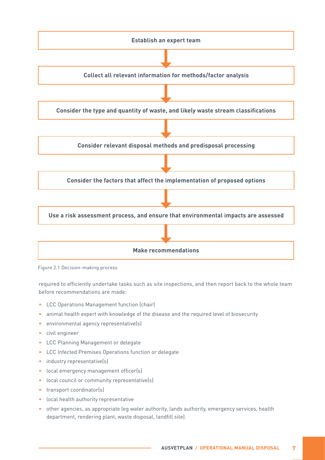<span id="page-12-0"></span>

Figure 2.1 Decision-making process

required to efficiently undertake tasks such as site inspections, and then report back to the whole team before recommendations are made:

- LCC Operations Management function (chair)
- animal health expert with knowledge of the disease and the required level of biosecurity
- environmental agency representative(s)
- civil engineer
- LCC Planning Management or delegate
- LCC Infected Premises Operations function or delegate
- industry representative(s)
- local emergency management officer(s)
- local council or community representative(s)
- transport coordinator(s)
- local health authority representative
- other agencies, as appropriate (eg water authority, lands authority, emergency services, health department, rendering plant, waste disposal, landfill site).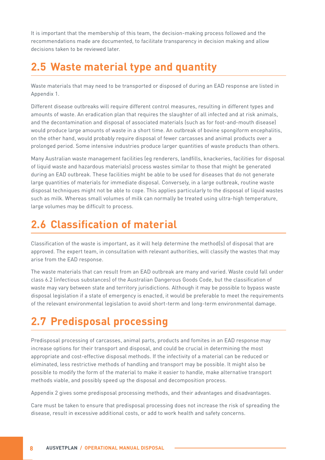<span id="page-13-0"></span>It is important that the membership of this team, the decision-making process followed and the recommendations made are documented, to facilitate transparency in decision making and allow decisions taken to be reviewed later.

## **2.5 Waste material type and quantity**

Waste materials that may need to be transported or disposed of during an EAD response are listed in Appendix 1.

Different disease outbreaks will require different control measures, resulting in different types and amounts of waste. An eradication plan that requires the slaughter of all infected and at risk animals, and the decontamination and disposal of associated materials (such as for foot-and-mouth disease) would produce large amounts of waste in a short time. An outbreak of bovine spongiform encephalitis, on the other hand, would probably require disposal of fewer carcasses and animal products over a prolonged period. Some intensive industries produce larger quantities of waste products than others.

Many Australian waste management facilities (eg renderers, landfills, knackeries, facilities for disposal of liquid waste and hazardous materials) process wastes similar to those that might be generated during an EAD outbreak. These facilities might be able to be used for diseases that do not generate large quantities of materials for immediate disposal. Conversely, in a large outbreak, routine waste disposal techniques might not be able to cope. This applies particularly to the disposal of liquid wastes such as milk. Whereas small volumes of milk can normally be treated using ultra-high temperature, large volumes may be difficult to process.

## **2.6 Classification of material**

Classification of the waste is important, as it will help determine the method(s) of disposal that are approved. The expert team, in consultation with relevant authorities, will classify the wastes that may arise from the EAD response.

The waste materials that can result from an EAD outbreak are many and varied. Waste could fall under class 6.2 (infectious substances) of the Australian Dangerous Goods Code, but the classification of waste may vary between state and territory jurisdictions. Although it may be possible to bypass waste disposal legislation if a state of emergency is enacted, it would be preferable to meet the requirements of the relevant environmental legislation to avoid short-term and long-term environmental damage.

## **2.7 Predisposal processing**

Predisposal processing of carcasses, animal parts, products and fomites in an EAD response may increase options for their transport and disposal, and could be crucial in determining the most appropriate and cost-effective disposal methods. If the infectivity of a material can be reduced or eliminated, less restrictive methods of handling and transport may be possible. It might also be possible to modify the form of the material to make it easier to handle, make alternative transport methods viable, and possibly speed up the disposal and decomposition process.

Appendix 2 gives some predisposal processing methods, and their advantages and disadvantages.

Care must be taken to ensure that predisposal processing does not increase the risk of spreading the disease, result in excessive additional costs, or add to work health and safety concerns.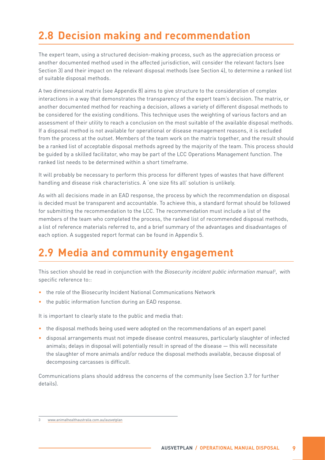## <span id="page-14-0"></span>**2.8 Decision making and recommendation**

The expert team, using a structured decision-making process, such as the appreciation process or another documented method used in the affected jurisdiction, will consider the relevant factors (see Section 3) and their impact on the relevant disposal methods (see Section 4), to determine a ranked list of suitable disposal methods.

A two dimensional matrix (see Appendix 8) aims to give structure to the consideration of complex interactions in a way that demonstrates the transparency of the expert team's decision. The matrix, or another documented method for reaching a decision, allows a variety of different disposal methods to be considered for the existing conditions. This technique uses the weighting of various factors and an assessment of their utility to reach a conclusion on the most suitable of the available disposal methods. If a disposal method is not available for operational or disease management reasons, it is excluded from the process at the outset. Members of the team work on the matrix together, and the result should be a ranked list of acceptable disposal methods agreed by the majority of the team. This process should be guided by a skilled facilitator, who may be part of the LCC Operations Management function. The ranked list needs to be determined within a short timeframe.

It will probably be necessary to perform this process for different types of wastes that have different handling and disease risk characteristics. A 'one size fits all' solution is unlikely.

As with all decisions made in an EAD response, the process by which the recommendation on disposal is decided must be transparent and accountable. To achieve this, a standard format should be followed for submitting the recommendation to the LCC. The recommendation must include a list of the members of the team who completed the process, the ranked list of recommended disposal methods, a list of reference materials referred to, and a brief summary of the advantages and disadvantages of each option. A suggested report format can be found in Appendix 5.

## **2.9 Media and community engagement**

This section should be read in conjunction with the *Biosecurity incident public information manual3* , with specific reference to::

- the role of the Biosecurity Incident National Communications Network
- the public information function during an EAD response.

It is important to clearly state to the public and media that:

- the disposal methods being used were adopted on the recommendations of an expert panel
- disposal arrangements must not impede disease control measures, particularly slaughter of infected animals; delays in disposal will potentially result in spread of the disease — this will necessitate the slaughter of more animals and/or reduce the disposal methods available, because disposal of decomposing carcasses is difficult.

Communications plans should address the concerns of the community (see Section 3.7 for further details).

<sup>3</sup> [www.animalhealthaustralia.com.au/ausvetplan](https://animalhealthaustralia.com.au/ausvetplan/)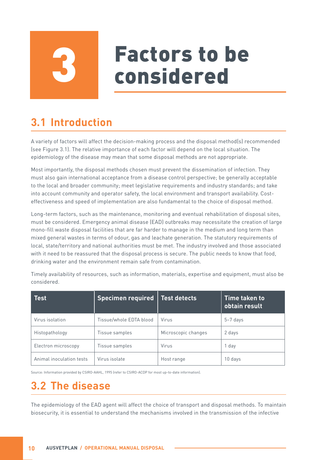# **Factors to be<br>considered**

## <span id="page-15-0"></span>**3.1 Introduction**

A variety of factors will affect the decision-making process and the disposal method(s) recommended (see Figure 3.1). The relative importance of each factor will depend on the local situation. The epidemiology of the disease may mean that some disposal methods are not appropriate.

Most importantly, the disposal methods chosen must prevent the dissemination of infection. They must also gain international acceptance from a disease control perspective; be generally acceptable to the local and broader community; meet legislative requirements and industry standards; and take into account community and operator safety, the local environment and transport availability. Costeffectiveness and speed of implementation are also fundamental to the choice of disposal method.

Long-term factors, such as the maintenance, monitoring and eventual rehabilitation of disposal sites, must be considered. Emergency animal disease (EAD) outbreaks may necessitate the creation of large mono-fill waste disposal facilities that are far harder to manage in the medium and long term than mixed general wastes in terms of odour, gas and leachate generation. The statutory requirements of local, state/territory and national authorities must be met. The industry involved and those associated with it need to be reassured that the disposal process is secure. The public needs to know that food, drinking water and the environment remain safe from contamination.

| <b>Test</b>              | Specimen required   Test detects |                     | Time taken to<br>obtain result |
|--------------------------|----------------------------------|---------------------|--------------------------------|
| Virus isolation          | Tissue/whole EDTA blood          | Virus               | $5-7$ days                     |
| Histopathology           | Tissue samples                   | Microscopic changes | 2 days                         |
| Electron microscopy      | Tissue samples                   | Virus               | 1 day                          |
| Animal inoculation tests | Virus isolate                    | Host range          | 10 days                        |

Timely availability of resources, such as information, materials, expertise and equipment, must also be considered.

Source: Information provided by CSIRO-AAHL, 1995 (refer to CSIRO-ACDP for most up-to-date information).

## **3.2 The disease**

The epidemiology of the EAD agent will affect the choice of transport and disposal methods. To maintain biosecurity, it is essential to understand the mechanisms involved in the transmission of the infective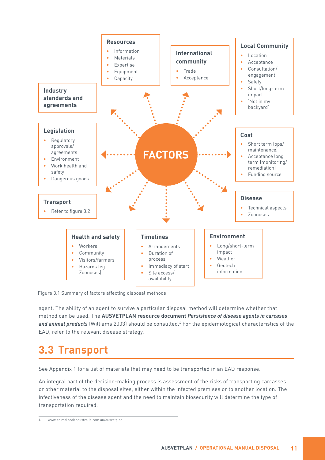<span id="page-16-0"></span>

Figure 3.1 Summary of factors affecting disposal methods

agent. The ability of an agent to survive a particular disposal method will determine whether that method can be used. The **AUSVETPLAN resource document** *Persistence of disease agents in carcases*  and animal products (Williams 2003) should be consulted.<sup>4</sup> For the epidemiological characteristics of the EAD, refer to the relevant disease strategy.

## **3.3 Transport**

See Appendix 1 for a list of materials that may need to be transported in an EAD response.

An integral part of the decision-making process is assessment of the risks of transporting carcasses or other material to the disposal sites, either within the infected premises or to another location. The infectiveness of the disease agent and the need to maintain biosecurity will determine the type of transportation required.

<sup>4</sup> [www.animalhealthaustralia.com.au/ausvetplan](https://animalhealthaustralia.com.au/ausvetplan/)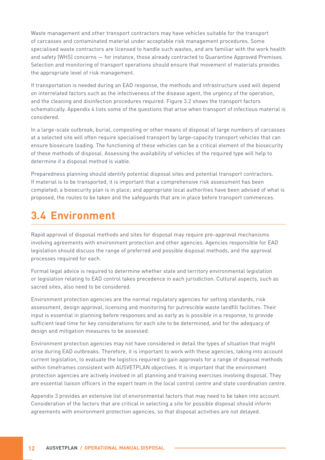<span id="page-17-0"></span>Waste management and other transport contractors may have vehicles suitable for the transport of carcasses and contaminated material under acceptable risk management procedures. Some specialised waste contractors are licensed to handle such wastes, and are familiar with the work health and safety (WHS) concerns — for instance, those already contracted to Quarantine Approved Premises. Selection and monitoring of transport operations should ensure that movement of materials provides the appropriate level of risk management.

If transportation is needed during an EAD response, the methods and infrastructure used will depend on interrelated factors such as the infectiveness of the disease agent, the urgency of the operation, and the cleaning and disinfection procedures required. Figure 3.2 shows the transport factors schematically. Appendix 4 lists some of the questions that arise when transport of infectious material is considered.

In a large-scale outbreak, burial, composting or other means of disposal of large numbers of carcasses at a selected site will often require specialised transport by large-capacity transport vehicles that can ensure biosecure loading. The functioning of these vehicles can be a critical element of the biosecurity of these methods of disposal. Assessing the availability of vehicles of the required type will help to determine if a disposal method is viable.

Preparedness planning should identify potential disposal sites and potential transport contractors. If material is to be transported, it is important that a comprehensive risk assessment has been completed; a biosecurity plan is in place; and appropriate local authorities have been advised of what is proposed, the routes to be taken and the safeguards that are in place before transport commences.

## **3.4 Environment**

Rapid approval of disposal methods and sites for disposal may require pre-approval mechanisms involving agreements with environment protection and other agencies. Agencies responsible for EAD legislation should discuss the range of preferred and possible disposal methods, and the approval processes required for each.

Formal legal advice is required to determine whether state and territory environmental legislation or legislation relating to EAD control takes precedence in each jurisdiction. Cultural aspects, such as sacred sites, also need to be considered.

Environment protection agencies are the normal regulatory agencies for setting standards, risk assessment, design approval, licensing and monitoring for putrescible waste landfill facilities. Their input is essential in planning before responses and as early as is possible in a response, to provide sufficient lead time for key considerations for each site to be determined, and for the adequacy of design and mitigation measures to be assessed.

Environment protection agencies may not have considered in detail the types of situation that might arise during EAD outbreaks. Therefore, it is important to work with these agencies, taking into account current legislation, to evaluate the logistics required to gain approvals for a range of disposal methods within timeframes consistent with AUSVETPLAN objectives. It is important that the environment protection agencies are actively involved in all planning and training exercises involving disposal. They are essential liaison officers in the expert team in the local control centre and state coordination centre.

Appendix 3 provides an extensive list of environmental factors that may need to be taken into account. Consideration of the factors that are critical in selecting a site for possible disposal should inform agreements with environment protection agencies, so that disposal activities are not delayed.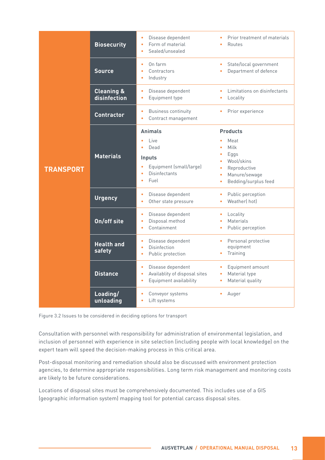<span id="page-18-0"></span>

|                  | <b>Biosecurity</b>                    | Disease dependent<br>Form of material<br>$\bullet$<br>Sealed/unsealed<br>$\bullet$                                            | Prior treatment of materials<br>Routes                                                                                                                                                       |
|------------------|---------------------------------------|-------------------------------------------------------------------------------------------------------------------------------|----------------------------------------------------------------------------------------------------------------------------------------------------------------------------------------------|
|                  | <b>Source</b>                         | On farm<br>٠<br>Contractors<br>Industry<br>$\bullet$                                                                          | State/local government<br>۰<br>Department of defence<br>۰                                                                                                                                    |
|                  | <b>Cleaning &amp;</b><br>disinfection | Disease dependent<br>$\bullet$<br>Equipment type<br>$\bullet$                                                                 | Limitations on disinfectants<br>٠<br>Locality<br>$\bullet$                                                                                                                                   |
|                  | <b>Contractor</b>                     | <b>Business continuity</b><br>$\bullet$<br>Contract management<br>$\bullet$                                                   | Prior experience<br>$\bullet$                                                                                                                                                                |
| <b>TRANSPORT</b> | <b>Materials</b>                      | <b>Animals</b><br>Live<br>Dead<br>$\bullet$<br>Inputs<br>Equipment (small/large)<br><b>Disinfectants</b><br>Fuel<br>$\bullet$ | <b>Products</b><br>Meat<br>$\bullet$<br>Milk<br>$\bullet$<br>Eggs<br>$\bullet$<br>Wool/skins<br>$\bullet$<br>Reproductive<br>$\bullet$<br>Manure/sewage<br>Bedding/surplus feed<br>$\bullet$ |
|                  | <b>Urgency</b>                        | Disease dependent<br>$\bullet$<br>Other state pressure<br>$\bullet$                                                           | Public perception<br>$\bullet$<br>Weatherl hotl<br>$\bullet$                                                                                                                                 |
|                  | On/off site                           | Disease dependent<br>$\bullet$<br>Disposal method<br>$\bullet$<br>Containment<br>$\bullet$                                    | Locality<br>$\bullet$<br><b>Materials</b><br>$\bullet$<br>Public perception<br>$\bullet$                                                                                                     |
|                  | <b>Health and</b><br>safety           | Disease dependent<br>۰<br><b>Disinfection</b><br>$\bullet$<br>Public protection<br>$\bullet$                                  | Personal protective<br>$\bullet$<br>equipment<br>Training<br>$\bullet$                                                                                                                       |
|                  | <b>Distance</b>                       | Disease dependent<br>$\bullet$<br>Availablity of disposal sites<br>$\bullet$<br>Equipment availability<br>$\bullet$           | Equipment amount<br>Material type<br>$\bullet$<br>Material quality<br>$\bullet$                                                                                                              |
|                  | Loading/<br>unloading                 | Conveyor systems<br>$\bullet$<br>Lift systems                                                                                 | Auger                                                                                                                                                                                        |

Figure 3.2 Issues to be considered in deciding options for transport

Consultation with personnel with responsibility for administration of environmental legislation, and inclusion of personnel with experience in site selection (including people with local knowledge) on the expert team will speed the decision-making process in this critical area.

Post-disposal monitoring and remediation should also be discussed with environment protection agencies, to determine appropriate responsibilities. Long term risk management and monitoring costs are likely to be future considerations.

Locations of disposal sites must be comprehensively documented. This includes use of a GIS (geographic information system) mapping tool for potential carcass disposal sites.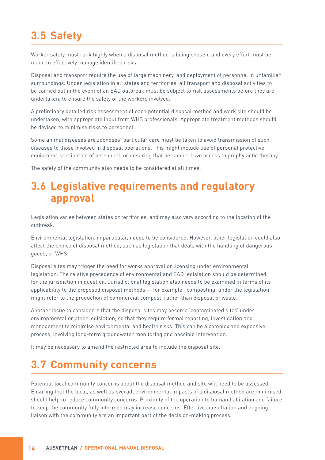## <span id="page-19-0"></span>**3.5 Safety**

Worker safety must rank highly when a disposal method is being chosen, and every effort must be made to effectively manage identified risks.

Disposal and transport require the use of large machinery, and deployment of personnel in unfamiliar surroundings. Under legislation in all states and territories, all transport and disposal activities to be carried out in the event of an EAD outbreak must be subject to risk assessments before they are undertaken, to ensure the safety of the workers involved.

A preliminary detailed risk assessment of each potential disposal method and work site should be undertaken, with appropriate input from WHS professionals. Appropriate treatment methods should be devised to minimise risks to personnel.

Some animal diseases are zoonoses; particular care must be taken to avoid transmission of such diseases to those involved in disposal operations. This might include use of personal protective equipment, vaccination of personnel, or ensuring that personnel have access to prophylactic therapy.

The safety of the community also needs to be considered at all times.

### **3.6 Legislative requirements and regulatory approval**

Legislation varies between states or territories, and may also vary according to the location of the outbreak.

Environmental legislation, in particular, needs to be considered. However, other legislation could also affect the choice of disposal method, such as legislation that deals with the handling of dangerous goods, or WHS.

Disposal sites may trigger the need for works approval or licensing under environmental legislation. The relative precedence of environmental and EAD legislation should be determined for the jurisdiction in question. Jurisdictional legislation also needs to be examined in terms of its applicability to the proposed disposal methods — for example, 'composting' under the legislation might refer to the production of commercial compost, rather than disposal of waste.

Another issue to consider is that the disposal sites may become 'contaminated sites' under environmental or other legislation, so that they require formal reporting, investigation and management to minimise environmental and health risks. This can be a complex and expensive process, involving long-term groundwater monitoring and possible intervention.

It may be necessary to amend the restricted area to include the disposal site.

## **3.7 Community concerns**

Potential local community concerns about the disposal method and site will need to be assessed. Ensuring that the local, as well as overall, environmental impacts of a disposal method are minimised should help to reduce community concerns. Proximity of the operation to human habitation and failure to keep the community fully informed may increase concerns. Effective consultation and ongoing liaison with the community are an important part of the decision-making process.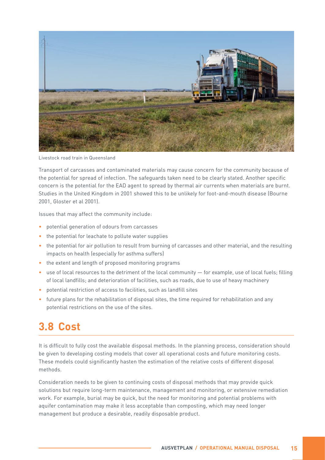<span id="page-20-0"></span>

Livestock road train in Queensland

Transport of carcasses and contaminated materials may cause concern for the community because of the potential for spread of infection. The safeguards taken need to be clearly stated. Another specific concern is the potential for the EAD agent to spread by thermal air currents when materials are burnt. Studies in the United Kingdom in 2001 showed this to be unlikely for foot-and-mouth disease (Bourne 2001, Gloster et al 2001).

Issues that may affect the community include:

- potential generation of odours from carcasses
- the potential for leachate to pollute water supplies
- the potential for air pollution to result from burning of carcasses and other material, and the resulting impacts on health (especially for asthma suffers)
- the extent and length of proposed monitoring programs
- use of local resources to the detriment of the local community for example, use of local fuels; filling of local landfills; and deterioration of facilities, such as roads, due to use of heavy machinery
- potential restriction of access to facilities, such as landfill sites
- future plans for the rehabilitation of disposal sites, the time required for rehabilitation and any potential restrictions on the use of the sites.

## **3.8 Cost**

It is difficult to fully cost the available disposal methods. In the planning process, consideration should be given to developing costing models that cover all operational costs and future monitoring costs. These models could significantly hasten the estimation of the relative costs of different disposal methods.

Consideration needs to be given to continuing costs of disposal methods that may provide quick solutions but require long-term maintenance, management and monitoring, or extensive remediation work. For example, burial may be quick, but the need for monitoring and potential problems with aquifer contamination may make it less acceptable than composting, which may need longer management but produce a desirable, readily disposable product.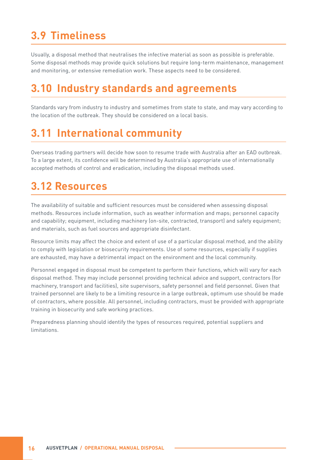## <span id="page-21-0"></span>**3.9 Timeliness**

Usually, a disposal method that neutralises the infective material as soon as possible is preferable. Some disposal methods may provide quick solutions but require long-term maintenance, management and monitoring, or extensive remediation work. These aspects need to be considered.

## **3.10 Industry standards and agreements**

Standards vary from industry to industry and sometimes from state to state, and may vary according to the location of the outbreak. They should be considered on a local basis.

## **3.11 International community**

Overseas trading partners will decide how soon to resume trade with Australia after an EAD outbreak. To a large extent, its confidence will be determined by Australia's appropriate use of internationally accepted methods of control and eradication, including the disposal methods used.

## **3.12 Resources**

The availability of suitable and sufficient resources must be considered when assessing disposal methods. Resources include information, such as weather information and maps; personnel capacity and capability; equipment, including machinery (on-site, contracted, transport) and safety equipment; and materials, such as fuel sources and appropriate disinfectant.

Resource limits may affect the choice and extent of use of a particular disposal method, and the ability to comply with legislation or biosecurity requirements. Use of some resources, especially if supplies are exhausted, may have a detrimental impact on the environment and the local community.

Personnel engaged in disposal must be competent to perform their functions, which will vary for each disposal method. They may include personnel providing technical advice and support, contractors (for machinery, transport and facilities), site supervisors, safety personnel and field personnel. Given that trained personnel are likely to be a limiting resource in a large outbreak, optimum use should be made of contractors, where possible. All personnel, including contractors, must be provided with appropriate training in biosecurity and safe working practices.

Preparedness planning should identify the types of resources required, potential suppliers and limitations.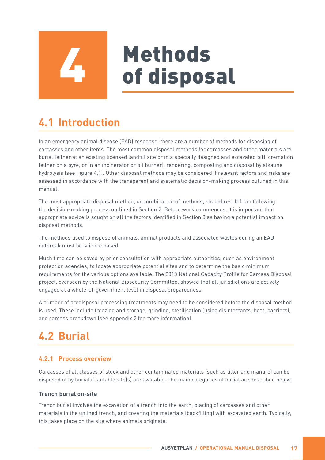# Methods<br>of disposal

## <span id="page-22-0"></span>**4.1 Introduction**

In an emergency animal disease (EAD) response, there are a number of methods for disposing of carcasses and other items. The most common disposal methods for carcasses and other materials are burial (either at an existing licensed landfill site or in a specially designed and excavated pit), cremation (either on a pyre, or in an incinerator or pit burner), rendering, composting and disposal by alkaline hydrolysis (see Figure 4.1). Other disposal methods may be considered if relevant factors and risks are assessed in accordance with the transparent and systematic decision-making process outlined in this manual.

The most appropriate disposal method, or combination of methods, should result from following the decision-making process outlined in Section 2. Before work commences, it is important that appropriate advice is sought on all the factors identified in Section 3 as having a potential impact on disposal methods.

The methods used to dispose of animals, animal products and associated wastes during an EAD outbreak must be science based.

Much time can be saved by prior consultation with appropriate authorities, such as environment protection agencies, to locate appropriate potential sites and to determine the basic minimum requirements for the various options available. The 2013 National Capacity Profile for Carcass Disposal project, overseen by the National Biosecurity Committee, showed that all jurisdictions are actively engaged at a whole-of-government level in disposal preparedness.

A number of predisposal processing treatments may need to be considered before the disposal method is used. These include freezing and storage, grinding, sterilisation (using disinfectants, heat, barriers), and carcass breakdown (see Appendix 2 for more information).

## **4.2 Burial**

#### **4.2.1 Process overview**

Carcasses of all classes of stock and other contaminated materials (such as litter and manure) can be disposed of by burial if suitable site(s) are available. The main categories of burial are described below.

#### **Trench burial on-site**

Trench burial involves the excavation of a trench into the earth, placing of carcasses and other materials in the unlined trench, and covering the materials (backfilling) with excavated earth. Typically, this takes place on the site where animals originate.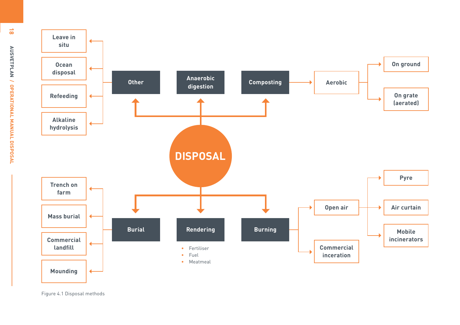<span id="page-23-0"></span>

Figure 4.1 Disposal methods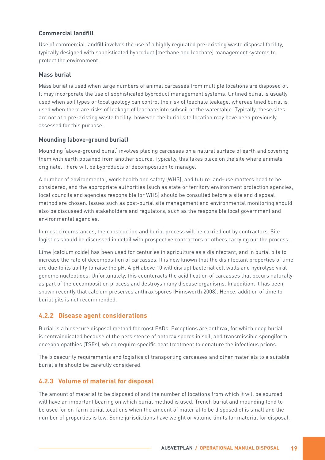#### <span id="page-24-0"></span>**Commercial landfill**

Use of commercial landfill involves the use of a highly regulated pre-existing waste disposal facility, typically designed with sophisticated byproduct (methane and leachate) management systems to protect the environment.

#### **Mass burial**

Mass burial is used when large numbers of animal carcasses from multiple locations are disposed of. It may incorporate the use of sophisticated byproduct management systems. Unlined burial is usually used when soil types or local geology can control the risk of leachate leakage, whereas lined burial is used when there are risks of leakage of leachate into subsoil or the watertable. Typically, these sites are not at a pre-existing waste facility; however, the burial site location may have been previously assessed for this purpose.

#### **Mounding (above-ground burial)**

Mounding (above-ground burial) involves placing carcasses on a natural surface of earth and covering them with earth obtained from another source. Typically, this takes place on the site where animals originate. There will be byproducts of decomposition to manage.

A number of environmental, work health and safety (WHS), and future land-use matters need to be considered, and the appropriate authorities (such as state or territory environment protection agencies, local councils and agencies responsible for WHS) should be consulted before a site and disposal method are chosen. Issues such as post-burial site management and environmental monitoring should also be discussed with stakeholders and regulators, such as the responsible local government and environmental agencies.

In most circumstances, the construction and burial process will be carried out by contractors. Site logistics should be discussed in detail with prospective contractors or others carrying out the process.

Lime (calcium oxide) has been used for centuries in agriculture as a disinfectant, and in burial pits to increase the rate of decomposition of carcasses. It is now known that the disinfectant properties of lime are due to its ability to raise the pH. A pH above 10 will disrupt bacterial cell walls and hydrolyse viral genome nucleotides. Unfortunately, this counteracts the acidification of carcasses that occurs naturally as part of the decomposition process and destroys many disease organisms. In addition, it has been shown recently that calcium preserves anthrax spores (Himsworth 2008). Hence, addition of lime to burial pits is not recommended.

#### **4.2.2 Disease agent considerations**

Burial is a biosecure disposal method for most EADs. Exceptions are anthrax, for which deep burial is contraindicated because of the persistence of anthrax spores in soil, and transmissible spongiform encephalopathies (TSEs), which require specific heat treatment to denature the infectious prions.

The biosecurity requirements and logistics of transporting carcasses and other materials to a suitable burial site should be carefully considered.

#### **4.2.3 Volume of material for disposal**

The amount of material to be disposed of and the number of locations from which it will be sourced will have an important bearing on which burial method is used. Trench burial and mounding tend to be used for on-farm burial locations when the amount of material to be disposed of is small and the number of properties is low. Some jurisdictions have weight or volume limits for material for disposal,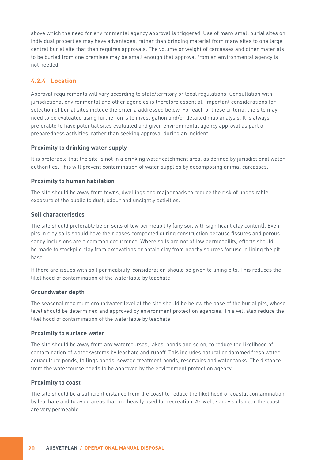<span id="page-25-0"></span>above which the need for environmental agency approval is triggered. Use of many small burial sites on individual properties may have advantages, rather than bringing material from many sites to one large central burial site that then requires approvals. The volume or weight of carcasses and other materials to be buried from one premises may be small enough that approval from an environmental agency is not needed.

#### **4.2.4 Location**

Approval requirements will vary according to state/territory or local regulations. Consultation with jurisdictional environmental and other agencies is therefore essential. Important considerations for selection of burial sites include the criteria addressed below. For each of these criteria, the site may need to be evaluated using further on-site investigation and/or detailed map analysis. It is always preferable to have potential sites evaluated and given environmental agency approval as part of preparedness activities, rather than seeking approval during an incident.

#### **Proximity to drinking water supply**

It is preferable that the site is not in a drinking water catchment area, as defined by jurisdictional water authorities. This will prevent contamination of water supplies by decomposing animal carcasses.

#### **Proximity to human habitation**

The site should be away from towns, dwellings and major roads to reduce the risk of undesirable exposure of the public to dust, odour and unsightly activities.

#### **Soil characteristics**

The site should preferably be on soils of low permeability (any soil with significant clay content). Even pits in clay soils should have their bases compacted during construction because fissures and porous sandy inclusions are a common occurrence. Where soils are not of low permeability, efforts should be made to stockpile clay from excavations or obtain clay from nearby sources for use in lining the pit base.

If there are issues with soil permeability, consideration should be given to lining pits. This reduces the likelihood of contamination of the watertable by leachate.

#### **Groundwater depth**

The seasonal maximum groundwater level at the site should be below the base of the burial pits, whose level should be determined and approved by environment protection agencies. This will also reduce the likelihood of contamination of the watertable by leachate.

#### **Proximity to surface water**

The site should be away from any watercourses, lakes, ponds and so on, to reduce the likelihood of contamination of water systems by leachate and runoff. This includes natural or dammed fresh water, aquaculture ponds, tailings ponds, sewage treatment ponds, reservoirs and water tanks. The distance from the watercourse needs to be approved by the environment protection agency.

#### **Proximity to coast**

The site should be a sufficient distance from the coast to reduce the likelihood of coastal contamination by leachate and to avoid areas that are heavily used for recreation. As well, sandy soils near the coast are very permeable.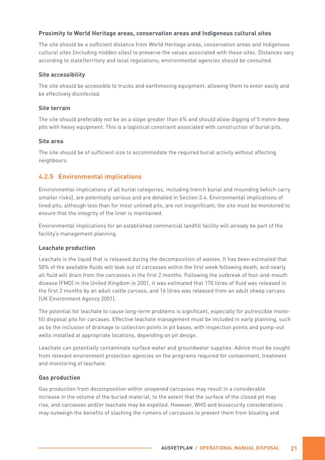#### <span id="page-26-0"></span>**Proximity to World Heritage areas, conservation areas and Indigenous cultural sites**

The site should be a sufficient distance from World Heritage areas, conservation areas and Indigenous cultural sites (including midden sites) to preserve the values associated with these sites. Distances vary according to state/territory and local regulations; environmental agencies should be consulted.

#### **Site accessibility**

The site should be accessible to trucks and earthmoving equipment, allowing them to enter easily and be effectively disinfected.

#### **Site terrain**

The site should preferably not be on a slope greater than 6% and should allow digging of 5 metre deep pits with heavy equipment. This is a logistical constraint associated with construction of burial pits.

#### **Site area**

The site should be of sufficient size to accommodate the required burial activity without affecting neighbours.

#### **4.2.5 Environmental implications**

Environmental implications of all burial categories, including trench burial and mounding (which carry smaller risks), are potentially serious and are detailed in Section 3.4. Environmental implications of lined pits, although less than for most unlined pits, are not insignificant; the site must be monitored to ensure that the integrity of the liner is maintained.

Environmental implications for an established commercial landfill facility will already be part of the facility's management planning.

#### **Leachate production**

Leachate is the liquid that is released during the decomposition of wastes. It has been estimated that 50% of the available fluids will leak out of carcasses within the first week following death, and nearly all fluid will drain from the carcasses in the first 2 months. Following the outbreak of foot-and-mouth disease (FMD) in the United Kingdom in 2001, it was estimated that 170 litres of fluid was released in the first 2 months by an adult cattle carcass, and 16 litres was released from an adult sheep carcass (UK Environment Agency 2001).

The potential for leachate to cause long-term problems is significant, especially for putrescible monofill disposal pits for carcases. Effective leachate management must be included in early planning, such as by the inclusion of drainage to collection points in pit bases, with inspection points and pump-out wells installed at appropriate locations, depending on pit design.

Leachate can potentially contaminate surface water and groundwater supplies. Advice must be sought from relevant environment protection agencies on the programs required for containment, treatment and monitoring of leachate.

#### **Gas production**

Gas production from decomposition within unopened carcasses may result in a considerable increase in the volume of the buried material, to the extent that the surface of the closed pit may rise, and carcasses and/or leachate may be expelled. However, WHS and biosecurity considerations may outweigh the benefits of slashing the rumens of carcasses to prevent them from bloating and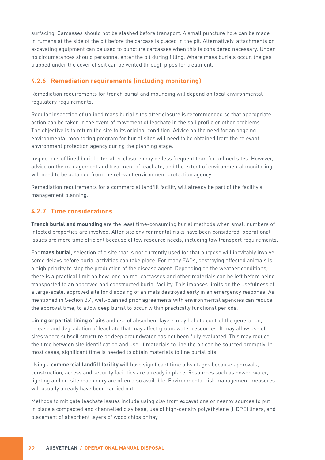<span id="page-27-0"></span>surfacing. Carcasses should not be slashed before transport. A small puncture hole can be made in rumens at the side of the pit before the carcass is placed in the pit. Alternatively, attachments on excavating equipment can be used to puncture carcasses when this is considered necessary. Under no circumstances should personnel enter the pit during filling. Where mass burials occur, the gas trapped under the cover of soil can be vented through pipes for treatment.

#### **4.2.6 Remediation requirements (including monitoring)**

Remediation requirements for trench burial and mounding will depend on local environmental regulatory requirements.

Regular inspection of unlined mass burial sites after closure is recommended so that appropriate action can be taken in the event of movement of leachate in the soil profile or other problems. The objective is to return the site to its original condition. Advice on the need for an ongoing environmental monitoring program for burial sites will need to be obtained from the relevant environment protection agency during the planning stage.

Inspections of lined burial sites after closure may be less frequent than for unlined sites. However, advice on the management and treatment of leachate, and the extent of environmental monitoring will need to be obtained from the relevant environment protection agency.

Remediation requirements for a commercial landfill facility will already be part of the facility's management planning.

#### **4.2.7 Time considerations**

**Trench burial and mounding** are the least time-consuming burial methods when small numbers of infected properties are involved. After site environmental risks have been considered, operational issues are more time efficient because of low resource needs, including low transport requirements.

For **mass burial**, selection of a site that is not currently used for that purpose will inevitably involve some delays before burial activities can take place. For many EADs, destroying affected animals is a high priority to stop the production of the disease agent. Depending on the weather conditions, there is a practical limit on how long animal carcasses and other materials can be left before being transported to an approved and constructed burial facility. This imposes limits on the usefulness of a large-scale, approved site for disposing of animals destroyed early in an emergency response. As mentioned in Section 3.4, well-planned prior agreements with environmental agencies can reduce the approval time, to allow deep burial to occur within practically functional periods.

**Lining or partial lining of pits** and use of absorbent layers may help to control the generation, release and degradation of leachate that may affect groundwater resources. It may allow use of sites where subsoil structure or deep groundwater has not been fully evaluated. This may reduce the time between site identification and use, if materials to line the pit can be sourced promptly. In most cases, significant time is needed to obtain materials to line burial pits.

Using a **commercial landfill facility** will have significant time advantages because approvals, construction, access and security facilities are already in place. Resources such as power, water, lighting and on-site machinery are often also available. Environmental risk management measures will usually already have been carried out.

Methods to mitigate leachate issues include using clay from excavations or nearby sources to put in place a compacted and channelled clay base, use of high-density polyethylene (HDPE) liners, and placement of absorbent layers of wood chips or hay.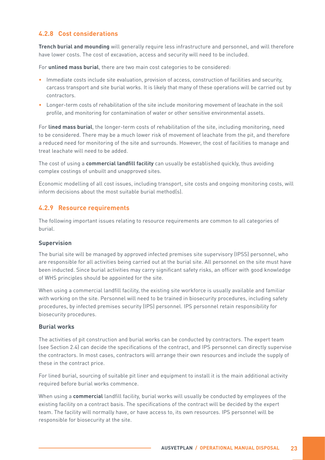#### <span id="page-28-0"></span>**4.2.8 Cost considerations**

**Trench burial and mounding** will generally require less infrastructure and personnel, and will therefore have lower costs. The cost of excavation, access and security will need to be included.

For **unlined mass burial**, there are two main cost categories to be considered:

- Immediate costs include site evaluation, provision of access, construction of facilities and security, carcass transport and site burial works. It is likely that many of these operations will be carried out by contractors.
- Longer-term costs of rehabilitation of the site include monitoring movement of leachate in the soil profile, and monitoring for contamination of water or other sensitive environmental assets.

For **lined mass burial**, the longer-term costs of rehabilitation of the site, including monitoring, need to be considered. There may be a much lower risk of movement of leachate from the pit, and therefore a reduced need for monitoring of the site and surrounds. However, the cost of facilities to manage and treat leachate will need to be added.

The cost of using a **commercial landfill facility** can usually be established quickly, thus avoiding complex costings of unbuilt and unapproved sites.

Economic modelling of all cost issues, including transport, site costs and ongoing monitoring costs, will inform decisions about the most suitable burial method(s).

#### **4.2.9 Resource requirements**

The following important issues relating to resource requirements are common to all categories of burial.

#### **Supervision**

The burial site will be managed by approved infected premises site supervisory (IPSS) personnel, who are responsible for all activities being carried out at the burial site. All personnel on the site must have been inducted. Since burial activities may carry significant safety risks, an officer with good knowledge of WHS principles should be appointed for the site.

When using a commercial landfill facility, the existing site workforce is usually available and familiar with working on the site. Personnel will need to be trained in biosecurity procedures, including safety procedures, by infected premises security (IPS) personnel. IPS personnel retain responsibility for biosecurity procedures.

#### **Burial works**

The activities of pit construction and burial works can be conducted by contractors. The expert team (see Section 2.4) can decide the specifications of the contract, and IPS personnel can directly supervise the contractors. In most cases, contractors will arrange their own resources and include the supply of these in the contract price.

For lined burial, sourcing of suitable pit liner and equipment to install it is the main additional activity required before burial works commence.

When using a **commercial** landfill facility, burial works will usually be conducted by employees of the existing facility on a contract basis. The specifications of the contract will be decided by the expert team. The facility will normally have, or have access to, its own resources. IPS personnel will be responsible for biosecurity at the site.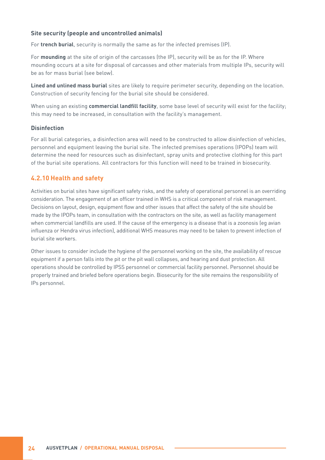#### <span id="page-29-0"></span>**Site security (people and uncontrolled animals)**

For **trench burial**, security is normally the same as for the infected premises (IP).

For **mounding** at the site of origin of the carcasses (the IP), security will be as for the IP. Where mounding occurs at a site for disposal of carcasses and other materials from multiple IPs, security will be as for mass burial (see below).

**Lined and unlined mass burial** sites are likely to require perimeter security, depending on the location. Construction of security fencing for the burial site should be considered.

When using an existing **commercial landfill facility**, some base level of security will exist for the facility; this may need to be increased, in consultation with the facility's management.

#### **Disinfection**

For all burial categories, a disinfection area will need to be constructed to allow disinfection of vehicles, personnel and equipment leaving the burial site. The infected premises operations (IPOPs) team will determine the need for resources such as disinfectant, spray units and protective clothing for this part of the burial site operations. All contractors for this function will need to be trained in biosecurity.

#### **4.2.10 Health and safety**

Activities on burial sites have significant safety risks, and the safety of operational personnel is an overriding consideration. The engagement of an officer trained in WHS is a critical component of risk management. Decisions on layout, design, equipment flow and other issues that affect the safety of the site should be made by the IPOPs team, in consultation with the contractors on the site, as well as facility management when commercial landfills are used. If the cause of the emergency is a disease that is a zoonosis (eg avian influenza or Hendra virus infection), additional WHS measures may need to be taken to prevent infection of burial site workers.

Other issues to consider include the hygiene of the personnel working on the site, the availability of rescue equipment if a person falls into the pit or the pit wall collapses, and hearing and dust protection. All operations should be controlled by IPSS personnel or commercial facility personnel. Personnel should be properly trained and briefed before operations begin. Biosecurity for the site remains the responsibility of IPs personnel.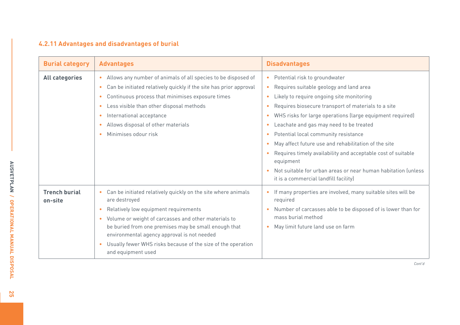#### <span id="page-30-0"></span>**4.2.11 Advantages and disadvantages of burial**

| <b>Burial category</b>          | <b>Advantages</b>                                                                                                                                                                                                                                                                                                                                                                           | <b>Disadvantages</b>                                                                                                                                                                                                                                                                                                                                                                                                                                                                                                                                                                                                            |
|---------------------------------|---------------------------------------------------------------------------------------------------------------------------------------------------------------------------------------------------------------------------------------------------------------------------------------------------------------------------------------------------------------------------------------------|---------------------------------------------------------------------------------------------------------------------------------------------------------------------------------------------------------------------------------------------------------------------------------------------------------------------------------------------------------------------------------------------------------------------------------------------------------------------------------------------------------------------------------------------------------------------------------------------------------------------------------|
| <b>All categories</b>           | Allows any number of animals of all species to be disposed of<br>Can be initiated relatively quickly if the site has prior approval<br>Continuous process that minimises exposure times<br>Less visible than other disposal methods<br>$\bullet$<br>International acceptance<br>$\bullet$<br>Allows disposal of other materials<br>Minimises odour risk                                     | Potential risk to groundwater<br>$\bullet$<br>Requires suitable geology and land area<br>Likely to require ongoing site monitoring<br>Requires biosecure transport of materials to a site<br>$\bullet$<br>WHS risks for large operations (large equipment required)<br>$\bullet$<br>Leachate and gas may need to be treated<br>$\bullet$<br>Potential local community resistance<br>May affect future use and rehabilitation of the site<br>Requires timely availability and acceptable cost of suitable<br>equipment<br>Not suitable for urban areas or near human habitation funless<br>it is a commercial landfill facility) |
| <b>Trench burial</b><br>on-site | Can be initiated relatively quickly on the site where animals<br>$\bullet$<br>are destroyed<br>Relatively low equipment requirements<br>• Volume or weight of carcasses and other materials to<br>be buried from one premises may be small enough that<br>environmental agency approval is not needed<br>Usually fewer WHS risks because of the size of the operation<br>and equipment used | If many properties are involved, many suitable sites will be<br>$\bullet$<br>required<br>Number of carcasses able to be disposed of is lower than for<br>$\bullet$<br>mass burial method<br>May limit future land use on farm                                                                                                                                                                                                                                                                                                                                                                                                   |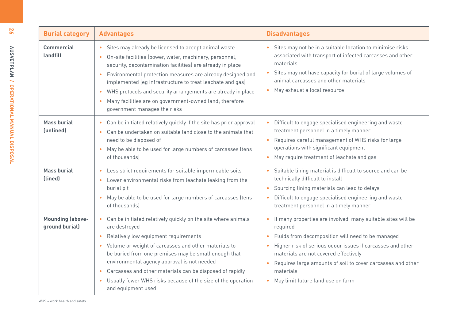| 26                                               | <b>Burial category</b>                    | <b>Advantages</b>                                                                                                                                                                                                                                                                                                                                                                                                                                                                                                         | <b>Disadvantages</b>                                                                                                                                                                                                                                                                                                                                            |
|--------------------------------------------------|-------------------------------------------|---------------------------------------------------------------------------------------------------------------------------------------------------------------------------------------------------------------------------------------------------------------------------------------------------------------------------------------------------------------------------------------------------------------------------------------------------------------------------------------------------------------------------|-----------------------------------------------------------------------------------------------------------------------------------------------------------------------------------------------------------------------------------------------------------------------------------------------------------------------------------------------------------------|
| <b>ADONET PLAN / OPERATIONAL SANCAL DISPOSAL</b> | <b>Commercial</b><br>landfill             | Sites may already be licensed to accept animal waste<br>$\bullet$<br>On-site facilities (power, water, machinery, personnel,<br>$\bullet$<br>security, decontamination facilities) are already in place<br>Environmental protection measures are already designed and<br>$\bullet$<br>implemented (eq infrastructure to treat leachate and gas)<br>• WHS protocols and security arrangements are already in place<br>Many facilities are on government-owned land; therefore<br>$\bullet$<br>government manages the risks | Sites may not be in a suitable location to minimise risks<br>associated with transport of infected carcasses and other<br>materials<br>Sites may not have capacity for burial of large volumes of<br>animal carcasses and other materials<br>• May exhaust a local resource                                                                                     |
|                                                  | <b>Mass burial</b><br>(unlined)           | Can be initiated relatively quickly if the site has prior approval<br>$\bullet$<br>Can be undertaken on suitable land close to the animals that<br>$\bullet$<br>need to be disposed of<br>• May be able to be used for large numbers of carcasses (tens<br>of thousands)                                                                                                                                                                                                                                                  | • Difficult to engage specialised engineering and waste<br>treatment personnel in a timely manner<br>Requires careful management of WHS risks for large<br>operations with significant equipment<br>• May require treatment of leachate and gas                                                                                                                 |
|                                                  | <b>Mass burial</b><br>(lined)             | • Less strict requirements for suitable impermeable soils<br>Lower environmental risks from leachate leaking from the<br>$\bullet$<br>burial pit<br>• May be able to be used for large numbers of carcasses (tens<br>of thousands)                                                                                                                                                                                                                                                                                        | • Suitable lining material is difficult to source and can be<br>technically difficult to install<br>Sourcing lining materials can lead to delays<br>Difficult to engage specialised engineering and waste<br>treatment personnel in a timely manner                                                                                                             |
|                                                  | <b>Mounding (above-</b><br>ground burial) | Can be initiated relatively quickly on the site where animals<br>$\bullet$<br>are destroyed<br>Relatively low equipment requirements<br>$\bullet$<br>• Volume or weight of carcasses and other materials to<br>be buried from one premises may be small enough that<br>environmental agency approval is not needed<br>Carcasses and other materials can be disposed of rapidly<br>$\bullet$<br>• Usually fewer WHS risks because of the size of the operation<br>and equipment used                                       | • If many properties are involved, many suitable sites will be<br>required<br>• Fluids from decomposition will need to be managed<br>• Higher risk of serious odour issues if carcasses and other<br>materials are not covered effectively<br>• Requires large amounts of soil to cover carcasses and other<br>materials<br>• May limit future land use on farm |

**26**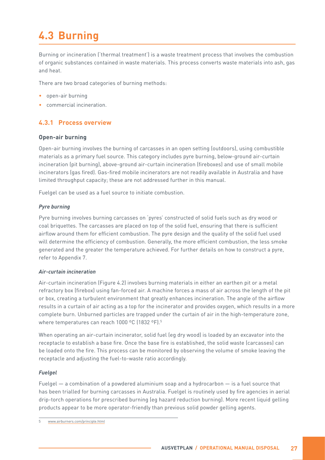## <span id="page-32-0"></span>**4.3 Burning**

Burning or incineration ('thermal treatment') is a waste treatment process that involves the combustion of organic substances contained in waste materials. This process converts waste materials into ash, gas and heat.

There are two broad categories of burning methods:

- open-air burning
- commercial incineration.

#### **4.3.1 Process overview**

#### **Open-air burning**

Open-air burning involves the burning of carcasses in an open setting (outdoors), using combustible materials as a primary fuel source. This category includes pyre burning, below-ground air-curtain incineration (pit burning), above-ground air-curtain incineration (fireboxes) and use of small mobile incinerators (gas fired). Gas-fired mobile incinerators are not readily available in Australia and have limited throughput capacity; these are not addressed further in this manual.

Fuelgel can be used as a fuel source to initiate combustion.

#### *Pyre burning*

Pyre burning involves burning carcasses on 'pyres' constructed of solid fuels such as dry wood or coal briquettes. The carcasses are placed on top of the solid fuel, ensuring that there is sufficient airflow around them for efficient combustion. The pyre design and the quality of the solid fuel used will determine the efficiency of combustion. Generally, the more efficient combustion, the less smoke generated and the greater the temperature achieved. For further details on how to construct a pyre, refer to Appendix 7.

#### *Air-curtain incineration*

Air-curtain incineration (Figure 4.2) involves burning materials in either an earthen pit or a metal refractory box (firebox) using fan-forced air. A machine forces a mass of air across the length of the pit or box, creating a turbulent environment that greatly enhances incineration. The angle of the airflow results in a curtain of air acting as a top for the incinerator and provides oxygen, which results in a more complete burn. Unburned particles are trapped under the curtain of air in the high-temperature zone, where temperatures can reach 1000 °C (1832 °F).<sup>5</sup>

When operating an air-curtain incinerator, solid fuel (eg dry wood) is loaded by an excavator into the receptacle to establish a base fire. Once the base fire is established, the solid waste (carcasses) can be loaded onto the fire. This process can be monitored by observing the volume of smoke leaving the receptacle and adjusting the fuel-to-waste ratio accordingly.

#### *Fuelgel*

Fuelgel — a combination of a powdered aluminium soap and a hydrocarbon — is a fuel source that has been trialled for burning carcasses in Australia. Fuelgel is routinely used by fire agencies in aerial drip-torch operations for prescribed burning (eg hazard reduction burning). More recent liquid gelling products appear to be more operator-friendly than previous solid powder gelling agents.

<sup>5</sup> [www.airburners.com/principle.html](http://www.airburners.com/principle.html)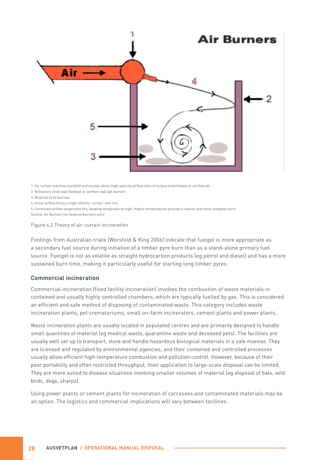<span id="page-33-0"></span>

1. Air curtain machine manifold and nozzles direct high-velocity airflow into refractory lined firebox or earthen pit.

2. Refractory lined wall (firebox) or earthen wall (pit burner).

3. Material to be burned.

4. Initial airflow forms a high-velocity 'curtain' over fire.

5. Continued airflow oxygenates fire, keeping temperatures high. Higher temperatures provide a cleaner and more complete burn. Source: Air Burners Inc (www.airburners.com)

Figure 4.2 Theory of air-curtain incineration

Findings from Australian trials (Worsfold & King 2006) indicate that fuelgel is more appropriate as a secondary fuel source during initiation of a timber pyre burn than as a stand-alone primary fuel source. Fuelgel is not as volatile as straight hydrocarbon products (eg petrol and diesel) and has a more sustained burn time, making it particularly useful for starting long timber pyres.

#### **Commercial incineration**

Commercial incineration (fixed facility incineration) involves the combustion of waste materials in contained and usually highly controlled chambers, which are typically fuelled by gas. This is considered an efficient and safe method of disposing of contaminated waste. This category includes waste incineration plants, pet crematoriums, small on-farm incinerators, cement plants and power plants.

Waste incineration plants are usually located in populated centres and are primarily designed to handle small quantities of material (eg medical waste, quarantine waste and deceased pets). The facilities are usually well set up to transport, store and handle hazardous biological materials in a safe manner. They are licensed and regulated by environmental agencies, and their contained and controlled processes usually allow efficient high-temperature combustion and pollution control. However, because of their poor portability and often restricted throughput, their application to large-scale disposal can be limited. They are more suited to disease situations involving smaller volumes of material (eg disposal of bats, wild birds, dogs, sharps).

Using power plants or cement plants for incineration of carcasses and contaminated materials may be an option. The logistics and commercial implications will vary between facilities.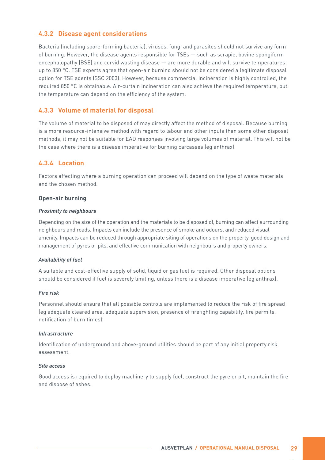#### <span id="page-34-0"></span>**4.3.2 Disease agent considerations**

Bacteria (including spore-forming bacteria), viruses, fungi and parasites should not survive any form of burning. However, the disease agents responsible for TSEs — such as scrapie, bovine spongiform encephalopathy (BSE) and cervid wasting disease — are more durable and will survive temperatures up to 850 °C. TSE experts agree that open-air burning should not be considered a legitimate disposal option for TSE agents (SSC 2003). However, because commercial incineration is highly controlled, the required 850 °C is obtainable. Air-curtain incineration can also achieve the required temperature, but the temperature can depend on the efficiency of the system.

#### **4.3.3 Volume of material for disposal**

The volume of material to be disposed of may directly affect the method of disposal. Because burning is a more resource-intensive method with regard to labour and other inputs than some other disposal methods, it may not be suitable for EAD responses involving large volumes of material. This will not be the case where there is a disease imperative for burning carcasses (eg anthrax).

#### **4.3.4 Location**

Factors affecting where a burning operation can proceed will depend on the type of waste materials and the chosen method.

#### **Open-air burning**

#### *Proximity to neighbours*

Depending on the size of the operation and the materials to be disposed of, burning can affect surrounding neighbours and roads. Impacts can include the presence of smoke and odours, and reduced visual amenity. Impacts can be reduced through appropriate siting of operations on the property, good design and management of pyres or pits, and effective communication with neighbours and property owners.

#### *Availability of fuel*

A suitable and cost-effective supply of solid, liquid or gas fuel is required. Other disposal options should be considered if fuel is severely limiting, unless there is a disease imperative (eg anthrax).

#### *Fire risk*

Personnel should ensure that all possible controls are implemented to reduce the risk of fire spread (eg adequate cleared area, adequate supervision, presence of firefighting capability, fire permits, notification of burn times).

#### *Infrastructure*

Identification of underground and above-ground utilities should be part of any initial property risk assessment.

#### *Site access*

Good access is required to deploy machinery to supply fuel, construct the pyre or pit, maintain the fire and dispose of ashes.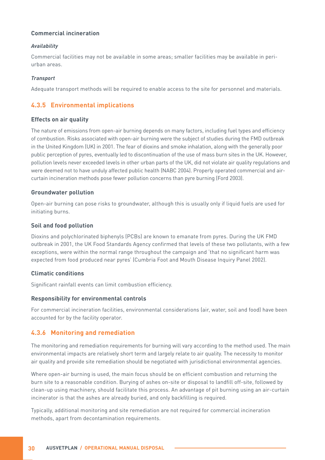#### <span id="page-35-0"></span>**Commercial incineration**

#### *Availability*

Commercial facilities may not be available in some areas; smaller facilities may be available in periurban areas.

#### *Transport*

Adequate transport methods will be required to enable access to the site for personnel and materials.

#### **4.3.5 Environmental implications**

#### **Effects on air quality**

The nature of emissions from open-air burning depends on many factors, including fuel types and efficiency of combustion. Risks associated with open-air burning were the subject of studies during the FMD outbreak in the United Kingdom (UK) in 2001. The fear of dioxins and smoke inhalation, along with the generally poor public perception of pyres, eventually led to discontinuation of the use of mass burn sites in the UK. However, pollution levels never exceeded levels in other urban parts of the UK, did not violate air quality regulations and were deemed not to have unduly affected public health (NABC 2004). Properly operated commercial and aircurtain incineration methods pose fewer pollution concerns than pyre burning (Ford 2003).

#### **Groundwater pollution**

Open-air burning can pose risks to groundwater, although this is usually only if liquid fuels are used for initiating burns.

#### **Soil and food pollution**

Dioxins and polychlorinated biphenyls (PCBs) are known to emanate from pyres. During the UK FMD outbreak in 2001, the UK Food Standards Agency confirmed that levels of these two pollutants, with a few exceptions, were within the normal range throughout the campaign and 'that no significant harm was expected from food produced near pyres' (Cumbria Foot and Mouth Disease Inquiry Panel 2002).

#### **Climatic conditions**

Significant rainfall events can limit combustion efficiency.

#### **Responsibility for environmental controls**

For commercial incineration facilities, environmental considerations (air, water, soil and food) have been accounted for by the facility operator.

#### **4.3.6 Monitoring and remediation**

The monitoring and remediation requirements for burning will vary according to the method used. The main environmental impacts are relatively short term and largely relate to air quality. The necessity to monitor air quality and provide site remediation should be negotiated with jurisdictional environmental agencies.

Where open-air burning is used, the main focus should be on efficient combustion and returning the burn site to a reasonable condition. Burying of ashes on-site or disposal to landfill off-site, followed by clean-up using machinery, should facilitate this process. An advantage of pit burning using an air-curtain incinerator is that the ashes are already buried, and only backfilling is required.

Typically, additional monitoring and site remediation are not required for commercial incineration methods, apart from decontamination requirements.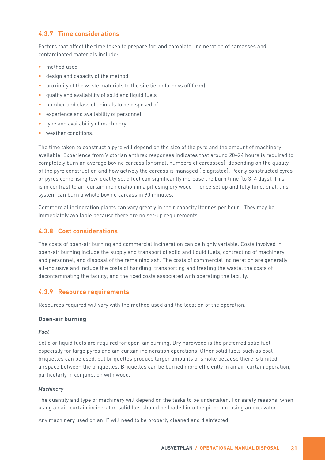#### **4.3.7 Time considerations**

Factors that affect the time taken to prepare for, and complete, incineration of carcasses and contaminated materials include:

- method used
- design and capacity of the method
- proximity of the waste materials to the site (ie on farm vs off farm)
- quality and availability of solid and liquid fuels
- number and class of animals to be disposed of
- experience and availability of personnel
- type and availability of machinery
- weather conditions.

The time taken to construct a pyre will depend on the size of the pyre and the amount of machinery available. Experience from Victorian anthrax responses indicates that around 20–24 hours is required to completely burn an average bovine carcass (or small numbers of carcasses), depending on the quality of the pyre construction and how actively the carcass is managed (ie agitated). Poorly constructed pyres or pyres comprising low-quality solid fuel can significantly increase the burn time (to 3–4 days). This is in contrast to air-curtain incineration in a pit using dry wood — once set up and fully functional, this system can burn a whole bovine carcass in 90 minutes.

Commercial incineration plants can vary greatly in their capacity (tonnes per hour). They may be immediately available because there are no set-up requirements.

#### **4.3.8 Cost considerations**

The costs of open-air burning and commercial incineration can be highly variable. Costs involved in open-air burning include the supply and transport of solid and liquid fuels, contracting of machinery and personnel, and disposal of the remaining ash. The costs of commercial incineration are generally all-inclusive and include the costs of handling, transporting and treating the waste; the costs of decontaminating the facility; and the fixed costs associated with operating the facility.

#### **4.3.9 Resource requirements**

Resources required will vary with the method used and the location of the operation.

#### **Open-air burning**

#### *Fuel*

Solid or liquid fuels are required for open-air burning. Dry hardwood is the preferred solid fuel, especially for large pyres and air-curtain incineration operations. Other solid fuels such as coal briquettes can be used, but briquettes produce larger amounts of smoke because there is limited airspace between the briquettes. Briquettes can be burned more efficiently in an air-curtain operation, particularly in conjunction with wood.

#### *Machinery*

The quantity and type of machinery will depend on the tasks to be undertaken. For safety reasons, when using an air-curtain incinerator, solid fuel should be loaded into the pit or box using an excavator.

Any machinery used on an IP will need to be properly cleaned and disinfected.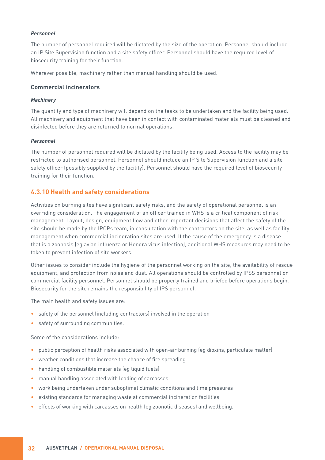#### *Personnel*

The number of personnel required will be dictated by the size of the operation. Personnel should include an IP Site Supervision function and a site safety officer. Personnel should have the required level of biosecurity training for their function.

Wherever possible, machinery rather than manual handling should be used.

#### **Commercial incinerators**

#### *Machinery*

The quantity and type of machinery will depend on the tasks to be undertaken and the facility being used. All machinery and equipment that have been in contact with contaminated materials must be cleaned and disinfected before they are returned to normal operations.

#### *Personnel*

The number of personnel required will be dictated by the facility being used. Access to the facility may be restricted to authorised personnel. Personnel should include an IP Site Supervision function and a site safety officer (possibly supplied by the facility). Personnel should have the required level of biosecurity training for their function.

#### **4.3.10 Health and safety considerations**

Activities on burning sites have significant safety risks, and the safety of operational personnel is an overriding consideration. The engagement of an officer trained in WHS is a critical component of risk management. Layout, design, equipment flow and other important decisions that affect the safety of the site should be made by the IPOPs team, in consultation with the contractors on the site, as well as facility management when commercial incineration sites are used. If the cause of the emergency is a disease that is a zoonosis (eg avian influenza or Hendra virus infection), additional WHS measures may need to be taken to prevent infection of site workers.

Other issues to consider include the hygiene of the personnel working on the site, the availability of rescue equipment, and protection from noise and dust. All operations should be controlled by IPSS personnel or commercial facility personnel. Personnel should be properly trained and briefed before operations begin. Biosecurity for the site remains the responsibility of IPS personnel.

The main health and safety issues are:

- safety of the personnel (including contractors) involved in the operation
- safety of surrounding communities.

Some of the considerations include:

- public perception of health risks associated with open-air burning (eg dioxins, particulate matter)
- weather conditions that increase the chance of fire spreading
- handling of combustible materials (eq liquid fuels)
- manual handling associated with loading of carcasses
- work being undertaken under suboptimal climatic conditions and time pressures
- existing standards for managing waste at commercial incineration facilities
- effects of working with carcasses on health (eg zoonotic diseases) and wellbeing.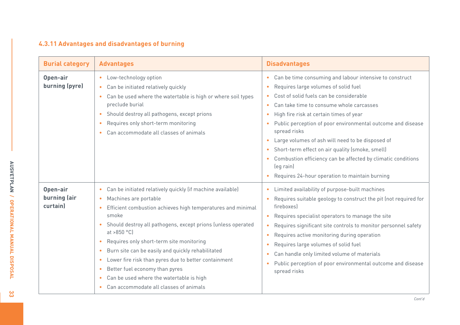#### **4.3.11 Advantages and disadvantages of burning**

| <b>Burial category</b>               | <b>Advantages</b>                                                                                                                                                                                                                                                                                                                                                                                                                                                                                                                                                                                                                      | <b>Disadvantages</b>                                                                                                                                                                                                                                                                                                                                                                                                                                                                                                                                                      |
|--------------------------------------|----------------------------------------------------------------------------------------------------------------------------------------------------------------------------------------------------------------------------------------------------------------------------------------------------------------------------------------------------------------------------------------------------------------------------------------------------------------------------------------------------------------------------------------------------------------------------------------------------------------------------------------|---------------------------------------------------------------------------------------------------------------------------------------------------------------------------------------------------------------------------------------------------------------------------------------------------------------------------------------------------------------------------------------------------------------------------------------------------------------------------------------------------------------------------------------------------------------------------|
| Open-air<br>burning (pyre)           | Low-technology option<br>Can be initiated relatively quickly<br>$\bullet$<br>Can be used where the watertable is high or where soil types<br>$\bullet$<br>preclude burial<br>Should destroy all pathogens, except prions<br>$\bullet$<br>Requires only short-term monitoring<br>$\bullet$<br>Can accommodate all classes of animals<br>$\bullet$                                                                                                                                                                                                                                                                                       | • Can be time consuming and labour intensive to construct<br>Requires large volumes of solid fuel<br>Cost of solid fuels can be considerable<br>Can take time to consume whole carcasses<br>High fire risk at certain times of year<br>$\bullet$<br>Public perception of poor environmental outcome and disease<br>spread risks<br>• Large volumes of ash will need to be disposed of<br>• Short-term effect on air quality (smoke, smell)<br>Combustion efficiency can be affected by climatic conditions<br>(eq rain)<br>Requires 24-hour operation to maintain burning |
| Open-air<br>burning (air<br>curtain) | Can be initiated relatively quickly (if machine available)<br>$\bullet$<br>Machines are portable<br>$\bullet$<br>Efficient combustion achieves high temperatures and minimal<br>smoke<br>Should destroy all pathogens, except prions (unless operated<br>$\bullet$<br>at >850 $°C$ ]<br>Requires only short-term site monitoring<br>$\bullet$<br>Burn site can be easily and quickly rehabilitated<br>$\bullet$<br>Lower fire risk than pyres due to better containment<br>$\bullet$<br>Better fuel economy than pyres<br>$\bullet$<br>Can be used where the watertable is high<br>$\bullet$<br>Can accommodate all classes of animals | Limited availability of purpose-built machines<br>$\bullet$<br>Requires suitable geology to construct the pit (not required for<br>fireboxes<br>Requires specialist operators to manage the site<br>Requires significant site controls to monitor personnel safety<br>Requires active monitoring during operation<br>Requires large volumes of solid fuel<br>Can handle only limited volume of materials<br>$\bullet$<br>Public perception of poor environmental outcome and disease<br>spread risks                                                                      |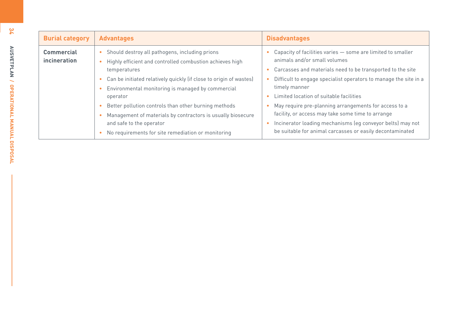| <b>Burial category</b>            | <b>Advantages</b>                                                                                                                                                                                                                                                                                                                                                                                                                                                                                                              | <b>Disadvantages</b>                                                                                                                                                                                                                                                                                                                                                                                                                                                                                                               |
|-----------------------------------|--------------------------------------------------------------------------------------------------------------------------------------------------------------------------------------------------------------------------------------------------------------------------------------------------------------------------------------------------------------------------------------------------------------------------------------------------------------------------------------------------------------------------------|------------------------------------------------------------------------------------------------------------------------------------------------------------------------------------------------------------------------------------------------------------------------------------------------------------------------------------------------------------------------------------------------------------------------------------------------------------------------------------------------------------------------------------|
| <b>Commercial</b><br>incineration | Should destroy all pathogens, including prions<br>$\bullet$<br>Highly efficient and controlled combustion achieves high<br>temperatures<br>Can be initiated relatively quickly (if close to origin of wastes)<br>$\bullet$<br>Environmental monitoring is managed by commercial<br>$\bullet$<br>operator<br>Better pollution controls than other burning methods<br>Management of materials by contractors is usually biosecure<br>and safe to the operator<br>No requirements for site remediation or monitoring<br>$\bullet$ | Capacity of facilities varies - some are limited to smaller<br>animals and/or small volumes<br>Carcasses and materials need to be transported to the site<br>Difficult to engage specialist operators to manage the site in a<br>timely manner<br>Limited location of suitable facilities<br>May require pre-planning arrangements for access to a<br>facility, or access may take some time to arrange<br>Incinerator loading mechanisms (eg conveyor belts) may not<br>be suitable for animal carcasses or easily decontaminated |

**34**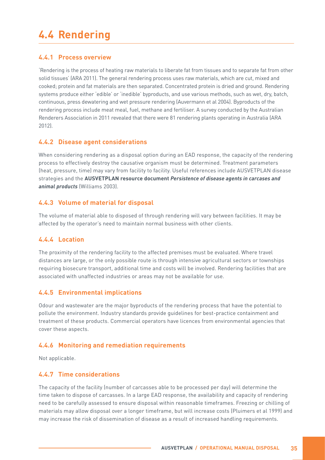### **4.4 Rendering**

#### **4.4.1 Process overview**

'Rendering is the process of heating raw materials to liberate fat from tissues and to separate fat from other solid tissues' (ARA 2011). The general rendering process uses raw materials, which are cut, mixed and cooked; protein and fat materials are then separated. Concentrated protein is dried and ground. Rendering systems produce either 'edible' or 'inedible' byproducts, and use various methods, such as wet, dry, batch, continuous, press dewatering and wet pressure rendering (Auvermann et al 2004). Byproducts of the rendering process include meat meal, fuel, methane and fertiliser. A survey conducted by the Australian Renderers Association in 2011 revealed that there were 81 rendering plants operating in Australia (ARA 2012).

#### **4.4.2 Disease agent considerations**

When considering rendering as a disposal option during an EAD response, the capacity of the rendering process to effectively destroy the causative organism must be determined. Treatment parameters (heat, pressure, time) may vary from facility to facility. Useful references include AUSVETPLAN disease strategies and the **AUSVETPLAN resource document** *Persistence of disease agents in carcases and animal products* (Williams 2003).

#### **4.4.3 Volume of material for disposal**

The volume of material able to disposed of through rendering will vary between facilities. It may be affected by the operator's need to maintain normal business with other clients.

#### **4.4.4 Location**

The proximity of the rendering facility to the affected premises must be evaluated. Where travel distances are large, or the only possible route is through intensive agricultural sectors or townships requiring biosecure transport, additional time and costs will be involved. Rendering facilities that are associated with unaffected industries or areas may not be available for use.

#### **4.4.5 Environmental implications**

Odour and wastewater are the major byproducts of the rendering process that have the potential to pollute the environment. Industry standards provide guidelines for best-practice containment and treatment of these products. Commercial operators have licences from environmental agencies that cover these aspects.

#### **4.4.6 Monitoring and remediation requirements**

Not applicable.

#### **4.4.7 Time considerations**

The capacity of the facility (number of carcasses able to be processed per day) will determine the time taken to dispose of carcasses. In a large EAD response, the availability and capacity of rendering need to be carefully assessed to ensure disposal within reasonable timeframes. Freezing or chilling of materials may allow disposal over a longer timeframe, but will increase costs (Pluimers et al 1999) and may increase the risk of dissemination of disease as a result of increased handling requirements.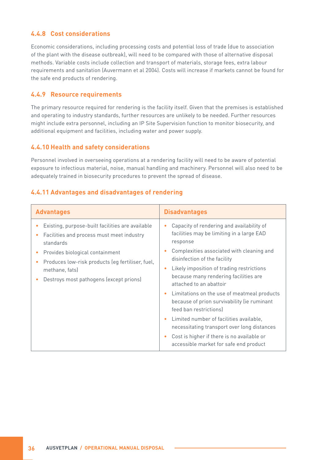#### **4.4.8 Cost considerations**

Economic considerations, including processing costs and potential loss of trade (due to association of the plant with the disease outbreak), will need to be compared with those of alternative disposal methods. Variable costs include collection and transport of materials, storage fees, extra labour requirements and sanitation (Auvermann et al 2004). Costs will increase if markets cannot be found for the safe end products of rendering.

#### **4.4.9 Resource requirements**

The primary resource required for rendering is the facility itself. Given that the premises is established and operating to industry standards, further resources are unlikely to be needed. Further resources might include extra personnel, including an IP Site Supervision function to monitor biosecurity, and additional equipment and facilities, including water and power supply.

#### **4.4.10 Health and safety considerations**

Personnel involved in overseeing operations at a rendering facility will need to be aware of potential exposure to infectious material, noise, manual handling and machinery. Personnel will also need to be adequately trained in biosecurity procedures to prevent the spread of disease.

#### **4.4.11 Advantages and disadvantages of rendering**

| <b>Advantages</b>                                                                                                                                                                                                                                              | <b>Disadvantages</b>                                                                                                                                                                                                                                                                                                                                                                                                                                                                                                                                                                                       |
|----------------------------------------------------------------------------------------------------------------------------------------------------------------------------------------------------------------------------------------------------------------|------------------------------------------------------------------------------------------------------------------------------------------------------------------------------------------------------------------------------------------------------------------------------------------------------------------------------------------------------------------------------------------------------------------------------------------------------------------------------------------------------------------------------------------------------------------------------------------------------------|
| Existing, purpose-built facilities are available<br>Facilities and process must meet industry<br>standards<br>Provides biological containment<br>Produces low-risk products (eg fertiliser, fuel,<br>methane, fats)<br>Destroys most pathogens (except prions) | Capacity of rendering and availability of<br>facilities may be limiting in a large EAD<br>response<br>Complexities associated with cleaning and<br>disinfection of the facility<br>Likely imposition of trading restrictions<br>because many rendering facilities are<br>attached to an abattoir<br>Limitations on the use of meatmeal products<br>because of prion survivability (ie ruminant<br>feed ban restrictions)<br>Limited number of facilities available,<br>necessitating transport over long distances<br>Cost is higher if there is no available or<br>accessible market for safe end product |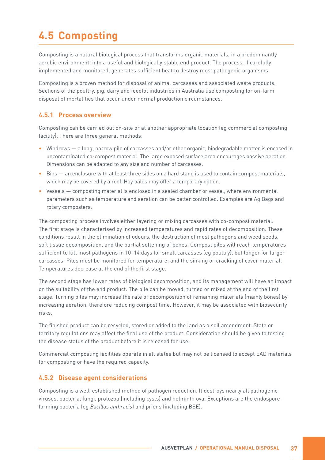# **4.5 Composting**

Composting is a natural biological process that transforms organic materials, in a predominantly aerobic environment, into a useful and biologically stable end product. The process, if carefully implemented and monitored, generates sufficient heat to destroy most pathogenic organisms.

Composting is a proven method for disposal of animal carcasses and associated waste products. Sections of the poultry, pig, dairy and feedlot industries in Australia use composting for on-farm disposal of mortalities that occur under normal production circumstances.

#### **4.5.1 Process overview**

Composting can be carried out on-site or at another appropriate location (eg commercial composting facility). There are three general methods:

- Windrows a long, narrow pile of carcasses and/or other organic, biodegradable matter is encased in uncontaminated co-compost material. The large exposed surface area encourages passive aeration. Dimensions can be adapted to any size and number of carcasses.
- Bins an enclosure with at least three sides on a hard stand is used to contain compost materials, which may be covered by a roof. Hay bales may offer a temporary option.
- Vessels composting material is enclosed in a sealed chamber or vessel, where environmental parameters such as temperature and aeration can be better controlled. Examples are Ag Bags and rotary composters.

The composting process involves either layering or mixing carcasses with co-compost material. The first stage is characterised by increased temperatures and rapid rates of decomposition. These conditions result in the elimination of odours, the destruction of most pathogens and weed seeds, soft tissue decomposition, and the partial softening of bones. Compost piles will reach temperatures sufficient to kill most pathogens in 10–14 days for small carcasses (eg poultry), but longer for larger carcasses. Piles must be monitored for temperature, and the sinking or cracking of cover material. Temperatures decrease at the end of the first stage.

The second stage has lower rates of biological decomposition, and its management will have an impact on the suitability of the end product. The pile can be moved, turned or mixed at the end of the first stage. Turning piles may increase the rate of decomposition of remaining materials (mainly bones) by increasing aeration, therefore reducing compost time. However, it may be associated with biosecurity risks.

The finished product can be recycled, stored or added to the land as a soil amendment. State or territory regulations may affect the final use of the product. Consideration should be given to testing the disease status of the product before it is released for use.

Commercial composting facilities operate in all states but may not be licensed to accept EAD materials for composting or have the required capacity.

#### **4.5.2 Disease agent considerations**

Composting is a well-established method of pathogen reduction. It destroys nearly all pathogenic viruses, bacteria, fungi, protozoa (including cysts) and helminth ova. Exceptions are the endosporeforming bacteria (eg *Bacillus anthracis*) and prions (including BSE).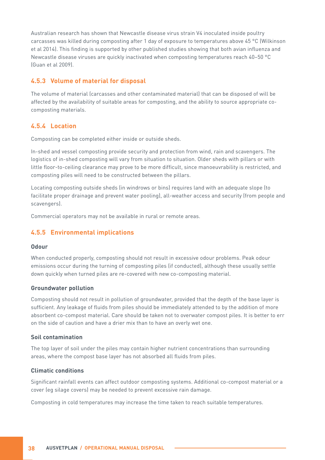Australian research has shown that Newcastle disease virus strain V4 inoculated inside poultry carcasses was killed during composting after 1 day of exposure to temperatures above 45 °C (Wilkinson et al 2014). This finding is supported by other published studies showing that both avian influenza and Newcastle disease viruses are quickly inactivated when composting temperatures reach 40–50 °C (Guan et al 2009).

#### **4.5.3 Volume of material for disposal**

The volume of material (carcasses and other contaminated material) that can be disposed of will be affected by the availability of suitable areas for composting, and the ability to source appropriate cocomposting materials.

#### **4.5.4 Location**

Composting can be completed either inside or outside sheds.

In-shed and vessel composting provide security and protection from wind, rain and scavengers. The logistics of in-shed composting will vary from situation to situation. Older sheds with pillars or with little floor-to-ceiling clearance may prove to be more difficult, since manoeuvrability is restricted, and composting piles will need to be constructed between the pillars.

Locating composting outside sheds (in windrows or bins) requires land with an adequate slope (to facilitate proper drainage and prevent water pooling), all-weather access and security (from people and scavengers).

Commercial operators may not be available in rural or remote areas.

#### **4.5.5 Environmental implications**

#### **Odour**

When conducted properly, composting should not result in excessive odour problems. Peak odour emissions occur during the turning of composting piles (if conducted), although these usually settle down quickly when turned piles are re-covered with new co-composting material.

#### **Groundwater pollution**

Composting should not result in pollution of groundwater, provided that the depth of the base layer is sufficient. Any leakage of fluids from piles should be immediately attended to by the addition of more absorbent co-compost material. Care should be taken not to overwater compost piles. It is better to err on the side of caution and have a drier mix than to have an overly wet one.

#### **Soil contamination**

The top layer of soil under the piles may contain higher nutrient concentrations than surrounding areas, where the compost base layer has not absorbed all fluids from piles.

#### **Climatic conditions**

Significant rainfall events can affect outdoor composting systems. Additional co-compost material or a cover (eg silage covers) may be needed to prevent excessive rain damage.

Composting in cold temperatures may increase the time taken to reach suitable temperatures.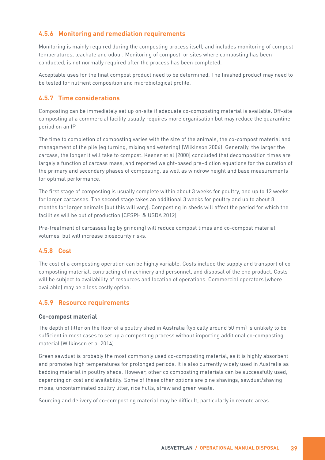### **4.5.6 Monitoring and remediation requirements**

Monitoring is mainly required during the composting process itself, and includes monitoring of compost temperatures, leachate and odour. Monitoring of compost, or sites where composting has been conducted, is not normally required after the process has been completed.

Acceptable uses for the final compost product need to be determined. The finished product may need to be tested for nutrient composition and microbiological profile.

#### **4.5.7 Time considerations**

Composting can be immediately set up on-site if adequate co-composting material is available. Off-site composting at a commercial facility usually requires more organisation but may reduce the quarantine period on an IP.

The time to completion of composting varies with the size of the animals, the co-compost material and management of the pile (eg turning, mixing and watering) (Wilkinson 2006). Generally, the larger the carcass, the longer it will take to compost. Keener et al (2000) concluded that decomposition times are largely a function of carcass mass, and reported weight-based pre¬diction equations for the duration of the primary and secondary phases of composting, as well as windrow height and base measurements for optimal performance.

The first stage of composting is usually complete within about 3 weeks for poultry, and up to 12 weeks for larger carcasses. The second stage takes an additional 3 weeks for poultry and up to about 8 months for larger animals (but this will vary). Composting in sheds will affect the period for which the facilities will be out of production (CFSPH & USDA 2012)

Pre-treatment of carcasses (eg by grinding) will reduce compost times and co-compost material volumes, but will increase biosecurity risks.

#### **4.5.8 Cost**

The cost of a composting operation can be highly variable. Costs include the supply and transport of cocomposting material, contracting of machinery and personnel, and disposal of the end product. Costs will be subject to availability of resources and location of operations. Commercial operators (where available) may be a less costly option.

#### **4.5.9 Resource requirements**

#### **Co-compost material**

The depth of litter on the floor of a poultry shed in Australia (typically around 50 mm) is unlikely to be sufficient in most cases to set up a composting process without importing additional co-composting material (Wilkinson et al 2014).

Green sawdust is probably the most commonly used co-composting material, as it is highly absorbent and promotes high temperatures for prolonged periods. It is also currently widely used in Australia as bedding material in poultry sheds. However, other co composting materials can be successfully used, depending on cost and availability. Some of these other options are pine shavings, sawdust/shaving mixes, uncontaminated poultry litter, rice hulls, straw and green waste.

Sourcing and delivery of co-composting material may be difficult, particularly in remote areas.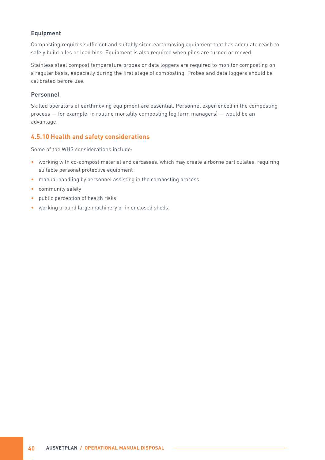#### **Equipment**

Composting requires sufficient and suitably sized earthmoving equipment that has adequate reach to safely build piles or load bins. Equipment is also required when piles are turned or moved.

Stainless steel compost temperature probes or data loggers are required to monitor composting on a regular basis, especially during the first stage of composting. Probes and data loggers should be calibrated before use.

#### **Personnel**

Skilled operators of earthmoving equipment are essential. Personnel experienced in the composting process — for example, in routine mortality composting (eg farm managers) — would be an advantage.

#### **4.5.10 Health and safety considerations**

Some of the WHS considerations include:

- working with co-compost material and carcasses, which may create airborne particulates, requiring suitable personal protective equipment
- manual handling by personnel assisting in the composting process
- community safety
- public perception of health risks
- working around large machinery or in enclosed sheds.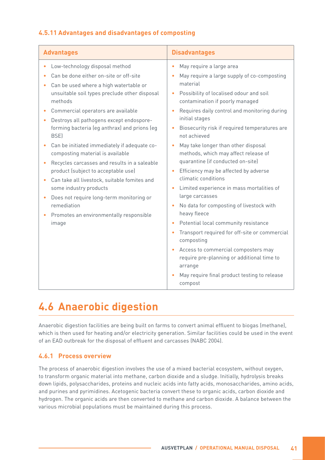### **4.5.11 Advantages and disadvantages of composting**

| <b>Advantages</b>                                                                                                                                                                                                                                                                                                                                                                                                                                                                                                                                                                                                                                                                                                                                                                                                             | <b>Disadvantages</b>                                                                                                                                                                                                                                                                                                                                                                                                                                                                                                                                                                                                                                                                                                                                                                                                                                                                   |  |
|-------------------------------------------------------------------------------------------------------------------------------------------------------------------------------------------------------------------------------------------------------------------------------------------------------------------------------------------------------------------------------------------------------------------------------------------------------------------------------------------------------------------------------------------------------------------------------------------------------------------------------------------------------------------------------------------------------------------------------------------------------------------------------------------------------------------------------|----------------------------------------------------------------------------------------------------------------------------------------------------------------------------------------------------------------------------------------------------------------------------------------------------------------------------------------------------------------------------------------------------------------------------------------------------------------------------------------------------------------------------------------------------------------------------------------------------------------------------------------------------------------------------------------------------------------------------------------------------------------------------------------------------------------------------------------------------------------------------------------|--|
| Low-technology disposal method<br>$\bullet$<br>$\bullet$<br>Can be done either on-site or off-site<br>Can be used where a high watertable or<br>۰<br>unsuitable soil types preclude other disposal<br>methods<br>Commercial operators are available<br>Destroys all pathogens except endospore-<br>forming bacteria (eg anthrax) and prions (eg<br><b>BSE)</b><br>Can be initiated immediately if adequate co-<br>$\bullet$<br>composting material is available<br>Recycles carcasses and results in a saleable<br>product (subject to acceptable use)<br>$\bullet$<br>Can take all livestock, suitable fomites and<br>some industry products<br>$\bullet$<br>Does not require long-term monitoring or<br>$\bullet$<br>remediation<br>Promotes an environmentally responsible<br>image<br>$\bullet$<br>$\bullet$<br>$\bullet$ | May require a large area<br>May require a large supply of co-composting<br>material<br>Possibility of localised odour and soil<br>contamination if poorly managed<br>Requires daily control and monitoring during<br>initial stages<br>Biosecurity risk if required temperatures are<br>not achieved<br>May take longer than other disposal<br>methods, which may affect release of<br>quarantine (if conducted on-site)<br>Efficiency may be affected by adverse<br>climatic conditions<br>Limited experience in mass mortalities of<br>large carcasses<br>No data for composting of livestock with<br>heavy fleece<br>Potential local community resistance<br>Transport required for off-site or commercial<br>composting<br>Access to commercial composters may<br>require pre-planning or additional time to<br>arrange<br>May require final product testing to release<br>compost |  |

### **4.6 Anaerobic digestion**

Anaerobic digestion facilities are being built on farms to convert animal effluent to biogas (methane), which is then used for heating and/or electricity generation. Similar facilities could be used in the event of an EAD outbreak for the disposal of effluent and carcasses (NABC 2004).

#### **4.6.1 Process overview**

The process of anaerobic digestion involves the use of a mixed bacterial ecosystem, without oxygen, to transform organic material into methane, carbon dioxide and a sludge. Initially, hydrolysis breaks down lipids, polysaccharides, proteins and nucleic acids into fatty acids, monosaccharides, amino acids, and purines and pyrimidines. Acetogenic bacteria convert these to organic acids, carbon dioxide and hydrogen. The organic acids are then converted to methane and carbon dioxide. A balance between the various microbial populations must be maintained during this process.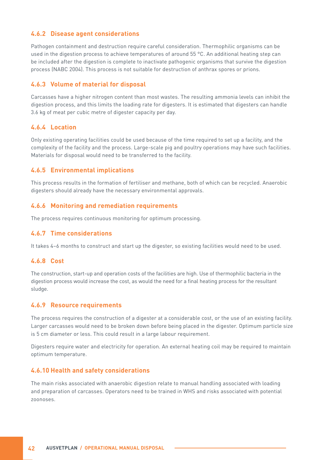#### **4.6.2 Disease agent considerations**

Pathogen containment and destruction require careful consideration. Thermophilic organisms can be used in the digestion process to achieve temperatures of around 55 °C. An additional heating step can be included after the digestion is complete to inactivate pathogenic organisms that survive the digestion process (NABC 2004). This process is not suitable for destruction of anthrax spores or prions.

#### **4.6.3 Volume of material for disposal**

Carcasses have a higher nitrogen content than most wastes. The resulting ammonia levels can inhibit the digestion process, and this limits the loading rate for digesters. It is estimated that digesters can handle 3.6 kg of meat per cubic metre of digester capacity per day.

#### **4.6.4 Location**

Only existing operating facilities could be used because of the time required to set up a facility, and the complexity of the facility and the process. Large-scale pig and poultry operations may have such facilities. Materials for disposal would need to be transferred to the facility.

#### **4.6.5 Environmental implications**

This process results in the formation of fertiliser and methane, both of which can be recycled. Anaerobic digesters should already have the necessary environmental approvals.

#### **4.6.6 Monitoring and remediation requirements**

The process requires continuous monitoring for optimum processing.

#### **4.6.7 Time considerations**

It takes 4–6 months to construct and start up the digester, so existing facilities would need to be used.

#### **4.6.8 Cost**

The construction, start-up and operation costs of the facilities are high. Use of thermophilic bacteria in the digestion process would increase the cost, as would the need for a final heating process for the resultant sludge.

#### **4.6.9 Resource requirements**

The process requires the construction of a digester at a considerable cost, or the use of an existing facility. Larger carcasses would need to be broken down before being placed in the digester. Optimum particle size is 5 cm diameter or less. This could result in a large labour requirement.

Digesters require water and electricity for operation. An external heating coil may be required to maintain optimum temperature.

#### **4.6.10 Health and safety considerations**

The main risks associated with anaerobic digestion relate to manual handling associated with loading and preparation of carcasses. Operators need to be trained in WHS and risks associated with potential zoonoses.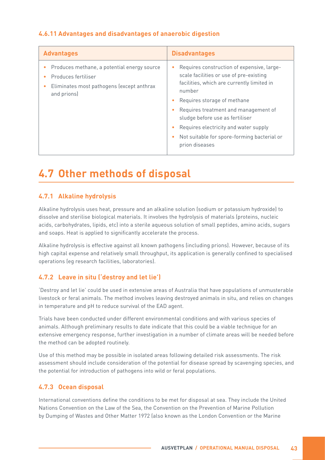### **4.6.11 Advantages and disadvantages of anaerobic digestion**

| <b>Advantages</b>                                                                                                              | <b>Disadvantages</b>                                                                                                                                                                                                                                                                                                                                              |
|--------------------------------------------------------------------------------------------------------------------------------|-------------------------------------------------------------------------------------------------------------------------------------------------------------------------------------------------------------------------------------------------------------------------------------------------------------------------------------------------------------------|
| Produces methane, a potential energy source<br>Produces fertiliser<br>Eliminates most pathogens (except anthrax<br>and prions) | Requires construction of expensive, large-<br>scale facilities or use of pre-existing<br>facilities, which are currently limited in<br>number<br>Requires storage of methane<br>Requires treatment and management of<br>sludge before use as fertiliser<br>Requires electricity and water supply<br>Not suitable for spore-forming bacterial or<br>prion diseases |

### **4.7 Other methods of disposal**

### **4.7.1 Alkaline hydrolysis**

Alkaline hydrolysis uses heat, pressure and an alkaline solution (sodium or potassium hydroxide) to dissolve and sterilise biological materials. It involves the hydrolysis of materials (proteins, nucleic acids, carbohydrates, lipids, etc) into a sterile aqueous solution of small peptides, amino acids, sugars and soaps. Heat is applied to significantly accelerate the process.

Alkaline hydrolysis is effective against all known pathogens (including prions). However, because of its high capital expense and relatively small throughput, its application is generally confined to specialised operations (eg research facilities, laboratories).

#### **4.7.2 Leave in situ ('destroy and let lie')**

'Destroy and let lie' could be used in extensive areas of Australia that have populations of unmusterable livestock or feral animals. The method involves leaving destroyed animals in situ, and relies on changes in temperature and pH to reduce survival of the EAD agent.

Trials have been conducted under different environmental conditions and with various species of animals. Although preliminary results to date indicate that this could be a viable technique for an extensive emergency response, further investigation in a number of climate areas will be needed before the method can be adopted routinely.

Use of this method may be possible in isolated areas following detailed risk assessments. The risk assessment should include consideration of the potential for disease spread by scavenging species, and the potential for introduction of pathogens into wild or feral populations.

#### **4.7.3 Ocean disposal**

International conventions define the conditions to be met for disposal at sea. They include the United Nations Convention on the Law of the Sea, the Convention on the Prevention of Marine Pollution by Dumping of Wastes and Other Matter 1972 (also known as the London Convention or the Marine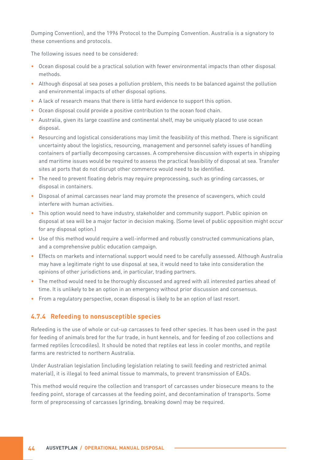Dumping Convention), and the 1996 Protocol to the Dumping Convention. Australia is a signatory to these conventions and protocols.

The following issues need to be considered:

- Ocean disposal could be a practical solution with fewer environmental impacts than other disposal methods.
- Although disposal at sea poses a pollution problem, this needs to be balanced against the pollution and environmental impacts of other disposal options.
- A lack of research means that there is little hard evidence to support this option.
- Ocean disposal could provide a positive contribution to the ocean food chain.
- Australia, given its large coastline and continental shelf, may be uniquely placed to use ocean disposal.
- Resourcing and logistical considerations may limit the feasibility of this method. There is significant uncertainty about the logistics, resourcing, management and personnel safety issues of handling containers of partially decomposing carcasses. A comprehensive discussion with experts in shipping and maritime issues would be required to assess the practical feasibility of disposal at sea. Transfer sites at ports that do not disrupt other commerce would need to be identified.
- The need to prevent floating debris may require preprocessing, such as grinding carcasses, or disposal in containers.
- Disposal of animal carcasses near land may promote the presence of scavengers, which could interfere with human activities.
- This option would need to have industry, stakeholder and community support. Public opinion on disposal at sea will be a major factor in decision making. (Some level of public opposition might occur for any disposal option.)
- Use of this method would require a well-informed and robustly constructed communications plan, and a comprehensive public education campaign.
- Effects on markets and international support would need to be carefully assessed. Although Australia may have a legitimate right to use disposal at sea, it would need to take into consideration the opinions of other jurisdictions and, in particular, trading partners.
- The method would need to be thoroughly discussed and agreed with all interested parties ahead of time. It is unlikely to be an option in an emergency without prior discussion and consensus.
- From a regulatory perspective, ocean disposal is likely to be an option of last resort.

#### **4.7.4 Refeeding to nonsusceptible species**

Refeeding is the use of whole or cut-up carcasses to feed other species. It has been used in the past for feeding of animals bred for the fur trade, in hunt kennels, and for feeding of zoo collections and farmed reptiles (crocodiles). It should be noted that reptiles eat less in cooler months, and reptile farms are restricted to northern Australia.

Under Australian legislation (including legislation relating to swill feeding and restricted animal material), it is illegal to feed animal tissue to mammals, to prevent transmission of EADs.

This method would require the collection and transport of carcasses under biosecure means to the feeding point, storage of carcasses at the feeding point, and decontamination of transports. Some form of preprocessing of carcasses (grinding, breaking down) may be required.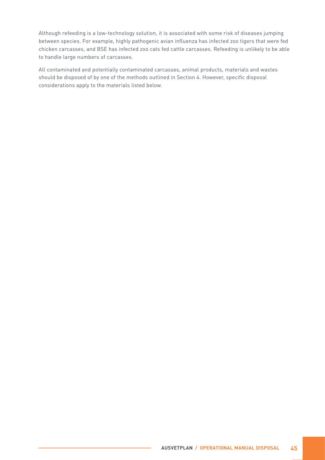Although refeeding is a low-technology solution, it is associated with some risk of diseases jumping between species. For example, highly pathogenic avian influenza has infected zoo tigers that were fed chicken carcasses, and BSE has infected zoo cats fed cattle carcasses. Refeeding is unlikely to be able to handle large numbers of carcasses.

All contaminated and potentially contaminated carcasses, animal products, materials and wastes should be disposed of by one of the methods outlined in Section 4. However, specific disposal considerations apply to the materials listed below.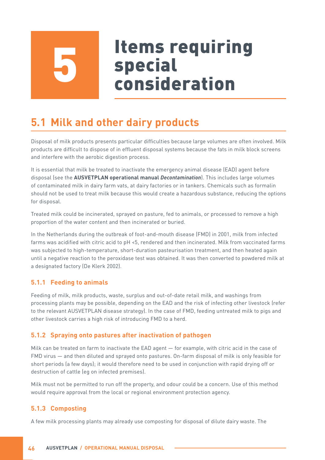# Items requiring special<br>consideration

# **5.1 Milk and other dairy products**

Disposal of milk products presents particular difficulties because large volumes are often involved. Milk products are difficult to dispose of in effluent disposal systems because the fats in milk block screens and interfere with the aerobic digestion process.

It is essential that milk be treated to inactivate the emergency animal disease (EAD) agent before disposal (see the **AUSVETPLAN operational manual** *Decontamination*). This includes large volumes of contaminated milk in dairy farm vats, at dairy factories or in tankers. Chemicals such as formalin should not be used to treat milk because this would create a hazardous substance, reducing the options for disposal.

Treated milk could be incinerated, sprayed on pasture, fed to animals, or processed to remove a high proportion of the water content and then incinerated or buried.

In the Netherlands during the outbreak of foot-and-mouth disease (FMD) in 2001, milk from infected farms was acidified with citric acid to pH <5, rendered and then incinerated. Milk from vaccinated farms was subjected to high-temperature, short-duration pasteurisation treatment, and then heated again until a negative reaction to the peroxidase test was obtained. It was then converted to powdered milk at a designated factory (De Klerk 2002).

### **5.1.1 Feeding to animals**

Feeding of milk, milk products, waste, surplus and out-of-date retail milk, and washings from processing plants may be possible, depending on the EAD and the risk of infecting other livestock (refer to the relevant AUSVETPLAN disease strategy). In the case of FMD, feeding untreated milk to pigs and other livestock carries a high risk of introducing FMD to a herd.

#### **5.1.2 Spraying onto pastures after inactivation of pathogen**

Milk can be treated on farm to inactivate the EAD agent — for example, with citric acid in the case of FMD virus — and then diluted and sprayed onto pastures. On-farm disposal of milk is only feasible for short periods (a few days); it would therefore need to be used in conjunction with rapid drying off or destruction of cattle (eg on infected premises).

Milk must not be permitted to run off the property, and odour could be a concern. Use of this method would require approval from the local or regional environment protection agency.

### **5.1.3 Composting**

A few milk processing plants may already use composting for disposal of dilute dairy waste. The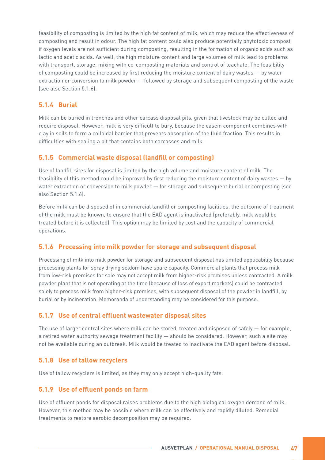feasibility of composting is limited by the high fat content of milk, which may reduce the effectiveness of composting and result in odour. The high fat content could also produce potentially phytotoxic compost if oxygen levels are not sufficient during composting, resulting in the formation of organic acids such as lactic and acetic acids. As well, the high moisture content and large volumes of milk lead to problems with transport, storage, mixing with co-composting materials and control of leachate. The feasibility of composting could be increased by first reducing the moisture content of dairy wastes — by water extraction or conversion to milk powder — followed by storage and subsequent composting of the waste (see also Section 5.1.6).

#### **5.1.4 Burial**

Milk can be buried in trenches and other carcass disposal pits, given that livestock may be culled and require disposal. However, milk is very difficult to bury, because the casein component combines with clay in soils to form a colloidal barrier that prevents absorption of the fluid fraction. This results in difficulties with sealing a pit that contains both carcasses and milk.

#### **5.1.5 Commercial waste disposal (landfill or composting)**

Use of landfill sites for disposal is limited by the high volume and moisture content of milk. The feasibility of this method could be improved by first reducing the moisture content of dairy wastes — by water extraction or conversion to milk powder — for storage and subsequent burial or composting (see also Section 5.1.6).

Before milk can be disposed of in commercial landfill or composting facilities, the outcome of treatment of the milk must be known, to ensure that the EAD agent is inactivated (preferably, milk would be treated before it is collected). This option may be limited by cost and the capacity of commercial operations.

#### **5.1.6 Processing into milk powder for storage and subsequent disposal**

Processing of milk into milk powder for storage and subsequent disposal has limited applicability because processing plants for spray drying seldom have spare capacity. Commercial plants that process milk from low-risk premises for sale may not accept milk from higher-risk premises unless contracted. A milk powder plant that is not operating at the time (because of loss of export markets) could be contracted solely to process milk from higher-risk premises, with subsequent disposal of the powder in landfill, by burial or by incineration. Memoranda of understanding may be considered for this purpose.

#### **5.1.7 Use of central effluent wastewater disposal sites**

The use of larger central sites where milk can be stored, treated and disposed of safely — for example, a retired water authority sewage treatment facility — should be considered. However, such a site may not be available during an outbreak. Milk would be treated to inactivate the EAD agent before disposal.

#### **5.1.8 Use of tallow recyclers**

Use of tallow recyclers is limited, as they may only accept high-quality fats.

#### **5.1.9 Use of effluent ponds on farm**

Use of effluent ponds for disposal raises problems due to the high biological oxygen demand of milk. However, this method may be possible where milk can be effectively and rapidly diluted. Remedial treatments to restore aerobic decomposition may be required.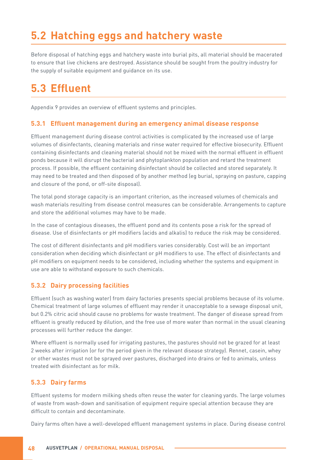# **5.2 Hatching eggs and hatchery waste**

Before disposal of hatching eggs and hatchery waste into burial pits, all material should be macerated to ensure that live chickens are destroyed. Assistance should be sought from the poultry industry for the supply of suitable equipment and guidance on its use.

## **5.3 Effluent**

Appendix 9 provides an overview of effluent systems and principles.

#### **5.3.1 Effluent management during an emergency animal disease response**

Effluent management during disease control activities is complicated by the increased use of large volumes of disinfectants, cleaning materials and rinse water required for effective biosecurity. Effluent containing disinfectants and cleaning material should not be mixed with the normal effluent in effluent ponds because it will disrupt the bacterial and phytoplankton population and retard the treatment process. If possible, the effluent containing disinfectant should be collected and stored separately. It may need to be treated and then disposed of by another method (eg burial, spraying on pasture, capping and closure of the pond, or off-site disposal).

The total pond storage capacity is an important criterion, as the increased volumes of chemicals and wash materials resulting from disease control measures can be considerable. Arrangements to capture and store the additional volumes may have to be made.

In the case of contagious diseases, the effluent pond and its contents pose a risk for the spread of disease. Use of disinfectants or pH modifiers (acids and alkalis) to reduce the risk may be considered.

The cost of different disinfectants and pH modifiers varies considerably. Cost will be an important consideration when deciding which disinfectant or pH modifiers to use. The effect of disinfectants and pH modifiers on equipment needs to be considered, including whether the systems and equipment in use are able to withstand exposure to such chemicals.

#### **5.3.2 Dairy processing facilities**

Effluent (such as washing water) from dairy factories presents special problems because of its volume. Chemical treatment of large volumes of effluent may render it unacceptable to a sewage disposal unit, but 0.2% citric acid should cause no problems for waste treatment. The danger of disease spread from effluent is greatly reduced by dilution, and the free use of more water than normal in the usual cleaning processes will further reduce the danger.

Where effluent is normally used for irrigating pastures, the pastures should not be grazed for at least 2 weeks after irrigation (or for the period given in the relevant disease strategy). Rennet, casein, whey or other wastes must not be sprayed over pastures, discharged into drains or fed to animals, unless treated with disinfectant as for milk.

#### **5.3.3 Dairy farms**

Effluent systems for modern milking sheds often reuse the water for cleaning yards. The large volumes of waste from wash-down and sanitisation of equipment require special attention because they are difficult to contain and decontaminate.

Dairy farms often have a well-developed effluent management systems in place. During disease control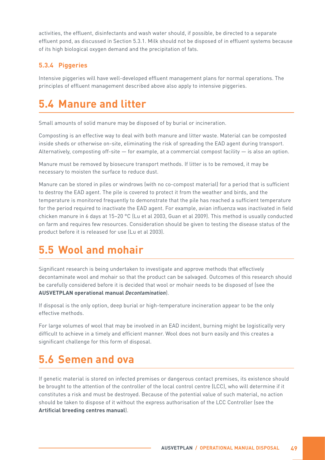activities, the effluent, disinfectants and wash water should, if possible, be directed to a separate effluent pond, as discussed in Section 5.3.1. Milk should not be disposed of in effluent systems because of its high biological oxygen demand and the precipitation of fats.

#### **5.3.4 Piggeries**

Intensive piggeries will have well-developed effluent management plans for normal operations. The principles of effluent management described above also apply to intensive piggeries.

### **5.4 Manure and litter**

Small amounts of solid manure may be disposed of by burial or incineration.

Composting is an effective way to deal with both manure and litter waste. Material can be composted inside sheds or otherwise on-site, eliminating the risk of spreading the EAD agent during transport. Alternatively, composting off-site  $-$  for example, at a commercial compost facility  $-$  is also an option.

Manure must be removed by biosecure transport methods. If litter is to be removed, it may be necessary to moisten the surface to reduce dust.

Manure can be stored in piles or windrows (with no co-compost material) for a period that is sufficient to destroy the EAD agent. The pile is covered to protect it from the weather and birds, and the temperature is monitored frequently to demonstrate that the pile has reached a sufficient temperature for the period required to inactivate the EAD agent. For example, avian influenza was inactivated in field chicken manure in 6 days at 15–20 °C (Lu et al 2003, Guan et al 2009). This method is usually conducted on farm and requires few resources. Consideration should be given to testing the disease status of the product before it is released for use (Lu et al 2003).

### **5.5 Wool and mohair**

Significant research is being undertaken to investigate and approve methods that effectively decontaminate wool and mohair so that the product can be salvaged. Outcomes of this research should be carefully considered before it is decided that wool or mohair needs to be disposed of (see the **AUSVETPLAN operational manual** *Decontamination*).

If disposal is the only option, deep burial or high-temperature incineration appear to be the only effective methods.

For large volumes of wool that may be involved in an EAD incident, burning might be logistically very difficult to achieve in a timely and efficient manner. Wool does not burn easily and this creates a significant challenge for this form of disposal.

### **5.6 Semen and ova**

If genetic material is stored on infected premises or dangerous contact premises, its existence should be brought to the attention of the controller of the local control centre (LCC), who will determine if it constitutes a risk and must be destroyed. Because of the potential value of such material, no action should be taken to dispose of it without the express authorisation of the LCC Controller (see the **Artificial breeding centres manual**).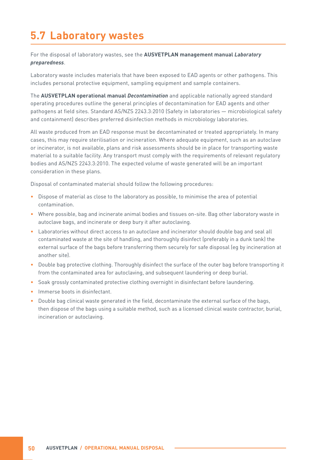## **5.7 Laboratory wastes**

For the disposal of laboratory wastes, see the **AUSVETPLAN management manual** *Laboratory preparedness*.

Laboratory waste includes materials that have been exposed to EAD agents or other pathogens. This includes personal protective equipment, sampling equipment and sample containers.

The **AUSVETPLAN operational manual** *Decontamination* and applicable nationally agreed standard operating procedures outline the general principles of decontamination for EAD agents and other pathogens at field sites. Standard AS/NZS 2243.3:2010 (Safety in laboratories — microbiological safety and containment) describes preferred disinfection methods in microbiology laboratories.

All waste produced from an EAD response must be decontaminated or treated appropriately. In many cases, this may require sterilisation or incineration. Where adequate equipment, such as an autoclave or incinerator, is not available, plans and risk assessments should be in place for transporting waste material to a suitable facility. Any transport must comply with the requirements of relevant regulatory bodies and AS/NZS 2243.3:2010. The expected volume of waste generated will be an important consideration in these plans.

Disposal of contaminated material should follow the following procedures:

- Dispose of material as close to the laboratory as possible, to minimise the area of potential contamination.
- Where possible, bag and incinerate animal bodies and tissues on-site. Bag other laboratory waste in autoclave bags, and incinerate or deep bury it after autoclaving.
- Laboratories without direct access to an autoclave and incinerator should double bag and seal all contaminated waste at the site of handling, and thoroughly disinfect (preferably in a dunk tank) the external surface of the bags before transferring them securely for safe disposal (eg by incineration at another site).
- Double bag protective clothing. Thoroughly disinfect the surface of the outer bag before transporting it from the contaminated area for autoclaving, and subsequent laundering or deep burial.
- Soak grossly contaminated protective clothing overnight in disinfectant before laundering.
- Immerse boots in disinfectant.
- Double bag clinical waste generated in the field, decontaminate the external surface of the bags, then dispose of the bags using a suitable method, such as a licensed clinical waste contractor, burial, incineration or autoclaving.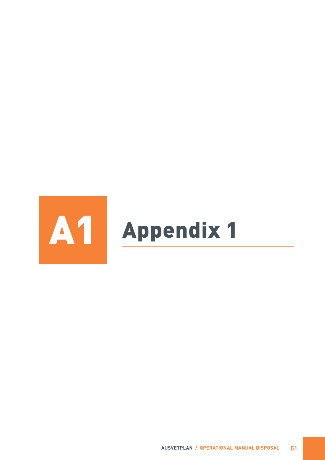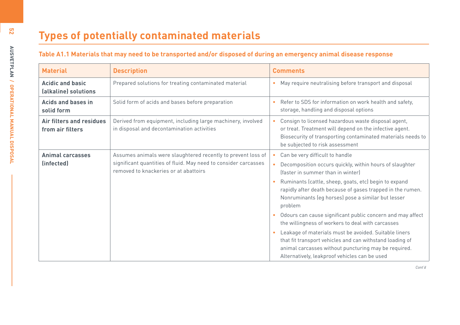| <b>Material</b>                                 | <b>Description</b>                                                                                                                                                       | <b>Comments</b>                                                                                                                                                                                                            |
|-------------------------------------------------|--------------------------------------------------------------------------------------------------------------------------------------------------------------------------|----------------------------------------------------------------------------------------------------------------------------------------------------------------------------------------------------------------------------|
| <b>Acidic and basic</b><br>(alkaline) solutions | Prepared solutions for treating contaminated material                                                                                                                    | • May require neutralising before transport and disposal                                                                                                                                                                   |
| Acids and bases in<br>solid form                | Solid form of acids and bases before preparation                                                                                                                         | Refer to SDS for information on work health and safety,<br>storage, handling and disposal options                                                                                                                          |
| Air filters and residues<br>from air filters    | Derived from equipment, including large machinery, involved<br>in disposal and decontamination activities                                                                | Consign to licensed hazardous waste disposal agent,<br>or treat. Treatment will depend on the infective agent.<br>Biosecurity of transporting contaminated materials needs to<br>be subjected to risk assessment           |
| <b>Animal carcasses</b><br>(infected)           | Assumes animals were slaughtered recently to prevent loss of<br>significant quantities of fluid. May need to consider carcasses<br>removed to knackeries or at abattoirs | Can be very difficult to handle<br>Decomposition occurs quickly, within hours of slaughter<br>Ifaster in summer than in winterl                                                                                            |
|                                                 |                                                                                                                                                                          | Ruminants (cattle, sheep, goats, etc) begin to expand<br>rapidly after death because of gases trapped in the rumen.<br>Nonruminants (eg horses) pose a similar but lesser<br>problem                                       |
|                                                 |                                                                                                                                                                          | Odours can cause significant public concern and may affect<br>$\bullet$<br>the willingness of workers to deal with carcasses                                                                                               |
|                                                 |                                                                                                                                                                          | Leakage of materials must be avoided. Suitable liners<br>that fit transport vehicles and can withstand loading of<br>animal carcasses without puncturing may be required.<br>Alternatively, leakproof vehicles can be used |

**52**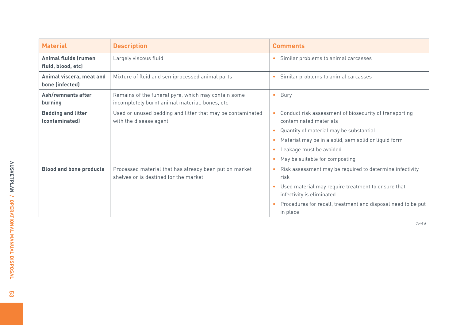| <b>Material</b>                             | <b>Description</b>                                                                                    | <b>Comments</b>                                                                               |
|---------------------------------------------|-------------------------------------------------------------------------------------------------------|-----------------------------------------------------------------------------------------------|
| Animal fluids (rumen<br>fluid, blood, etc)  | Largely viscous fluid                                                                                 | Similar problems to animal carcasses<br>$\bullet$                                             |
| Animal viscera, meat and<br>bone (infected) | Mixture of fluid and semiprocessed animal parts                                                       | Similar problems to animal carcasses                                                          |
| Ash/remnants after<br>burning               | Remains of the funeral pyre, which may contain some<br>incompletely burnt animal material, bones, etc | Bury<br>$\bullet$                                                                             |
| <b>Bedding and litter</b><br>(contaminated) | Used or unused bedding and litter that may be contaminated<br>with the disease agent                  | Conduct risk assessment of biosecurity of transporting<br>$\bullet$<br>contaminated materials |
|                                             |                                                                                                       | Quantity of material may be substantial<br>$\bullet$                                          |
|                                             |                                                                                                       | Material may be in a solid, semisolid or liquid form<br>$\bullet$                             |
|                                             |                                                                                                       | Leakage must be avoided                                                                       |
|                                             |                                                                                                       | May be suitable for composting                                                                |
| <b>Blood and bone products</b>              | Processed material that has already been put on market<br>shelves or is destined for the market       | Risk assessment may be required to determine infectivity<br>$\bullet$<br>risk                 |
|                                             |                                                                                                       | Used material may require treatment to ensure that<br>$\bullet$<br>infectivity is eliminated  |
|                                             |                                                                                                       | Procedures for recall, treatment and disposal need to be put<br>in place                      |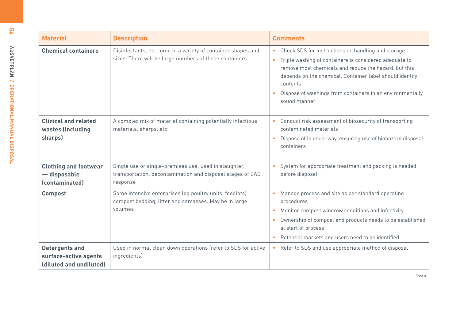| <b>Material</b>                                                           | <b>Description</b>                                                                                                              | <b>Comments</b>                                                                                                                                                                                                                                                                                                                |
|---------------------------------------------------------------------------|---------------------------------------------------------------------------------------------------------------------------------|--------------------------------------------------------------------------------------------------------------------------------------------------------------------------------------------------------------------------------------------------------------------------------------------------------------------------------|
| <b>Chemical containers</b>                                                | Disinfectants, etc come in a variety of container shapes and<br>sizes. There will be large numbers of these containers          | • Check SDS for instructions on handling and storage<br>• Triple washing of containers is considered adequate to<br>remove most chemicals and reduce the hazard, but this<br>depends on the chemical. Container label should identify<br>contents<br>Dispose of washings from containers in an environmentally<br>sound manner |
| <b>Clinical and related</b><br>wastes (including<br>sharps)               | A complex mix of material containing potentially infectious<br>materials, sharps, etc                                           | • Conduct risk assessment of biosecurity of transporting<br>contaminated materials<br>Dispose of in usual way, ensuring use of biohazard disposal<br>containers                                                                                                                                                                |
| <b>Clothing and footwear</b><br>- disposable<br>(contaminated)            | Single use or single-premises use; used in slaughter,<br>transportation, decontamination and disposal stages of EAD<br>response | System for appropriate treatment and packing is needed<br>before disposal                                                                                                                                                                                                                                                      |
| <b>Compost</b>                                                            | Some intensive enterprises (eg poultry units, feedlots)<br>compost bedding, litter and carcasses. May be in large<br>volumes    | • Manage process and site as per standard operating<br>procedures<br>Monitor compost windrow conditions and infectivity<br>$\bullet$<br>Ownership of compost end products needs to be established<br>$\bullet$<br>at start of process<br>Potential markets and users need to be identified                                     |
| <b>Detergents and</b><br>surface-active agents<br>(diluted and undiluted) | Used in normal clean down operations (refer to SDS for active<br>ingredients)                                                   | Refer to SDS and use appropriate method of disposal<br>$\bullet$                                                                                                                                                                                                                                                               |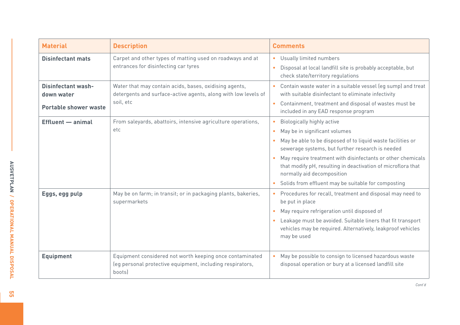| <b>Material</b>                                                  | <b>Description</b>                                                                                                                    | <b>Comments</b>                                                                                                                                                                                                                                                                                                                                                                                                                                        |
|------------------------------------------------------------------|---------------------------------------------------------------------------------------------------------------------------------------|--------------------------------------------------------------------------------------------------------------------------------------------------------------------------------------------------------------------------------------------------------------------------------------------------------------------------------------------------------------------------------------------------------------------------------------------------------|
| <b>Disinfectant mats</b>                                         | Carpet and other types of matting used on roadways and at<br>entrances for disinfecting car tyres                                     | Usually limited numbers<br>$\bullet$<br>Disposal at local landfill site is probably acceptable, but<br>$\bullet$<br>check state/territory regulations                                                                                                                                                                                                                                                                                                  |
| <b>Disinfectant wash-</b><br>down water<br>Portable shower waste | Water that may contain acids, bases, oxidising agents,<br>detergents and surface-active agents, along with low levels of<br>soil, etc | Contain waste water in a suitable vessel (eg sump) and treat<br>with suitable disinfectant to eliminate infectivity<br>Containment, treatment and disposal of wastes must be<br>$\bullet$<br>included in any EAD response program                                                                                                                                                                                                                      |
| <b>Effluent</b> - animal                                         | From saleyards, abattoirs, intensive agriculture operations,<br>etc                                                                   | Biologically highly active<br>$\bullet$<br>May be in significant volumes<br>$\bullet$<br>May be able to be disposed of to liquid waste facilities or<br>sewerage systems, but further research is needed<br>May require treatment with disinfectants or other chemicals<br>$\bullet$<br>that modify pH, resulting in deactivation of microflora that<br>normally aid decomposition<br>Solids from effluent may be suitable for composting<br>$\bullet$ |
| Eggs, egg pulp                                                   | May be on farm; in transit; or in packaging plants, bakeries,<br>supermarkets                                                         | • Procedures for recall, treatment and disposal may need to<br>be put in place<br>May require refrigeration until disposed of<br>$\bullet$<br>Leakage must be avoided. Suitable liners that fit transport<br>$\bullet$<br>vehicles may be required. Alternatively, leakproof vehicles<br>may be used                                                                                                                                                   |
| <b>Equipment</b>                                                 | Equipment considered not worth keeping once contaminated<br>(eg personal protective equipment, including respirators,<br>bootsl       | May be possible to consign to licensed hazardous waste<br>$\bullet$<br>disposal operation or bury at a licensed landfill site                                                                                                                                                                                                                                                                                                                          |

<mark>ទ</mark>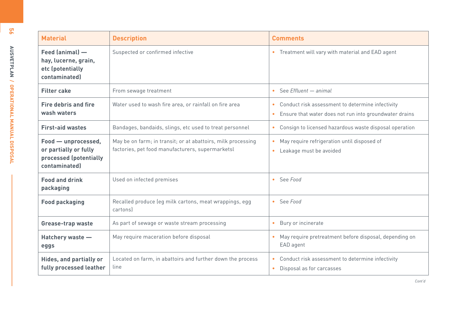| ŏ.                                                                        | <b>Material</b>                                                                         | <b>Description</b>                                                                                               | <b>Comments</b>                                                                                              |
|---------------------------------------------------------------------------|-----------------------------------------------------------------------------------------|------------------------------------------------------------------------------------------------------------------|--------------------------------------------------------------------------------------------------------------|
| <b>ANSIONAL DISPOSSION IN ANUMENT IN A MARKET PLANE IN A MARKET PLANE</b> | Feed (animal) -<br>hay, lucerne, grain,<br>etc (potentially<br>contaminated)            | Suspected or confirmed infective                                                                                 | • Treatment will vary with material and EAD agent                                                            |
|                                                                           | <b>Filter cake</b>                                                                      | From sewage treatment                                                                                            | • See Effluent $-$ animal                                                                                    |
|                                                                           | <b>Fire debris and fire</b><br>wash waters                                              | Water used to wash fire area, or rainfall on fire area                                                           | • Conduct risk assessment to determine infectivity<br>Ensure that water does not run into groundwater drains |
|                                                                           | <b>First-aid wastes</b>                                                                 | Bandages, bandaids, slings, etc used to treat personnel                                                          | • Consign to licensed hazardous waste disposal operation                                                     |
|                                                                           | Food - unprocessed,<br>or partially or fully<br>processed (potentially<br>contaminated) | May be on farm; in transit; or at abattoirs, milk processing<br>factories, pet food manufacturers, supermarketsl | • May require refrigeration until disposed of<br>Leakage must be avoided<br>$\bullet$ .                      |
|                                                                           | <b>Food and drink</b><br>packaging                                                      | Used on infected premises                                                                                        | • See Food                                                                                                   |
|                                                                           | <b>Food packaging</b>                                                                   | Recalled produce (eg milk cartons, meat wrappings, egg<br>cartons                                                | $-$ See Food                                                                                                 |
|                                                                           | <b>Grease-trap waste</b>                                                                | As part of sewage or waste stream processing                                                                     | • Bury or incinerate                                                                                         |
|                                                                           | Hatchery waste -<br>eggs                                                                | May require maceration before disposal                                                                           | May require pretreatment before disposal, depending on<br>EAD agent                                          |
|                                                                           | Hides, and partially or<br>fully processed leather                                      | Located on farm, in abattoirs and further down the process<br>line                                               | • Conduct risk assessment to determine infectivity<br>• Disposal as for carcasses                            |

**56**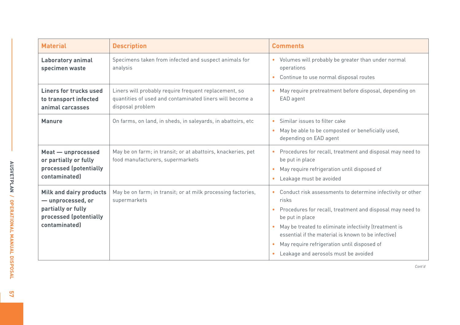| <b>Material</b>                                                                                                      | <b>Description</b>                                                                                                                    | <b>Comments</b>                                                                                                                                                                                                                                                                                                                                                                 |
|----------------------------------------------------------------------------------------------------------------------|---------------------------------------------------------------------------------------------------------------------------------------|---------------------------------------------------------------------------------------------------------------------------------------------------------------------------------------------------------------------------------------------------------------------------------------------------------------------------------------------------------------------------------|
| Laboratory animal<br>specimen waste                                                                                  | Specimens taken from infected and suspect animals for<br>analysis                                                                     | • Volumes will probably be greater than under normal<br>operations<br>Continue to use normal disposal routes                                                                                                                                                                                                                                                                    |
| Liners for trucks used<br>to transport infected<br>animal carcasses                                                  | Liners will probably require frequent replacement, so<br>quantities of used and contaminated liners will become a<br>disposal problem | • May require pretreatment before disposal, depending on<br>EAD agent                                                                                                                                                                                                                                                                                                           |
| <b>Manure</b>                                                                                                        | On farms, on land, in sheds, in saleyards, in abattoirs, etc                                                                          | Similar issues to filter cake<br>$\bullet$<br>• May be able to be composted or beneficially used,<br>depending on EAD agent                                                                                                                                                                                                                                                     |
| Meat - unprocessed<br>or partially or fully<br>processed (potentially<br>contaminated)                               | May be on farm; in transit; or at abattoirs, knackeries, pet<br>food manufacturers, supermarkets                                      | • Procedures for recall, treatment and disposal may need to<br>be put in place<br>May require refrigeration until disposed of<br>$\bullet$<br>Leakage must be avoided<br>$\bullet$                                                                                                                                                                                              |
| <b>Milk and dairy products</b><br>- unprocessed, or<br>partially or fully<br>processed (potentially<br>contaminated) | May be on farm; in transit; or at milk processing factories,<br>supermarkets                                                          | • Conduct risk assessments to determine infectivity or other<br>risks<br>• Procedures for recall, treatment and disposal may need to<br>be put in place<br>• May be treated to eliminate infectivity (treatment is<br>essential if the material is known to be infective)<br>• May require refrigeration until disposed of<br>Leakage and aerosols must be avoided<br>$\bullet$ |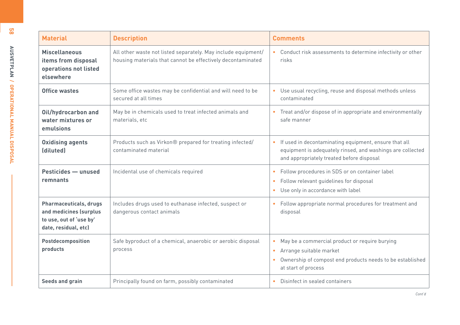| ဗူး                                       | <b>Material</b>                                                                                     | <b>Description</b>                                                                                                           | <b>Comments</b>                                                                                                                                                                                      |
|-------------------------------------------|-----------------------------------------------------------------------------------------------------|------------------------------------------------------------------------------------------------------------------------------|------------------------------------------------------------------------------------------------------------------------------------------------------------------------------------------------------|
| <b>ADSOUTHLAND / OPERATIONAL MANDSOUS</b> | <b>Miscellaneous</b><br>items from disposal<br>operations not listed<br>elsewhere                   | All other waste not listed separately. May include equipment/<br>housing materials that cannot be effectively decontaminated | • Conduct risk assessments to determine infectivity or other<br>risks                                                                                                                                |
|                                           | <b>Office wastes</b>                                                                                | Some office wastes may be confidential and will need to be<br>secured at all times                                           | • Use usual recycling, reuse and disposal methods unless<br>contaminated                                                                                                                             |
|                                           | Oil/hydrocarbon and<br>water mixtures or<br>emulsions                                               | May be in chemicals used to treat infected animals and<br>materials, etc                                                     | • Treat and/or dispose of in appropriate and environmentally<br>safe manner                                                                                                                          |
|                                           | <b>Oxidising agents</b><br>(diluted)                                                                | Products such as Virkon® prepared for treating infected/<br>contaminated material                                            | • If used in decontaminating equipment, ensure that all<br>equipment is adequately rinsed, and washings are collected<br>and appropriately treated before disposal                                   |
|                                           | Pesticides - unused<br>remnants                                                                     | Incidental use of chemicals required                                                                                         | Follow procedures in SDS or on container label<br>Follow relevant quidelines for disposal<br>Use only in accordance with label<br>۰                                                                  |
|                                           | Pharmaceuticals, drugs<br>and medicines (surplus<br>to use, out of 'use by'<br>date, residual, etc) | Includes drugs used to euthanase infected, suspect or<br>dangerous contact animals                                           | Follow appropriate normal procedures for treatment and<br>$\bullet$<br>disposal                                                                                                                      |
|                                           | Postdecomposition<br>products                                                                       | Safe byproduct of a chemical, anaerobic or aerobic disposal<br>process                                                       | May be a commercial product or require burying<br>$\bullet$<br>Arrange suitable market<br>$\bullet$<br>Ownership of compost end products needs to be established<br>$\bullet$<br>at start of process |
|                                           | <b>Seeds and grain</b>                                                                              | Principally found on farm, possibly contaminated                                                                             | Disinfect in sealed containers<br>$\bullet$                                                                                                                                                          |

**58**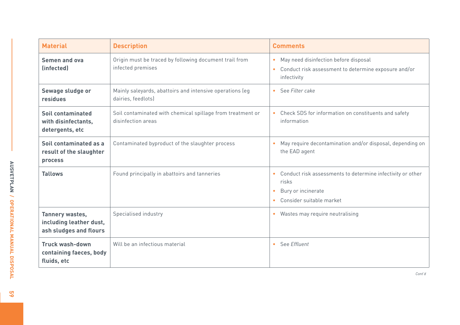| <b>Material</b>                                                      | <b>Description</b>                                                               | <b>Comments</b>                                                                                                           |
|----------------------------------------------------------------------|----------------------------------------------------------------------------------|---------------------------------------------------------------------------------------------------------------------------|
| <b>Semen and ova</b><br>(infected)                                   | Origin must be traced by following document trail from<br>infected premises      | May need disinfection before disposal<br>$\bullet$<br>Conduct risk assessment to determine exposure and/or<br>infectivity |
| Sewage sludge or<br>residues                                         | Mainly saleyards, abattoirs and intensive operations (eg<br>dairies, feedlots)   | See Filter cake<br>$\bullet$                                                                                              |
| <b>Soil contaminated</b><br>with disinfectants,<br>detergents, etc   | Soil contaminated with chemical spillage from treatment or<br>disinfection areas | Check SDS for information on constituents and safety<br>$\bullet$<br>information                                          |
| Soil contaminated as a<br>result of the slaughter<br>process         | Contaminated byproduct of the slaughter process                                  | May require decontamination and/or disposal, depending on<br>the EAD agent                                                |
| <b>Tallows</b>                                                       | Found principally in abattoirs and tanneries                                     | Conduct risk assessments to determine infectivity or other<br>risks<br>Bury or incinerate<br>Consider suitable market     |
| Tannery wastes,<br>including leather dust,<br>ash sludges and flours | Specialised industry                                                             | Wastes may require neutralising<br>$\bullet$                                                                              |
| Truck wash-down<br>containing faeces, body<br>fluids, etc            | Will be an infectious material                                                   | See Fffluent<br>$\bullet$                                                                                                 |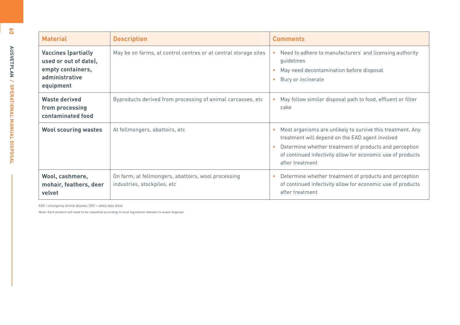| ŏ                                     | <b>Material</b>                                                                                         | <b>Description</b>                                                                 | <b>Comments</b>                                                                                                                                                                                                                                                             |
|---------------------------------------|---------------------------------------------------------------------------------------------------------|------------------------------------------------------------------------------------|-----------------------------------------------------------------------------------------------------------------------------------------------------------------------------------------------------------------------------------------------------------------------------|
| <b>AUSVETPLAN</b>                     | <b>Vaccines (partially</b><br>used or out of date),<br>empty containers,<br>administrative<br>equipment | May be on farms, at control centres or at central storage sites                    | Need to adhere to manufacturers' and licensing authority<br>guidelines<br>May need decontamination before disposal<br>Bury or incinerate                                                                                                                                    |
|                                       | <b>Waste derived</b><br>from processing<br>contaminated food                                            | Byproducts derived from processing of animal carcasses, etc                        | May follow similar disposal path to food, effluent or filter<br>cake                                                                                                                                                                                                        |
| <b>OPERALIONAL MANUAL DISPERALION</b> | <b>Wool scouring wastes</b>                                                                             | At fellmongers, abattoirs, etc                                                     | Most organisms are unlikely to survive this treatment. Any<br>٠<br>treatment will depend on the EAD agent involved<br>Determine whether treatment of products and perception<br>$\bullet$<br>of continued infectivity allow for economic use of products<br>after treatment |
|                                       | Wool, cashmere,<br>mohair, feathers, deer<br>velvet                                                     | On farm; at fellmongers, abattoirs, wool processing<br>industries, stockpiles, etc | Determine whether treatment of products and perception<br>of continued infectivity allow for economic use of products<br>after treatment                                                                                                                                    |

EAD = emergency animal disease; SDS = safety data sheet

Note: Each product will need to be classified according to local legislation relevant to waste disposal.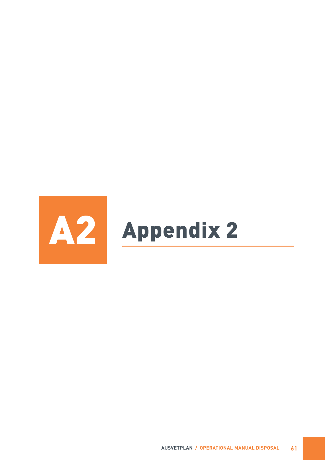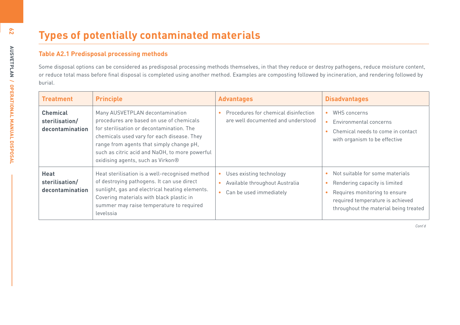| <b>Table A2.1 Predisposal processing methods</b><br>Some disposal options can be considered as predisposal processing methods themselves, in that they reduce or destroy pathogens, reduce moisture content,<br>or reduce total mass before final disposal is completed using another method. Examples are composting followed by incineration, and rendering followed by<br>burial. |                                                                                                                                                                                                                                                                                                           |                                                                                                    |                                                                                                                                                                                |
|--------------------------------------------------------------------------------------------------------------------------------------------------------------------------------------------------------------------------------------------------------------------------------------------------------------------------------------------------------------------------------------|-----------------------------------------------------------------------------------------------------------------------------------------------------------------------------------------------------------------------------------------------------------------------------------------------------------|----------------------------------------------------------------------------------------------------|--------------------------------------------------------------------------------------------------------------------------------------------------------------------------------|
| <b>Treatment</b>                                                                                                                                                                                                                                                                                                                                                                     | <b>Principle</b>                                                                                                                                                                                                                                                                                          | <b>Advantages</b>                                                                                  | <b>Disadvantages</b>                                                                                                                                                           |
| <b>Chemical</b><br>sterilisation/<br>decontamination                                                                                                                                                                                                                                                                                                                                 | Many AUSVETPLAN decontamination<br>procedures are based on use of chemicals<br>for sterilisation or decontamination. The<br>chemicals used vary for each disease. They<br>range from agents that simply change pH,<br>such as citric acid and NaOH, to more powerful<br>oxidising agents, such as Virkon® | Procedures for chemical disinfection<br>are well documented and understood                         | WHS concerns<br>$\bullet$<br>Environmental concerns<br>$\bullet$<br>Chemical needs to come in contact<br>with organism to be effective                                         |
| <b>Heat</b><br>sterilisation/<br>decontamination                                                                                                                                                                                                                                                                                                                                     | Heat sterilisation is a well-recognised method<br>of destroying pathogens. It can use direct<br>sunlight, gas and electrical heating elements.<br>Covering materials with black plastic in<br>summer may raise temperature to required<br>levelssia                                                       | Uses existing technology<br>Available throughout Australia<br>Can be used immediately<br>$\bullet$ | Not suitable for some materials<br>Rendering capacity is limited<br>Requires monitoring to ensure<br>required temperature is achieved<br>throughout the material being treated |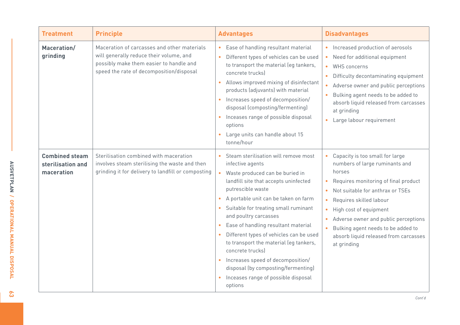| <b>Treatment</b>                                         | <b>Principle</b>                                                                                                                                                              | <b>Advantages</b>                                                                                                                                                                                                                                                                                                                                                                                                                                                                                                                                                                           | <b>Disadvantages</b>                                                                                                                                                                                                                                                                                                                                                                                                |
|----------------------------------------------------------|-------------------------------------------------------------------------------------------------------------------------------------------------------------------------------|---------------------------------------------------------------------------------------------------------------------------------------------------------------------------------------------------------------------------------------------------------------------------------------------------------------------------------------------------------------------------------------------------------------------------------------------------------------------------------------------------------------------------------------------------------------------------------------------|---------------------------------------------------------------------------------------------------------------------------------------------------------------------------------------------------------------------------------------------------------------------------------------------------------------------------------------------------------------------------------------------------------------------|
| Maceration/<br>grinding                                  | Maceration of carcasses and other materials<br>will generally reduce their volume, and<br>possibly make them easier to handle and<br>speed the rate of decomposition/disposal | • Ease of handling resultant material<br>Different types of vehicles can be used<br>$\bullet$<br>to transport the material (eg tankers,<br>concrete trucks)<br>Allows improved mixing of disinfectant<br>$\bullet$<br>products (adjuvants) with material<br>• Increases speed of decomposition/<br>disposal (composting/fermenting)<br>• Inceases range of possible disposal<br>options<br>• Large units can handle about 15<br>tonne/hour                                                                                                                                                  | Increased production of aerosols<br>$\bullet$<br>Need for additional equipment<br>$\bullet$<br><b>WHS concerns</b><br>$\bullet$<br>Difficulty decontaminating equipment<br>$\bullet$<br>Adverse owner and public perceptions<br>$\bullet$<br>Bulking agent needs to be added to<br>absorb liquid released from carcasses<br>at grinding<br>Large labour requirement<br>$\bullet$                                    |
| <b>Combined steam</b><br>sterilisation and<br>maceration | Sterilisation combined with maceration<br>involves steam sterilising the waste and then<br>grinding it for delivery to landfill or composting                                 | Steam sterilisation will remove most<br>infective agents<br>Waste produced can be buried in<br>landfill site that accepts uninfected<br>putrescible waste<br>A portable unit can be taken on farm<br>$\bullet$<br>Suitable for treating small ruminant<br>and poultry carcasses<br>Ease of handling resultant material<br>$\bullet$<br>Different types of vehicles can be used<br>$\bullet$<br>to transport the material (eg tankers,<br>concrete trucks)<br>• Increases speed of decomposition/<br>disposal (by composting/fermenting)<br>• Inceases range of possible disposal<br>options | Capacity is too small for large<br>$\bullet$<br>numbers of large ruminants and<br>horses<br>Requires monitoring of final product<br>Not suitable for anthrax or TSEs<br>Requires skilled labour<br>$\bullet$<br>High cost of equipment<br>$\bullet$<br>Adverse owner and public perceptions<br>$\bullet$<br>Bulking agent needs to be added to<br>$\bullet$<br>absorb liquid released from carcasses<br>at grinding |

 $\mathcal{E}$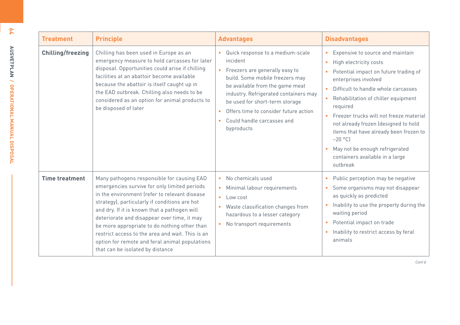| <b>Treatment</b>         | <b>Principle</b>                                                                                                                                                                                                                                                                                                                                                                                                                                                                      | <b>Advantages</b>                                                                                                                                                                                                                                                                                                                 | <b>Disadvantages</b>                                                                                                                                                                                                                                                                                                                                                                                                                                                       |
|--------------------------|---------------------------------------------------------------------------------------------------------------------------------------------------------------------------------------------------------------------------------------------------------------------------------------------------------------------------------------------------------------------------------------------------------------------------------------------------------------------------------------|-----------------------------------------------------------------------------------------------------------------------------------------------------------------------------------------------------------------------------------------------------------------------------------------------------------------------------------|----------------------------------------------------------------------------------------------------------------------------------------------------------------------------------------------------------------------------------------------------------------------------------------------------------------------------------------------------------------------------------------------------------------------------------------------------------------------------|
| <b>Chilling/freezing</b> | Chilling has been used in Europe as an<br>emergency measure to hold carcasses for later<br>disposal. Opportunities could arise if chilling<br>facilities at an abattoir become available<br>because the abattoir is itself caught up in<br>the EAD outbreak. Chilling also needs to be<br>considered as an option for animal products to<br>be disposed of later                                                                                                                      | Quick response to a medium-scale<br>incident<br>Freezers are generally easy to<br>build. Some mobile freezers may<br>be available from the game meat<br>industry. Refrigerated containers may<br>be used for short-term storage<br>Offers time to consider future action<br>$\bullet$<br>Could handle carcasses and<br>byproducts | Expensive to source and maintain<br>High electricity costs<br>$\bullet$<br>Potential impact on future trading of<br>enterprises involved<br>Difficult to handle whole carcasses<br>Rehabilitation of chiller equipment<br>$\bullet$<br>required<br>Freezer trucks will not freeze material<br>not already frozen (designed to hold<br>items that have already been frozen to<br>$-20$ °C)<br>May not be enough refrigerated<br>containers available in a large<br>outbreak |
| <b>Time treatment</b>    | Many pathogens responsible for causing EAD<br>emergencies survive for only limited periods<br>in the environment (refer to relevant disease<br>strategy), particularly if conditions are hot<br>and dry. If it is known that a pathogen will<br>deteriorate and disappear over time, it may<br>be more appropriate to do nothing other than<br>restrict access to the area and wait. This is an<br>option for remote and feral animal populations<br>that can be isolated by distance | No chemicals used<br>$\bullet$<br>Minimal labour requirements<br>$\bullet$<br>$\bullet$<br>Low cost<br>Waste classification changes from<br>hazardous to a lesser category<br>No transport requirements                                                                                                                           | Public perception may be negative<br>Some organisms may not disappear<br>$\bullet$<br>as quickly as predicted<br>Inability to use the property during the<br>$\bullet$<br>waiting period<br>Potential impact on trade<br>$\bullet$<br>Inability to restrict access by feral<br>$\bullet$<br>animals                                                                                                                                                                        |

**64**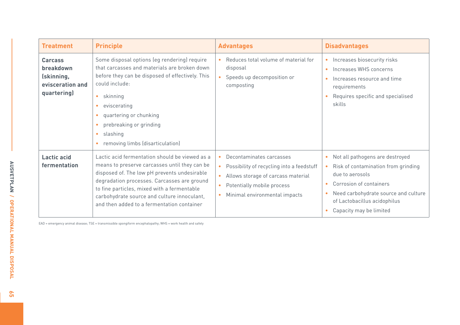| <b>Treatment</b>                                                             | <b>Principle</b>                                                                                                                                                                                                                                                                                                                                                                  | <b>Advantages</b>                                                                                                                                                                                                              | <b>Disadvantages</b>                                                                                                                                                                                                    |
|------------------------------------------------------------------------------|-----------------------------------------------------------------------------------------------------------------------------------------------------------------------------------------------------------------------------------------------------------------------------------------------------------------------------------------------------------------------------------|--------------------------------------------------------------------------------------------------------------------------------------------------------------------------------------------------------------------------------|-------------------------------------------------------------------------------------------------------------------------------------------------------------------------------------------------------------------------|
| <b>Carcass</b><br>breakdown<br>(skinning,<br>evisceration and<br>quartering) | Some disposal options (eg rendering) require<br>that carcasses and materials are broken down<br>before they can be disposed of effectively. This<br>could include:<br>skinning<br>$\bullet$<br>eviscerating<br>$\bullet$<br>quartering or chunking<br>$\bullet$<br>prebreaking or grinding<br>$\bullet$<br>slashing<br>$\bullet$<br>removing limbs (disarticulation)<br>$\bullet$ | Reduces total volume of material for<br>disposal<br>Speeds up decomposition or<br>composting                                                                                                                                   | Increases biosecurity risks<br>Increases WHS concerns<br>$\bullet$<br>Increases resource and time<br>requirements<br>Requires specific and specialised<br>skills                                                        |
| <b>Lactic acid</b><br>fermentation                                           | Lactic acid fermentation should be viewed as a<br>means to preserve carcasses until they can be<br>disposed of. The low pH prevents undesirable<br>degradation processes. Carcasses are ground<br>to fine particles, mixed with a fermentable<br>carbohydrate source and culture innoculant,<br>and then added to a fermentation container                                        | Decontaminates carcasses<br>Possibility of recycling into a feedstuff<br>$\bullet$<br>Allows storage of carcass material<br>$\bullet$<br>Potentially mobile process<br>$\bullet$<br>Minimal environmental impacts<br>$\bullet$ | Not all pathogens are destroyed<br>Risk of contamination from grinding<br>due to aerosols<br>Corrosion of containers<br>Need carbohydrate source and culture<br>of Lactobacillus acidophilus<br>Capacity may be limited |

EAD = emergency animal disease; TSE = transmissible spongiform encephalopathy; WHS = work health and safety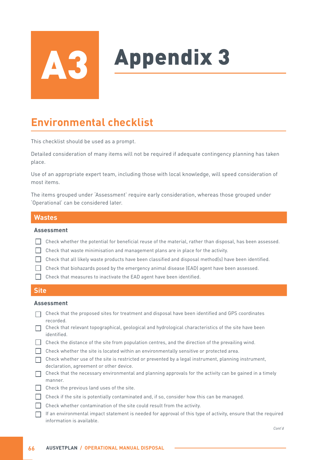# **Appendix 3**

## **Environmental checklist**

This checklist should be used as a prompt.

Detailed consideration of many items will not be required if adequate contingency planning has taken place.

Use of an appropriate expert team, including those with local knowledge, will speed consideration of most items.

The items grouped under 'Assessment' require early consideration, whereas those grouped under 'Operational' can be considered later.

#### **Wastes**

#### **Assessment**

- Check whether the potential for beneficial reuse of the material, rather than disposal, has been assessed.
- Check that waste minimisation and management plans are in place for the activity.
- $\Box$  Check that all likely waste products have been classified and disposal method(s) have been identified.
- $\Box$  Check that biohazards posed by the emergency animal disease (EAD) agent have been assessed.
- Check that measures to inactivate the EAD agent have been identified.

#### **Site**

#### **Assessment**

- Check that the proposed sites for treatment and disposal have been identified and GPS coordinates recorded.
- Check that relevant topographical, geological and hydrological characteristics of the site have been identified.
- Check the distance of the site from population centres, and the direction of the prevailing wind.
- Check whether the site is located within an environmentally sensitive or protected area.
- Check whether use of the site is restricted or prevented by a legal instrument, planning instrument, declaration, agreement or other device.
- $\Box$  Check that the necessary environmental and planning approvals for the activity can be gained in a timely manner.
- $\Box$  Check the previous land uses of the site.
- Check if the site is potentially contaminated and, if so, consider how this can be managed.
- $\Box$  Check whether contamination of the site could result from the activity.
- $\Box$  If an environmental impact statement is needed for approval of this type of activity, ensure that the required information is available.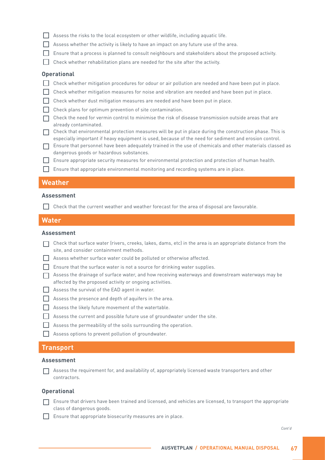- $\Box$  Assess the risks to the local ecosystem or other wildlife, including aquatic life.
- Assess whether the activity is likely to have an impact on any future use of the area.
- Ensure that a process is planned to consult neighbours and stakeholders about the proposed activity.
- Check whether rehabilitation plans are needed for the site after the activity.

#### **Operational**

- Check whether mitigation procedures for odour or air pollution are needed and have been put in place.
- Check whether mitigation measures for noise and vibration are needed and have been put in place.
- $\Box$  Check whether dust mitigation measures are needed and have been put in place.
- Check plans for optimum prevention of site contamination.
- $\Box$  Check the need for vermin control to minimise the risk of disease transmission outside areas that are already contaminated.
- $\Box$  Check that environmental protection measures will be put in place during the construction phase. This is especially important if heavy equipment is used, because of the need for sediment and erosion control.
- Ensure that personnel have been adequately trained in the use of chemicals and other materials classed as dangerous goods or hazardous substances.
- Ensure appropriate security measures for environmental protection and protection of human health.
- Ensure that appropriate environmental monitoring and recording systems are in place.

#### **Weather**

#### **Assessment**

 $\Box$  Check that the current weather and weather forecast for the area of disposal are favourable.

#### **Water**

#### **Assessment**

- $\Box$  Check that surface water (rivers, creeks, lakes, dams, etc) in the area is an appropriate distance from the site, and consider containment methods.
- Assess whether surface water could be polluted or otherwise affected.
- $\Box$  Ensure that the surface water is not a source for drinking water supplies.
- Assess the drainage of surface water, and how receiving waterways and downstream waterways may be affected by the proposed activity or ongoing activities.
- Assess the survival of the EAD agent in water.
- $\Box$  Assess the presence and depth of aquifers in the area.
- Assess the likely future movement of the watertable.
- Assess the current and possible future use of groundwater under the site.
- $\Box$  Assess the permeability of the soils surrounding the operation.
- Assess options to prevent pollution of groundwater.

#### **Transport**

#### **Assessment**

Assess the requirement for, and availability of, appropriately licensed waste transporters and other contractors.

#### **Operational**

Ensure that drivers have been trained and licensed, and vehicles are licensed, to transport the appropriate class of dangerous goods.

Ensure that appropriate biosecurity measures are in place.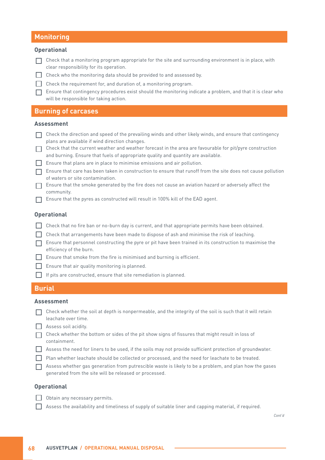#### **Monitoring**

#### **Operational**

- $\Box$  Check that a monitoring program appropriate for the site and surrounding environment is in place, with clear responsibility for its operation.
- $\Box$  Check who the monitoring data should be provided to and assessed by.
- Check the requirement for, and duration of, a monitoring program.
- Ensure that contingency procedures exist should the monitoring indicate a problem, and that it is clear who will be responsible for taking action.

#### **Burning of carcases**

#### **Assessment**

- $\Box$  Check the direction and speed of the prevailing winds and other likely winds, and ensure that contingency plans are available if wind direction changes.
- $\Box$  Check that the current weather and weather forecast in the area are favourable for pit/pyre construction and burning. Ensure that fuels of appropriate quality and quantity are available.
- Ensure that plans are in place to minimise emissions and air pollution.
- $\Box$  Ensure that care has been taken in construction to ensure that runoff from the site does not cause pollution of waters or site contamination.
- Ensure that the smoke generated by the fire does not cause an aviation hazard or adversely affect the community.
- $\Box$  Ensure that the pyres as constructed will result in 100% kill of the EAD agent.

#### **Operational**

- $\Box$  Check that no fire ban or no-burn day is current, and that appropriate permits have been obtained.
- Check that arrangements have been made to dispose of ash and minimise the risk of leaching.
- $\Box$  Ensure that personnel constructing the pyre or pit have been trained in its construction to maximise the efficiency of the burn.
- $\Box$  Ensure that smoke from the fire is minimised and burning is efficient.
- $\Box$  Ensure that air quality monitoring is planned.
- $\Box$  If pits are constructed, ensure that site remediation is planned.

#### **Burial**

#### **Assessment**

- $\Box$  Check whether the soil at depth is nonpermeable, and the integrity of the soil is such that it will retain leachate over time.
- Assess soil acidity.
- $\Box$  Check whether the bottom or sides of the pit show signs of fissures that might result in loss of containment.
- Assess the need for liners to be used, if the soils may not provide sufficient protection of groundwater.
- Plan whether leachate should be collected or processed, and the need for leachate to be treated.
- $\Box$  Assess whether gas generation from putrescible waste is likely to be a problem, and plan how the gases generated from the site will be released or processed.

#### **Operational**

- $\Box$  Obtain any necessary permits.
- Assess the availability and timeliness of supply of suitable liner and capping material, if required.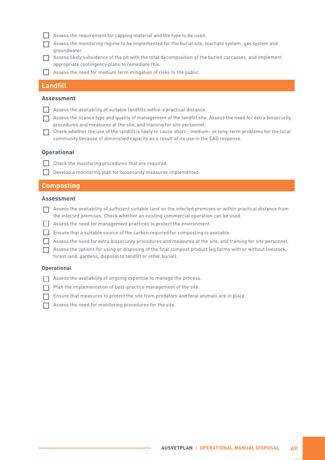- $\Box$  Assess the requirement for capping material and the type to be used.
- Assess the monitoring regime to be implemented for the burial site, leachate system, gas system and groundwater.
- Assess likely subsidence of the pit with the total decomposition of the buried carcasses, and implement appropriate contingency plans to remediate this.
- $\Box$  Assess the need for medium term mitigation of risks to the public.

#### **Landfill**

#### **Assessment**

- $\Box$  Assess the availability of suitable landfills within a practical distance.
- Assess the licence type and quality of management of the landfill site. Assess the need for extra biosecurity procedures and measures at the site, and training for site personnel.
- Check whether the use of the landfill is likely to cause short-, medium- or long-term problems for the local community because of diminished capacity as a result of its use in the EAD response.

#### **Operational**

- $\Box$  Check the monitoring procedures that are required.
- Develop a monitoring plan for biosecurity measures implemented.

#### **Composting**

#### **Assessment**

- Assess the availability of sufficient suitable land on the infected premises or within practical distance from the infected premises. Check whether an existing commercial operation can be used.
- Assess the need for management practices to protect the environment.
- $\Box$  Ensure that a suitable source of the carbon required for composting is available.
- Assess the need for extra biosecurity procedures and measures at the site, and training for site personnel.
- Assess the options for using or disposing of the final compost product (eg farms with or without livestock, forest land, gardens, disposal to landfill or other burial).

#### **Operational**

- Assess the availability of ongoing expertise to manage the process.
- Plan the implementation of best-practice management of the site.
- $\Box$  Ensure that measures to protect the site from predators and feral animals are in place.
- $\Box$  Assess the need for monitoring procedures for the site.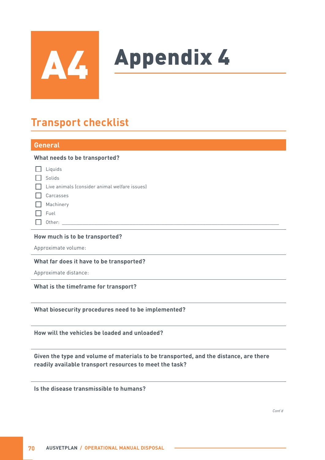

# **Appendix 4**

## **Transport checklist**

### **General What needs to be transported?**  $\Box$  Liquids  $\Box$  Solids  $\Box$  Live animals (consider animal welfare issues) □ Carcasses Machinery  $\Box$  Fuel Other: \_\_\_\_\_\_\_\_\_\_\_\_\_\_\_\_\_\_\_\_\_\_\_\_\_\_\_\_\_\_\_\_\_\_\_\_\_\_\_\_\_\_\_\_\_\_\_\_\_\_\_\_\_\_\_\_\_\_\_\_\_\_\_\_\_\_\_\_\_\_\_\_\_\_

#### **How much is to be transported?**

Approximate volume:

#### **What far does it have to be transported?**

Approximate distance:

**What is the timeframe for transport?**

#### **What biosecurity procedures need to be implemented?**

**How will the vehicles be loaded and unloaded?**

#### **Given the type and volume of materials to be transported, and the distance, are there readily available transport resources to meet the task?**

**Is the disease transmissible to humans?**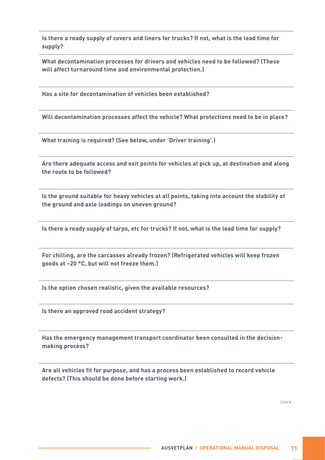**Is there a ready supply of covers and liners for trucks? If not, what is the lead time for supply?**

**What decontamination processes for drivers and vehicles need to be followed? (These will affect turnaround time and environmental protection.)**

**Has a site for decontamination of vehicles been established?**

**Will decontamination processes affect the vehicle? What protections need to be in place?**

**What training is required? (See below, under 'Driver training'.)**

**Are there adequate access and exit points for vehicles at pick up, at destination and along the route to be followed?**

**Is the ground suitable for heavy vehicles at all points, taking into account the stability of the ground and axle loadings on uneven ground?**

**Is there a ready supply of tarps, etc for trucks? If not, what is the lead time for supply?**

**For chilling, are the carcasses already frozen? (Refrigerated vehicles will keep frozen goods at –20 °C, but will not freeze them.)**

**Is the option chosen realistic, given the available resources?**

**Is there an approved road accident strategy?**

**Has the emergency management transport coordinator been consulted in the decisionmaking process?**

**Are all vehicles fit for purpose, and has a process been established to record vehicle defects? (This should be done before starting work.)**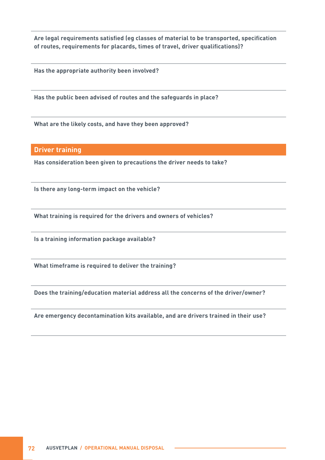**Are legal requirements satisfied (eg classes of material to be transported, specification of routes, requirements for placards, times of travel, driver qualifications)?**

**Has the appropriate authority been involved?**

**Has the public been advised of routes and the safeguards in place?**

**What are the likely costs, and have they been approved?**

#### **Driver training**

**Has consideration been given to precautions the driver needs to take?**

**Is there any long-term impact on the vehicle?**

**What training is required for the drivers and owners of vehicles?**

**Is a training information package available?**

**What timeframe is required to deliver the training?**

**Does the training/education material address all the concerns of the driver/owner?**

**Are emergency decontamination kits available, and are drivers trained in their use?**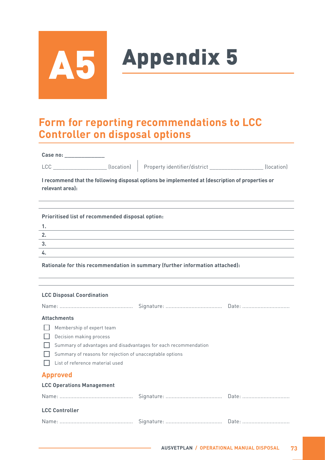

## Appendix 5

### **Form for reporting recommendations to LCC Controller on disposal options**

| Case no: |  |  |  |
|----------|--|--|--|
|          |  |  |  |

LCC \_\_\_\_\_\_\_\_\_\_\_\_\_\_\_\_\_\_\_\_\_\_\_(location) Property identifier/district \_\_\_\_\_\_\_\_\_\_\_\_\_\_\_\_\_\_\_\_\_\_\_\_(location)

**I recommend that the following disposal options be implemented at (description of properties or relevant area):**

| Prioritised list of recommended disposal option: |
|--------------------------------------------------|
| . .                                              |
|                                                  |
|                                                  |
|                                                  |
|                                                  |

**Rationale for this recommendation in summary (further information attached):**

#### **LCC Disposal Coordination**

| <b>Attachments</b>                                       |                                                                 |  |  |  |  |  |  |
|----------------------------------------------------------|-----------------------------------------------------------------|--|--|--|--|--|--|
| Membership of expert team                                |                                                                 |  |  |  |  |  |  |
| Decision making process                                  |                                                                 |  |  |  |  |  |  |
|                                                          | Summary of advantages and disadvantages for each recommendation |  |  |  |  |  |  |
| Summary of reasons for rejection of unacceptable options |                                                                 |  |  |  |  |  |  |
| List of reference material used                          |                                                                 |  |  |  |  |  |  |
| <b>Approved</b>                                          |                                                                 |  |  |  |  |  |  |
| <b>LCC Operations Management</b>                         |                                                                 |  |  |  |  |  |  |
|                                                          |                                                                 |  |  |  |  |  |  |
| <b>LCC Controller</b>                                    |                                                                 |  |  |  |  |  |  |
|                                                          |                                                                 |  |  |  |  |  |  |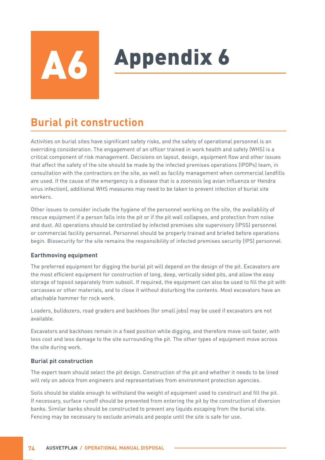## **Appendix 6**

### **Burial pit construction**

Activities on burial sites have significant safety risks, and the safety of operational personnel is an overriding consideration. The engagement of an officer trained in work health and safety (WHS) is a critical component of risk management. Decisions on layout, design, equipment flow and other issues that affect the safety of the site should be made by the infected premises operations (IPOPs) team, in consultation with the contractors on the site, as well as facility management when commercial landfills are used. If the cause of the emergency is a disease that is a zoonosis (eg avian influenza or Hendra virus infection), additional WHS measures may need to be taken to prevent infection of burial site workers.

Other issues to consider include the hygiene of the personnel working on the site, the availability of rescue equipment if a person falls into the pit or if the pit wall collapses, and protection from noise and dust. All operations should be controlled by infected premises site supervisory (IPSS) personnel or commercial facility personnel. Personnel should be properly trained and briefed before operations begin. Biosecurity for the site remains the responsibility of infected premises security (IPS) personnel.

#### **Earthmoving equipment**

The preferred equipment for digging the burial pit will depend on the design of the pit. Excavators are the most efficient equipment for construction of long, deep, vertically sided pits, and allow the easy storage of topsoil separately from subsoil. If required, the equipment can also be used to fill the pit with carcasses or other materials, and to close it without disturbing the contents. Most excavators have an attachable hammer for rock work.

Loaders, bulldozers, road graders and backhoes (for small jobs) may be used if excavators are not available.

Excavators and backhoes remain in a fixed position while digging, and therefore move soil faster, with less cost and less damage to the site surrounding the pit. The other types of equipment move across the site during work.

#### **Burial pit construction**

The expert team should select the pit design. Construction of the pit and whether it needs to be lined will rely on advice from engineers and representatives from environment protection agencies.

Soils should be stable enough to withstand the weight of equipment used to construct and fill the pit. If necessary, surface runoff should be prevented from entering the pit by the construction of diversion banks. Similar banks should be constructed to prevent any liquids escaping from the burial site. Fencing may be necessary to exclude animals and people until the site is safe for use.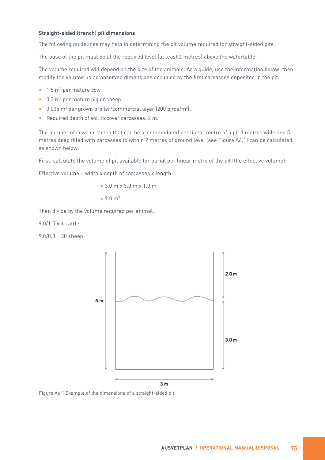#### **Straight-sided (trench) pit dimensions**

The following guidelines may help in determining the pit volume required for straight-sided pits.

The base of the pit must be at the required level (at least 2 metres) above the watertable.

The volume required will depend on the size of the animals. As a guide, use the information below; then modify the volume using observed dimensions occupied by the first carcasses deposited in the pit:

- $\bullet$  1.5 m<sup>3</sup> per mature cow.
- 0.3 m<sup>3</sup> per mature pig or sheep.
- 0.005 m<sup>3</sup> per grown broiler/commercial layer (200 birds/m<sup>3</sup>).
- Required depth of soil to cover carcasses: 2 m.

The number of cows or sheep that can be accommodated per linear metre of a pit 3 metres wide and 5 metres deep filled with carcasses to within 2 metres of ground level (see Figure A6.1) can be calculated as shown below.

First, calculate the volume of pit available for burial per linear metre of the pit (the effective volume):

Effective volume = width x depth of carcasses x length

$$
= 3.0 \text{ m} \times 3.0 \text{ m} \times 1.0 \text{ m}
$$

 $= 9.0 m<sup>3</sup>$ 

Then divide by the volume required per animal:

 $9.0/1.5 = 6$  cattle

9.0/0.3 = 30 sheep



Figure A6.1 Example of the dimensions of a straight-sided pit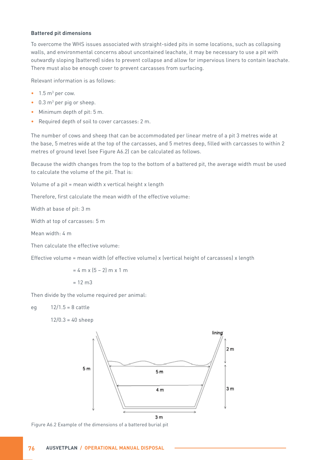#### **Battered pit dimensions**

To overcome the WHS issues associated with straight-sided pits in some locations, such as collapsing walls, and environmental concerns about uncontained leachate, it may be necessary to use a pit with outwardly sloping (battered) sides to prevent collapse and allow for impervious liners to contain leachate. There must also be enough cover to prevent carcasses from surfacing.

Relevant information is as follows:

- $\bullet$  1.5 m<sup>3</sup> per cow.
- 0.3 m<sup>3</sup> per pig or sheep.
- Minimum depth of pit: 5 m.
- Required depth of soil to cover carcasses: 2 m.

The number of cows and sheep that can be accommodated per linear metre of a pit 3 metres wide at the base, 5 metres wide at the top of the carcasses, and 5 metres deep, filled with carcasses to within 2 metres of ground level (see Figure A6.2) can be calculated as follows.

Because the width changes from the top to the bottom of a battered pit, the average width must be used to calculate the volume of the pit. That is:

Volume of a pit = mean width x vertical height x length

Therefore, first calculate the mean width of the effective volume:

Width at base of pit: 3 m

Width at top of carcasses: 5 m

Mean width: 4 m

Then calculate the effective volume:

Effective volume = mean width (of effective volume) x (vertical height of carcasses) x length

 $= 4$  m x  $(5 - 2)$  m x 1 m  $= 12$  m $<sup>3</sup>$ </sup>

Then divide by the volume required per animal:

eg 12/1.5 = 8 cattle

 $12/0.3 = 40$  sheep



Figure A6.2 Example of the dimensions of a battered burial pit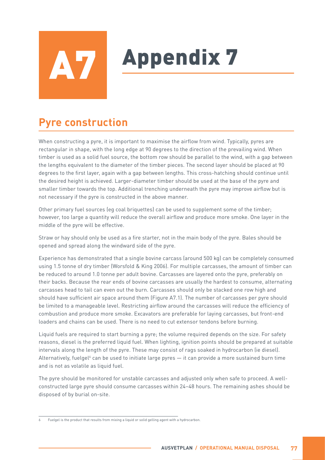## **Ly** Appendix 7

## **Pyre construction**

When constructing a pyre, it is important to maximise the airflow from wind. Typically, pyres are rectangular in shape, with the long edge at 90 degrees to the direction of the prevailing wind. When timber is used as a solid fuel source, the bottom row should be parallel to the wind, with a gap between the lengths equivalent to the diameter of the timber pieces. The second layer should be placed at 90 degrees to the first layer, again with a gap between lengths. This cross-hatching should continue until the desired height is achieved. Larger-diameter timber should be used at the base of the pyre and smaller timber towards the top. Additional trenching underneath the pyre may improve airflow but is not necessary if the pyre is constructed in the above manner.

Other primary fuel sources (eg coal briquettes) can be used to supplement some of the timber; however, too large a quantity will reduce the overall airflow and produce more smoke. One layer in the middle of the pyre will be effective.

Straw or hay should only be used as a fire starter, not in the main body of the pyre. Bales should be opened and spread along the windward side of the pyre.

Experience has demonstrated that a single bovine carcass (around 500 kg) can be completely consumed using 1.5 tonne of dry timber (Worsfold & King 2006). For multiple carcasses, the amount of timber can be reduced to around 1.0 tonne per adult bovine. Carcasses are layered onto the pyre, preferably on their backs. Because the rear ends of bovine carcasses are usually the hardest to consume, alternating carcasses head to tail can even out the burn. Carcasses should only be stacked one row high and should have sufficient air space around them (Figure A7.1). The number of carcasses per pyre should be limited to a manageable level. Restricting airflow around the carcasses will reduce the efficiency of combustion and produce more smoke. Excavators are preferable for laying carcasses, but front-end loaders and chains can be used. There is no need to cut extensor tendons before burning.

Liquid fuels are required to start burning a pyre; the volume required depends on the size. For safety reasons, diesel is the preferred liquid fuel. When lighting, ignition points should be prepared at suitable intervals along the length of the pyre. These may consist of rags soaked in hydrocarbon (ie diesel). Alternatively, fuelgel $^6$  can be used to initiate large pyres — it can provide a more sustained burn time and is not as volatile as liquid fuel.

The pyre should be monitored for unstable carcasses and adjusted only when safe to proceed. A wellconstructed large pyre should consume carcasses within 24–48 hours. The remaining ashes should be disposed of by burial on-site.

Fuelgel is the product that results from mixing a liquid or solid gelling agent with a hydrocarbon.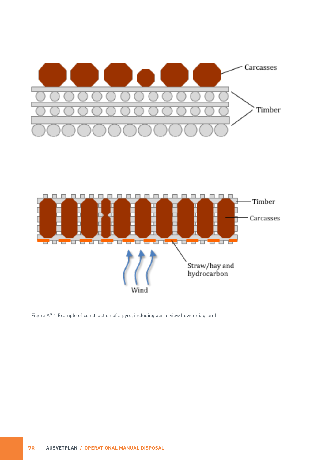



Figure A7.1 Example of construction of a pyre, including aerial view (lower diagram)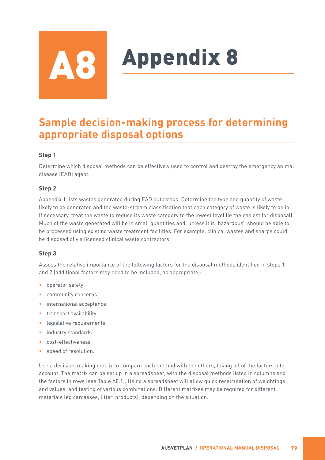## **Appendix 8**

### **Sample decision-making process for determining appropriate disposal options**

#### **Step 1**

Determine which disposal methods can be effectively used to control and destroy the emergency animal disease (EAD) agent.

#### **Step 2**

Appendix 1 lists wastes generated during EAD outbreaks. Determine the type and quantity of waste likely to be generated and the waste-stream classification that each category of waste is likely to be in. If necessary, treat the waste to reduce its waste category to the lowest level (ie the easiest for disposal). Much of the waste generated will be in small quantities and, unless it is 'hazardous', should be able to be processed using existing waste treatment facilities. For example, clinical wastes and sharps could be disposed of via licensed clinical waste contractors.

#### **Step 3**

Assess the relative importance of the following factors for the disposal methods identified in steps 1 and 2 (additional factors may need to be included, as appropriate):

- operator safety
- community concerns
- international acceptance
- transport availability
- legislative requirements
- industry standards
- cost-effectiveness
- speed of resolution.

Use a decision-making matrix to compare each method with the others, taking all of the factors into account. The matrix can be set up in a spreadsheet, with the disposal methods listed in columns and the factors in rows (see Table A8.1). Using a spreadsheet will allow quick recalculation of weightings and values, and testing of various combinations. Different matrixes may be required for different materials (eg carcasses, litter, products), depending on the situation.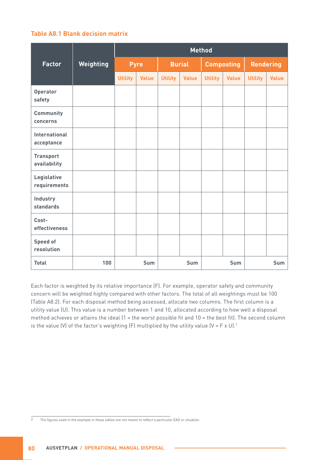#### **Table A8.1 Blank decision matrix**

|                                    |                  | <b>Method</b>  |              |                |               |                |                   |                |                  |
|------------------------------------|------------------|----------------|--------------|----------------|---------------|----------------|-------------------|----------------|------------------|
| <b>Factor</b>                      | <b>Weighting</b> |                | <b>Pyre</b>  |                | <b>Burial</b> |                | <b>Composting</b> |                | <b>Rendering</b> |
|                                    |                  | <b>Utility</b> | <b>Value</b> | <b>Utility</b> | <b>Value</b>  | <b>Utility</b> | <b>Value</b>      | <b>Utility</b> | <b>Value</b>     |
| Operator<br>safety                 |                  |                |              |                |               |                |                   |                |                  |
| Community<br>concerns              |                  |                |              |                |               |                |                   |                |                  |
| <b>International</b><br>acceptance |                  |                |              |                |               |                |                   |                |                  |
| <b>Transport</b><br>availability   |                  |                |              |                |               |                |                   |                |                  |
| Legislative<br>requirements        |                  |                |              |                |               |                |                   |                |                  |
| Industry<br><b>standards</b>       |                  |                |              |                |               |                |                   |                |                  |
| Cost-<br>effectiveness             |                  |                |              |                |               |                |                   |                |                  |
| <b>Speed of</b><br>resolution      |                  |                |              |                |               |                |                   |                |                  |
| <b>Total</b>                       | 100              |                | <b>Sum</b>   |                | <b>Sum</b>    |                | <b>Sum</b>        |                | <b>Sum</b>       |

Each factor is weighted by its relative importance (F). For example, operator safety and community concern will be weighted highly compared with other factors. The total of all weightings must be 100 (Table A8.2). For each disposal method being assessed, allocate two columns. The first column is a utility value (U). This value is a number between 1 and 10, allocated according to how well a disposal method achieves or attains the ideal (1 = the worst possible fit and 10 = the best fit). The second column is the value (V) of the factor's weighting (F) multiplied by the utility value (V = F x U).<sup>7</sup>

7 The figures used in the example in these tables are not meant to reflect a particular EAD or situation.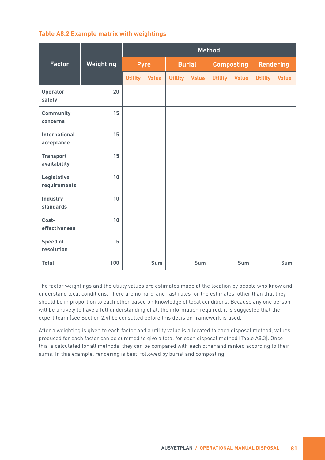#### **Table A8.2 Example matrix with weightings**

|                                    |           | <b>Method</b>  |              |                |               |                |                   |                |                  |
|------------------------------------|-----------|----------------|--------------|----------------|---------------|----------------|-------------------|----------------|------------------|
| <b>Factor</b>                      | Weighting |                | <b>Pyre</b>  |                | <b>Burial</b> |                | <b>Composting</b> |                | <b>Rendering</b> |
|                                    |           | <b>Utility</b> | <b>Value</b> | <b>Utility</b> | <b>Value</b>  | <b>Utility</b> | <b>Value</b>      | <b>Utility</b> | <b>Value</b>     |
| <b>Operator</b><br>safety          | 20        |                |              |                |               |                |                   |                |                  |
| Community<br>concerns              | 15        |                |              |                |               |                |                   |                |                  |
| <b>International</b><br>acceptance | 15        |                |              |                |               |                |                   |                |                  |
| <b>Transport</b><br>availability   | 15        |                |              |                |               |                |                   |                |                  |
| Legislative<br>requirements        | 10        |                |              |                |               |                |                   |                |                  |
| Industry<br><b>standards</b>       | 10        |                |              |                |               |                |                   |                |                  |
| Cost-<br>effectiveness             | 10        |                |              |                |               |                |                   |                |                  |
| <b>Speed of</b><br>resolution      | 5         |                |              |                |               |                |                   |                |                  |
| <b>Total</b>                       | 100       |                | <b>Sum</b>   |                | <b>Sum</b>    |                | <b>Sum</b>        |                | <b>Sum</b>       |

The factor weightings and the utility values are estimates made at the location by people who know and understand local conditions. There are no hard-and-fast rules for the estimates, other than that they should be in proportion to each other based on knowledge of local conditions. Because any one person will be unlikely to have a full understanding of all the information required, it is suggested that the expert team (see Section 2.4) be consulted before this decision framework is used.

After a weighting is given to each factor and a utility value is allocated to each disposal method, values produced for each factor can be summed to give a total for each disposal method (Table A8.3). Once this is calculated for all methods, they can be compared with each other and ranked according to their sums. In this example, rendering is best, followed by burial and composting.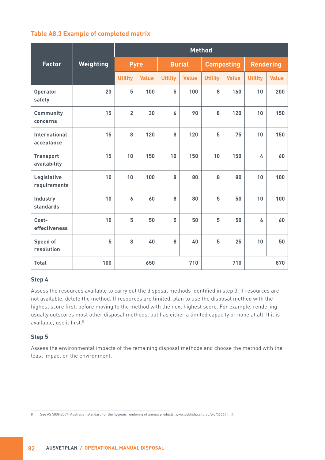#### **Table A8.3 Example of completed matrix**

|                                  |           | <b>Method</b>  |              |                |               |                |                   |                |                  |
|----------------------------------|-----------|----------------|--------------|----------------|---------------|----------------|-------------------|----------------|------------------|
| <b>Factor</b>                    | Weighting |                | <b>Pyre</b>  |                | <b>Burial</b> |                | <b>Composting</b> |                | <b>Rendering</b> |
|                                  |           | <b>Utility</b> | <b>Value</b> | <b>Utility</b> | <b>Value</b>  | <b>Utility</b> | <b>Value</b>      | <b>Utility</b> | <b>Value</b>     |
| <b>Operator</b><br>safety        | 20        | 5              | 100          | 5              | 100           | 8              | 160               | 10             | 200              |
| Community<br>concerns            | 15        | $\overline{2}$ | 30           | 6              | 90            | 8              | 120               | 10             | 150              |
| International<br>acceptance      | 15        | 8              | 120          | 8              | 120           | 5              | 75                | 10             | 150              |
| <b>Transport</b><br>availability | 15        | 10             | 150          | 10             | 150           | 10             | 150               | 4              | 60               |
| Legislative<br>requirements      | 10        | 10             | 100          | 8              | 80            | 8              | 80                | 10             | 100              |
| Industry<br><b>standards</b>     | 10        | 6              | 60           | 8              | 80            | 5              | 50                | 10             | 100              |
| Cost-<br>effectiveness           | 10        | 5              | 50           | 5              | 50            | 5              | 50                | 6              | 60               |
| <b>Speed of</b><br>resolution    | 5         | 8              | 40           | 8              | 40            | 5              | 25                | 10             | 50               |
| <b>Total</b>                     | 100       |                | 650          |                | 710           |                | 710               |                | 870              |

#### **Step 4**

Assess the resources available to carry out the disposal methods identified in step 3. If resources are not available, delete the method. If resources are limited, plan to use the disposal method with the highest score first, before moving to the method with the next highest score. For example, rendering usually outscores most other disposal methods, but has either a limited capacity or none at all. If it is available, use it first.<sup>8</sup>

#### **Step 5**

Assess the environmental impacts of the remaining disposal methods and choose the method with the least impact on the environment.

<sup>8</sup> See AS 5008:2007: Australian standard for the hygienic rendering of animal products ([www.publish.csiro.au/pid/5666.htm\)](http://www.publish.csiro.au/pid/5666.htm).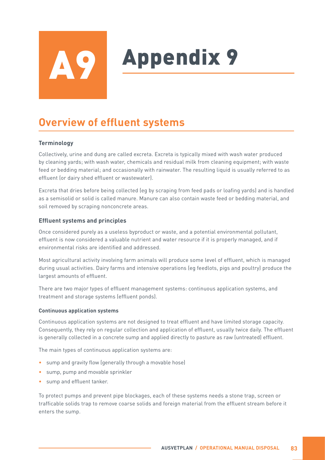## **Appendix 9**

## **Overview of effluent systems**

#### **Terminology**

Collectively, urine and dung are called excreta. Excreta is typically mixed with wash water produced by cleaning yards; with wash water, chemicals and residual milk from cleaning equipment; with waste feed or bedding material; and occasionally with rainwater. The resulting liquid is usually referred to as effluent (or dairy shed effluent or wastewater).

Excreta that dries before being collected (eg by scraping from feed pads or loafing yards) and is handled as a semisolid or solid is called manure. Manure can also contain waste feed or bedding material, and soil removed by scraping nonconcrete areas.

#### **Effluent systems and principles**

Once considered purely as a useless byproduct or waste, and a potential environmental pollutant, effluent is now considered a valuable nutrient and water resource if it is properly managed, and if environmental risks are identified and addressed.

Most agricultural activity involving farm animals will produce some level of effluent, which is managed during usual activities. Dairy farms and intensive operations (eg feedlots, pigs and poultry) produce the largest amounts of effluent.

There are two major types of effluent management systems: continuous application systems, and treatment and storage systems (effluent ponds).

#### **Continuous application systems**

Continuous application systems are not designed to treat effluent and have limited storage capacity. Consequently, they rely on regular collection and application of effluent, usually twice daily. The effluent is generally collected in a concrete sump and applied directly to pasture as raw (untreated) effluent.

The main types of continuous application systems are:

- sump and gravity flow (generally through a movable hose)
- sump, pump and movable sprinkler
- sump and effluent tanker.

To protect pumps and prevent pipe blockages, each of these systems needs a stone trap, screen or trafficable solids trap to remove coarse solids and foreign material from the effluent stream before it enters the sump.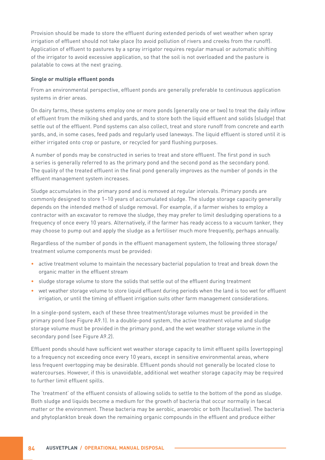Provision should be made to store the effluent during extended periods of wet weather when spray irrigation of effluent should not take place (to avoid pollution of rivers and creeks from the runoff). Application of effluent to pastures by a spray irrigator requires regular manual or automatic shifting of the irrigator to avoid excessive application, so that the soil is not overloaded and the pasture is palatable to cows at the next grazing.

#### **Single or multiple effluent ponds**

From an environmental perspective, effluent ponds are generally preferable to continuous application systems in drier areas.

On dairy farms, these systems employ one or more ponds (generally one or two) to treat the daily inflow of effluent from the milking shed and yards, and to store both the liquid effluent and solids (sludge) that settle out of the effluent. Pond systems can also collect, treat and store runoff from concrete and earth yards, and, in some cases, feed pads and regularly used laneways. The liquid effluent is stored until it is either irrigated onto crop or pasture, or recycled for yard flushing purposes.

A number of ponds may be constructed in series to treat and store effluent. The first pond in such a series is generally referred to as the primary pond and the second pond as the secondary pond. The quality of the treated effluent in the final pond generally improves as the number of ponds in the effluent management system increases.

Sludge accumulates in the primary pond and is removed at regular intervals. Primary ponds are commonly designed to store 1–10 years of accumulated sludge. The sludge storage capacity generally depends on the intended method of sludge removal. For example, if a farmer wishes to employ a contractor with an excavator to remove the sludge, they may prefer to limit desludging operations to a frequency of once every 10 years. Alternatively, if the farmer has ready access to a vacuum tanker, they may choose to pump out and apply the sludge as a fertiliser much more frequently, perhaps annually.

Regardless of the number of ponds in the effluent management system, the following three storage/ treatment volume components must be provided:

- active treatment volume to maintain the necessary bacterial population to treat and break down the organic matter in the effluent stream
- sludge storage volume to store the solids that settle out of the effluent during treatment
- wet weather storage volume to store liquid effluent during periods when the land is too wet for effluent irrigation, or until the timing of effluent irrigation suits other farm management considerations.

In a single-pond system, each of these three treatment/storage volumes must be provided in the primary pond (see Figure A9.1). In a double-pond system, the active treatment volume and sludge storage volume must be provided in the primary pond, and the wet weather storage volume in the secondary pond (see Figure A9.2).

Effluent ponds should have sufficient wet weather storage capacity to limit effluent spills (overtopping) to a frequency not exceeding once every 10 years, except in sensitive environmental areas, where less frequent overtopping may be desirable. Effluent ponds should not generally be located close to watercourses. However, if this is unavoidable, additional wet weather storage capacity may be required to further limit effluent spills.

The 'treatment' of the effluent consists of allowing solids to settle to the bottom of the pond as sludge. Both sludge and liquids become a medium for the growth of bacteria that occur normally in faecal matter or the environment. These bacteria may be aerobic, anaerobic or both (facultative). The bacteria and phytoplankton break down the remaining organic compounds in the effluent and produce either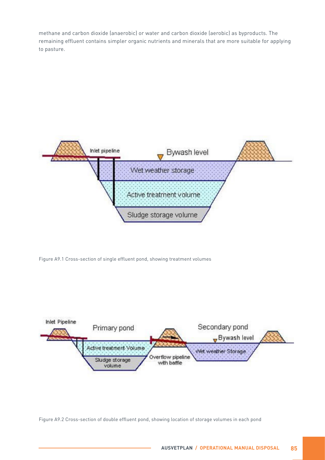methane and carbon dioxide (anaerobic) or water and carbon dioxide (aerobic) as byproducts. The remaining effluent contains simpler organic nutrients and minerals that are more suitable for applying to pasture.



Figure A9.1 Cross-section of single effluent pond, showing treatment volumes



Figure A9.2 Cross-section of double effluent pond, showing location of storage volumes in each pond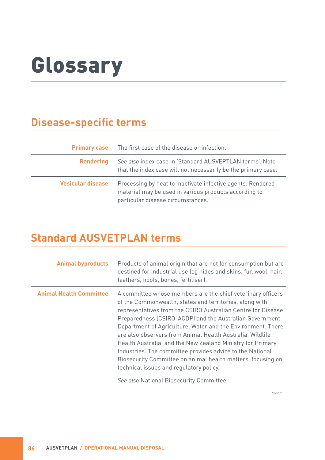## Glossary

### **Disease-specific terms**

|                          | <b>Primary case</b> The first case of the disease or infection.                                                                                           |
|--------------------------|-----------------------------------------------------------------------------------------------------------------------------------------------------------|
| <b>Rendering</b>         | See also index case in 'Standard AUSVEPTLAN terms'. Note<br>that the index case will not necessarily be the primary case.                                 |
| <b>Vesicular disease</b> | Processing by heat to inactivate infective agents. Rendered<br>material may be used in various products according to<br>particular disease circumstances. |

### **Standard AUSVETPLAN terms**

| <b>Animal byproducts</b>       | Products of animal origin that are not for consumption but are<br>destined for industrial use (eg hides and skins, fur, wool, hair,<br>feathers, hoofs, bones, fertiliser).                                                                                                                                                                                                                                                                                                                                                                                                                                                                                   |
|--------------------------------|---------------------------------------------------------------------------------------------------------------------------------------------------------------------------------------------------------------------------------------------------------------------------------------------------------------------------------------------------------------------------------------------------------------------------------------------------------------------------------------------------------------------------------------------------------------------------------------------------------------------------------------------------------------|
| <b>Animal Health Committee</b> | A committee whose members are the chief veterinary officers<br>of the Commonwealth, states and territories, along with<br>representatives from the CSIRO Australian Centre for Disease<br>Preparedness (CSIRO-ACDP) and the Australian Government<br>Department of Agriculture, Water and the Environment. There<br>are also observers from Animal Health Australia, Wildlife<br>Health Australia, and the New Zealand Ministry for Primary<br>Industries. The committee provides advice to the National<br>Biosecurity Committee on animal health matters, focusing on<br>technical issues and regulatory policy.<br>See also National Biosecurity Committee |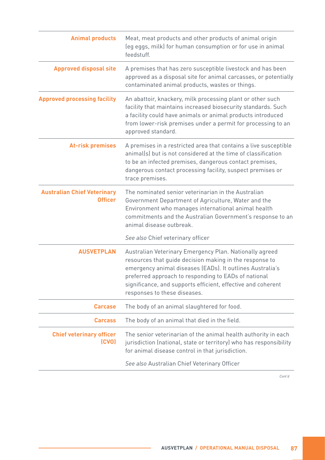| <b>Animal products</b>                               | Meat, meat products and other products of animal origin<br>(eg eggs, milk) for human consumption or for use in animal<br>feedstuff.                                                                                                                                                                                                     |
|------------------------------------------------------|-----------------------------------------------------------------------------------------------------------------------------------------------------------------------------------------------------------------------------------------------------------------------------------------------------------------------------------------|
| <b>Approved disposal site</b>                        | A premises that has zero susceptible livestock and has been<br>approved as a disposal site for animal carcasses, or potentially<br>contaminated animal products, wastes or things.                                                                                                                                                      |
| <b>Approved processing facility</b>                  | An abattoir, knackery, milk processing plant or other such<br>facility that maintains increased biosecurity standards. Such<br>a facility could have animals or animal products introduced<br>from lower-risk premises under a permit for processing to an<br>approved standard.                                                        |
| <b>At-risk premises</b>                              | A premises in a restricted area that contains a live susceptible<br>animal(s) but is not considered at the time of classification<br>to be an infected premises, dangerous contact premises,<br>dangerous contact processing facility, suspect premises or<br>trace premises.                                                           |
| <b>Australian Chief Veterinary</b><br><b>Officer</b> | The nominated senior veterinarian in the Australian<br>Government Department of Agriculture, Water and the<br>Environment who manages international animal health<br>commitments and the Australian Government's response to an<br>animal disease outbreak.                                                                             |
|                                                      | See also Chief veterinary officer                                                                                                                                                                                                                                                                                                       |
| <b>AUSVETPLAN</b>                                    | Australian Veterinary Emergency Plan. Nationally agreed<br>resources that guide decision making in the response to<br>emergency animal diseases (EADs). It outlines Australia's<br>preferred approach to responding to EADs of national<br>significance, and supports efficient, effective and coherent<br>responses to these diseases. |
| <b>Carcase</b>                                       | The body of an animal slaughtered for food.                                                                                                                                                                                                                                                                                             |
| <b>Carcass</b>                                       | The body of an animal that died in the field.                                                                                                                                                                                                                                                                                           |
| <b>Chief veterinary officer</b><br>(CVO)             | The senior veterinarian of the animal health authority in each<br>jurisdiction (national, state or territory) who has responsibility<br>for animal disease control in that jurisdiction.                                                                                                                                                |
|                                                      | See also Australian Chief Veterinary Officer                                                                                                                                                                                                                                                                                            |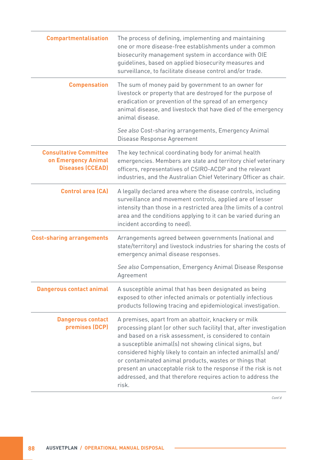| <b>Compartmentalisation</b>                                                     | The process of defining, implementing and maintaining<br>one or more disease-free establishments under a common<br>biosecurity management system in accordance with OIE<br>guidelines, based on applied biosecurity measures and<br>surveillance, to facilitate disease control and/or trade.                                                                                                                                                                                                                              |
|---------------------------------------------------------------------------------|----------------------------------------------------------------------------------------------------------------------------------------------------------------------------------------------------------------------------------------------------------------------------------------------------------------------------------------------------------------------------------------------------------------------------------------------------------------------------------------------------------------------------|
| <b>Compensation</b>                                                             | The sum of money paid by government to an owner for<br>livestock or property that are destroyed for the purpose of<br>eradication or prevention of the spread of an emergency<br>animal disease, and livestock that have died of the emergency<br>animal disease.                                                                                                                                                                                                                                                          |
|                                                                                 | See also Cost-sharing arrangements, Emergency Animal<br>Disease Response Agreement                                                                                                                                                                                                                                                                                                                                                                                                                                         |
| <b>Consultative Committee</b><br>on Emergency Animal<br><b>Diseases (CCEAD)</b> | The key technical coordinating body for animal health<br>emergencies. Members are state and territory chief veterinary<br>officers, representatives of CSIRO-ACDP and the relevant<br>industries, and the Australian Chief Veterinary Officer as chair.                                                                                                                                                                                                                                                                    |
| <b>Control area (CA)</b>                                                        | A legally declared area where the disease controls, including<br>surveillance and movement controls, applied are of lesser<br>intensity than those in a restricted area (the limits of a control<br>area and the conditions applying to it can be varied during an<br>incident according to need).                                                                                                                                                                                                                         |
| <b>Cost-sharing arrangements</b>                                                | Arrangements agreed between governments (national and<br>state/territory) and livestock industries for sharing the costs of<br>emergency animal disease responses.                                                                                                                                                                                                                                                                                                                                                         |
|                                                                                 | See also Compensation, Emergency Animal Disease Response<br>Agreement                                                                                                                                                                                                                                                                                                                                                                                                                                                      |
| <b>Dangerous contact animal</b>                                                 | A susceptible animal that has been designated as being<br>exposed to other infected animals or potentially infectious<br>products following tracing and epidemiological investigation.                                                                                                                                                                                                                                                                                                                                     |
| <b>Dangerous contact</b><br>premises (DCP)                                      | A premises, apart from an abattoir, knackery or milk<br>processing plant (or other such facility) that, after investigation<br>and based on a risk assessment, is considered to contain<br>a susceptible animal(s) not showing clinical signs, but<br>considered highly likely to contain an infected animal(s) and/<br>or contaminated animal products, wastes or things that<br>present an unacceptable risk to the response if the risk is not<br>addressed, and that therefore requires action to address the<br>risk. |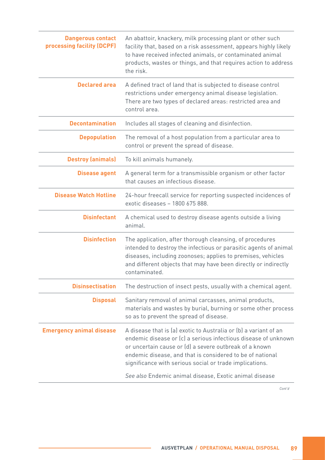| <b>Dangerous contact</b><br>processing facility (DCPF) | An abattoir, knackery, milk processing plant or other such<br>facility that, based on a risk assessment, appears highly likely<br>to have received infected animals, or contaminated animal<br>products, wastes or things, and that requires action to address<br>the risk.                                                                                                    |
|--------------------------------------------------------|--------------------------------------------------------------------------------------------------------------------------------------------------------------------------------------------------------------------------------------------------------------------------------------------------------------------------------------------------------------------------------|
| <b>Declared area</b>                                   | A defined tract of land that is subjected to disease control<br>restrictions under emergency animal disease legislation.<br>There are two types of declared areas: restricted area and<br>control area.                                                                                                                                                                        |
| <b>Decontamination</b>                                 | Includes all stages of cleaning and disinfection.                                                                                                                                                                                                                                                                                                                              |
| <b>Depopulation</b>                                    | The removal of a host population from a particular area to<br>control or prevent the spread of disease.                                                                                                                                                                                                                                                                        |
| <b>Destroy (animals)</b>                               | To kill animals humanely.                                                                                                                                                                                                                                                                                                                                                      |
| <b>Disease agent</b>                                   | A general term for a transmissible organism or other factor<br>that causes an infectious disease.                                                                                                                                                                                                                                                                              |
| <b>Disease Watch Hotline</b>                           | 24-hour freecall service for reporting suspected incidences of<br>exotic diseases - 1800 675 888.                                                                                                                                                                                                                                                                              |
| <b>Disinfectant</b>                                    | A chemical used to destroy disease agents outside a living<br>animal.                                                                                                                                                                                                                                                                                                          |
| <b>Disinfection</b>                                    | The application, after thorough cleansing, of procedures<br>intended to destroy the infectious or parasitic agents of animal<br>diseases, including zoonoses; applies to premises, vehicles<br>and different objects that may have been directly or indirectly<br>contaminated.                                                                                                |
| <b>Disinsectisation</b>                                | The destruction of insect pests, usually with a chemical agent.                                                                                                                                                                                                                                                                                                                |
| <b>Disposal</b>                                        | Sanitary removal of animal carcasses, animal products,<br>materials and wastes by burial, burning or some other process<br>so as to prevent the spread of disease.                                                                                                                                                                                                             |
| <b>Emergency animal disease</b>                        | A disease that is (a) exotic to Australia or (b) a variant of an<br>endemic disease or (c) a serious infectious disease of unknown<br>or uncertain cause or (d) a severe outbreak of a known<br>endemic disease, and that is considered to be of national<br>significance with serious social or trade implications.<br>See also Endemic animal disease, Exotic animal disease |
|                                                        |                                                                                                                                                                                                                                                                                                                                                                                |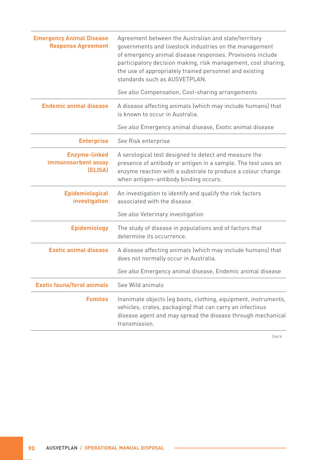| <b>Emergency Animal Disease</b><br><b>Response Agreement</b> | Agreement between the Australian and state/territory<br>governments and livestock industries on the management<br>of emergency animal disease responses. Provisions include<br>participatory decision making, risk management, cost sharing,<br>the use of appropriately trained personnel and existing<br>standards such as AUSVETPLAN. |
|--------------------------------------------------------------|------------------------------------------------------------------------------------------------------------------------------------------------------------------------------------------------------------------------------------------------------------------------------------------------------------------------------------------|
|                                                              | See also Compensation, Cost-sharing arrangements                                                                                                                                                                                                                                                                                         |
| <b>Endemic animal disease</b>                                | A disease affecting animals (which may include humans) that<br>is known to occur in Australia.                                                                                                                                                                                                                                           |
|                                                              | See also Emergency animal disease, Exotic animal disease                                                                                                                                                                                                                                                                                 |
| <b>Enterprise</b>                                            | See Risk enterprise                                                                                                                                                                                                                                                                                                                      |
| <b>Enzyme-linked</b><br>immunosorbent assay<br>(ELISA)       | A serological test designed to detect and measure the<br>presence of antibody or antigen in a sample. The test uses an<br>enzyme reaction with a substrate to produce a colour change<br>when antigen-antibody binding occurs.                                                                                                           |
| <b>Epidemiological</b><br>investigation                      | An investigation to identify and qualify the risk factors<br>associated with the disease.                                                                                                                                                                                                                                                |
|                                                              | See also Veterinary investigation                                                                                                                                                                                                                                                                                                        |
| <b>Epidemiology</b>                                          | The study of disease in populations and of factors that<br>determine its occurrence.                                                                                                                                                                                                                                                     |
| <b>Exotic animal disease</b>                                 | A disease affecting animals (which may include humans) that<br>does not normally occur in Australia.                                                                                                                                                                                                                                     |
|                                                              | See also Emergency animal disease, Endemic animal disease                                                                                                                                                                                                                                                                                |
| <b>Exotic fauna/feral animals</b>                            | See Wild animals                                                                                                                                                                                                                                                                                                                         |
| <b>Fomites</b>                                               | Inanimate objects (eg boots, clothing, equipment, instruments,<br>vehicles, crates, packaging) that can carry an infectious<br>disease agent and may spread the disease through mechanical<br>transmission.                                                                                                                              |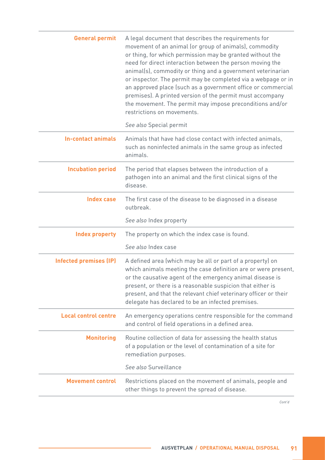| <b>General permit</b>         | A legal document that describes the requirements for<br>movement of an animal (or group of animals), commodity<br>or thing, for which permission may be granted without the<br>need for direct interaction between the person moving the<br>animal(s), commodity or thing and a government veterinarian<br>or inspector. The permit may be completed via a webpage or in<br>an approved place (such as a government office or commercial<br>premises). A printed version of the permit must accompany<br>the movement. The permit may impose preconditions and/or<br>restrictions on movements. |
|-------------------------------|-------------------------------------------------------------------------------------------------------------------------------------------------------------------------------------------------------------------------------------------------------------------------------------------------------------------------------------------------------------------------------------------------------------------------------------------------------------------------------------------------------------------------------------------------------------------------------------------------|
|                               | See also Special permit                                                                                                                                                                                                                                                                                                                                                                                                                                                                                                                                                                         |
| <b>In-contact animals</b>     | Animals that have had close contact with infected animals,<br>such as noninfected animals in the same group as infected<br>animals.                                                                                                                                                                                                                                                                                                                                                                                                                                                             |
| <b>Incubation period</b>      | The period that elapses between the introduction of a<br>pathogen into an animal and the first clinical signs of the<br>disease.                                                                                                                                                                                                                                                                                                                                                                                                                                                                |
| <b>Index case</b>             | The first case of the disease to be diagnosed in a disease<br>outbreak.                                                                                                                                                                                                                                                                                                                                                                                                                                                                                                                         |
|                               | See also Index property                                                                                                                                                                                                                                                                                                                                                                                                                                                                                                                                                                         |
| <b>Index property</b>         | The property on which the index case is found.                                                                                                                                                                                                                                                                                                                                                                                                                                                                                                                                                  |
|                               | See also Index case                                                                                                                                                                                                                                                                                                                                                                                                                                                                                                                                                                             |
| <b>Infected premises (IP)</b> | A defined area (which may be all or part of a property) on<br>which animals meeting the case definition are or were present,<br>or the causative agent of the emergency animal disease is<br>present, or there is a reasonable suspicion that either is<br>present, and that the relevant chief veterinary officer or their<br>delegate has declared to be an infected premises.                                                                                                                                                                                                                |
| <b>Local control centre</b>   | An emergency operations centre responsible for the command<br>and control of field operations in a defined area.                                                                                                                                                                                                                                                                                                                                                                                                                                                                                |
| <b>Monitoring</b>             | Routine collection of data for assessing the health status<br>of a population or the level of contamination of a site for<br>remediation purposes.<br>See also Surveillance                                                                                                                                                                                                                                                                                                                                                                                                                     |
|                               |                                                                                                                                                                                                                                                                                                                                                                                                                                                                                                                                                                                                 |
| <b>Movement control</b>       | Restrictions placed on the movement of animals, people and<br>other things to prevent the spread of disease.                                                                                                                                                                                                                                                                                                                                                                                                                                                                                    |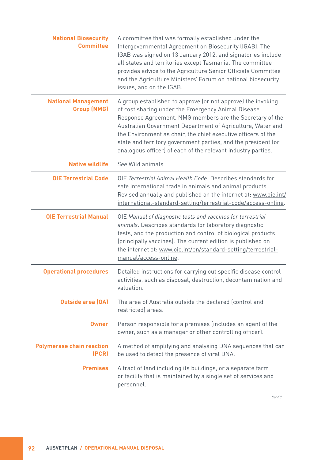| <b>National Biosecurity</b><br><b>Committee</b>  | A committee that was formally established under the<br>Intergovernmental Agreement on Biosecurity (IGAB). The<br>IGAB was signed on 13 January 2012, and signatories include<br>all states and territories except Tasmania. The committee<br>provides advice to the Agriculture Senior Officials Committee<br>and the Agriculture Ministers' Forum on national biosecurity<br>issues, and on the IGAB.                                         |
|--------------------------------------------------|------------------------------------------------------------------------------------------------------------------------------------------------------------------------------------------------------------------------------------------------------------------------------------------------------------------------------------------------------------------------------------------------------------------------------------------------|
| <b>National Management</b><br><b>Group (NMG)</b> | A group established to approve (or not approve) the invoking<br>of cost sharing under the Emergency Animal Disease<br>Response Agreement. NMG members are the Secretary of the<br>Australian Government Department of Agriculture, Water and<br>the Environment as chair, the chief executive officers of the<br>state and territory government parties, and the president (or<br>analogous officer) of each of the relevant industry parties. |
| <b>Native wildlife</b>                           | See Wild animals                                                                                                                                                                                                                                                                                                                                                                                                                               |
| <b>OIE Terrestrial Code</b>                      | OIE Terrestrial Animal Health Code, Describes standards for<br>safe international trade in animals and animal products.<br>Revised annually and published on the internet at: www.oie.int/<br>international-standard-setting/terrestrial-code/access-online.                                                                                                                                                                                   |
| <b>OIE Terrestrial Manual</b>                    | OIE Manual of diagnostic tests and vaccines for terrestrial<br>animals. Describes standards for laboratory diagnostic<br>tests, and the production and control of biological products<br>(principally vaccines). The current edition is published on<br>the internet at: www.oie.int/en/standard-setting/terrestrial-<br>manual/access-online.                                                                                                 |
| <b>Operational procedures</b>                    | Detailed instructions for carrying out specific disease control<br>activities, such as disposal, destruction, decontamination and<br>valuation.                                                                                                                                                                                                                                                                                                |
| <b>Outside area (OA)</b>                         | The area of Australia outside the declared (control and<br>restricted) areas.                                                                                                                                                                                                                                                                                                                                                                  |
| <b>Owner</b>                                     | Person responsible for a premises (includes an agent of the<br>owner, such as a manager or other controlling officer).                                                                                                                                                                                                                                                                                                                         |
| <b>Polymerase chain reaction</b><br>(PCR)        | A method of amplifying and analysing DNA sequences that can<br>be used to detect the presence of viral DNA.                                                                                                                                                                                                                                                                                                                                    |
| <b>Premises</b>                                  | A tract of land including its buildings, or a separate farm<br>or facility that is maintained by a single set of services and<br>personnel.                                                                                                                                                                                                                                                                                                    |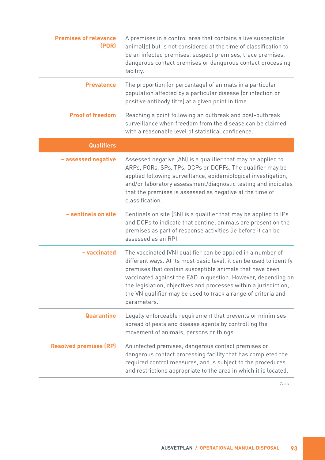| <b>Premises of relevance</b><br>(POR) | A premises in a control area that contains a live susceptible<br>animal(s) but is not considered at the time of classification to<br>be an infected premises, suspect premises, trace premises,<br>dangerous contact premises or dangerous contact processing<br>facility.                                                                                                                                          |
|---------------------------------------|---------------------------------------------------------------------------------------------------------------------------------------------------------------------------------------------------------------------------------------------------------------------------------------------------------------------------------------------------------------------------------------------------------------------|
| <b>Prevalence</b>                     | The proportion (or percentage) of animals in a particular<br>population affected by a particular disease (or infection or<br>positive antibody titre) at a given point in time.                                                                                                                                                                                                                                     |
| <b>Proof of freedom</b>               | Reaching a point following an outbreak and post-outbreak<br>surveillance when freedom from the disease can be claimed<br>with a reasonable level of statistical confidence.                                                                                                                                                                                                                                         |
| Qualifiers                            |                                                                                                                                                                                                                                                                                                                                                                                                                     |
| - assessed negative                   | Assessed negative (AN) is a qualifier that may be applied to<br>ARPs, PORs, SPs, TPs, DCPs or DCPFs. The qualifier may be<br>applied following surveillance, epidemiological investigation,<br>and/or laboratory assessment/diagnostic testing and indicates<br>that the premises is assessed as negative at the time of<br>classification.                                                                         |
| - sentinels on site                   | Sentinels on site (SN) is a qualifier that may be applied to IPs<br>and DCPs to indicate that sentinel animals are present on the<br>premises as part of response activities (ie before it can be<br>assessed as an RP).                                                                                                                                                                                            |
| - vaccinated                          | The vaccinated (VN) qualifier can be applied in a number of<br>different ways. At its most basic level, it can be used to identify<br>premises that contain susceptible animals that have been<br>vaccinated against the EAD in question. However, depending on<br>the legislation, objectives and processes within a jurisdiction,<br>the VN qualifier may be used to track a range of criteria and<br>parameters. |
| <b>Quarantine</b>                     | Legally enforceable requirement that prevents or minimises<br>spread of pests and disease agents by controlling the<br>movement of animals, persons or things.                                                                                                                                                                                                                                                      |
| <b>Resolved premises (RP)</b>         | An infected premises, dangerous contact premises or<br>dangerous contact processing facility that has completed the<br>required control measures, and is subject to the procedures<br>and restrictions appropriate to the area in which it is located.                                                                                                                                                              |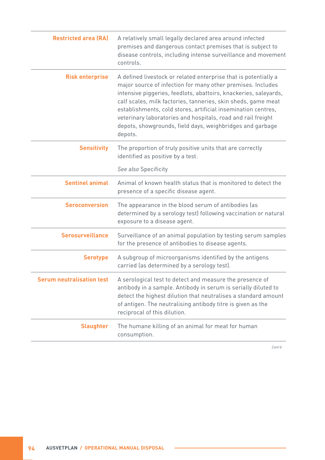| <b>Restricted area (RA)</b>      | A relatively small legally declared area around infected<br>premises and dangerous contact premises that is subject to<br>disease controls, including intense surveillance and movement<br>controls.                                                                                                                                                                                                                                                                         |
|----------------------------------|------------------------------------------------------------------------------------------------------------------------------------------------------------------------------------------------------------------------------------------------------------------------------------------------------------------------------------------------------------------------------------------------------------------------------------------------------------------------------|
| <b>Risk enterprise</b>           | A defined livestock or related enterprise that is potentially a<br>major source of infection for many other premises. Includes<br>intensive piggeries, feedlots, abattoirs, knackeries, saleyards,<br>calf scales, milk factories, tanneries, skin sheds, game meat<br>establishments, cold stores, artificial insemination centres,<br>veterinary laboratories and hospitals, road and rail freight<br>depots, showgrounds, field days, weighbridges and garbage<br>depots. |
| <b>Sensitivity</b>               | The proportion of truly positive units that are correctly<br>identified as positive by a test.                                                                                                                                                                                                                                                                                                                                                                               |
|                                  | See also Specificity                                                                                                                                                                                                                                                                                                                                                                                                                                                         |
| <b>Sentinel animal</b>           | Animal of known health status that is monitored to detect the<br>presence of a specific disease agent.                                                                                                                                                                                                                                                                                                                                                                       |
| <b>Seroconversion</b>            | The appearance in the blood serum of antibodies (as<br>determined by a serology test) following vaccination or natural<br>exposure to a disease agent.                                                                                                                                                                                                                                                                                                                       |
| <b>Serosurveillance</b>          | Surveillance of an animal population by testing serum samples<br>for the presence of antibodies to disease agents.                                                                                                                                                                                                                                                                                                                                                           |
| <b>Serotype</b>                  | A subgroup of microorganisms identified by the antigens<br>carried (as determined by a serology test).                                                                                                                                                                                                                                                                                                                                                                       |
| <b>Serum neutralisation test</b> | A serological test to detect and measure the presence of<br>antibody in a sample. Antibody in serum is serially diluted to<br>detect the highest dilution that neutralises a standard amount<br>of antigen. The neutralising antibody titre is given as the<br>reciprocal of this dilution.                                                                                                                                                                                  |
| <b>Slaughter</b>                 | The humane killing of an animal for meat for human<br>consumption.                                                                                                                                                                                                                                                                                                                                                                                                           |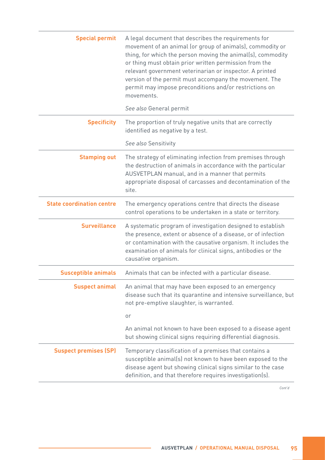| <b>Special permit</b>            | A legal document that describes the requirements for<br>movement of an animal (or group of animals), commodity or<br>thing, for which the person moving the animal(s), commodity<br>or thing must obtain prior written permission from the<br>relevant government veterinarian or inspector. A printed<br>version of the permit must accompany the movement. The<br>permit may impose preconditions and/or restrictions on<br>movements.<br>See also General permit |
|----------------------------------|---------------------------------------------------------------------------------------------------------------------------------------------------------------------------------------------------------------------------------------------------------------------------------------------------------------------------------------------------------------------------------------------------------------------------------------------------------------------|
| <b>Specificity</b>               | The proportion of truly negative units that are correctly<br>identified as negative by a test.                                                                                                                                                                                                                                                                                                                                                                      |
|                                  | See also Sensitivity                                                                                                                                                                                                                                                                                                                                                                                                                                                |
| <b>Stamping out</b>              | The strategy of eliminating infection from premises through<br>the destruction of animals in accordance with the particular<br>AUSVETPLAN manual, and in a manner that permits<br>appropriate disposal of carcasses and decontamination of the<br>site.                                                                                                                                                                                                             |
| <b>State coordination centre</b> | The emergency operations centre that directs the disease<br>control operations to be undertaken in a state or territory.                                                                                                                                                                                                                                                                                                                                            |
| <b>Surveillance</b>              | A systematic program of investigation designed to establish<br>the presence, extent or absence of a disease, or of infection<br>or contamination with the causative organism. It includes the<br>examination of animals for clinical signs, antibodies or the<br>causative organism.                                                                                                                                                                                |
| <b>Susceptible animals</b>       | Animals that can be infected with a particular disease.                                                                                                                                                                                                                                                                                                                                                                                                             |
| <b>Suspect animal</b>            | An animal that may have been exposed to an emergency<br>disease such that its quarantine and intensive surveillance, but<br>not pre-emptive slaughter, is warranted.                                                                                                                                                                                                                                                                                                |
|                                  | or                                                                                                                                                                                                                                                                                                                                                                                                                                                                  |
|                                  | An animal not known to have been exposed to a disease agent<br>but showing clinical signs requiring differential diagnosis.                                                                                                                                                                                                                                                                                                                                         |
| <b>Suspect premises (SP)</b>     | Temporary classification of a premises that contains a<br>susceptible animal(s) not known to have been exposed to the<br>disease agent but showing clinical signs similar to the case<br>definition, and that therefore requires investigation(s).                                                                                                                                                                                                                  |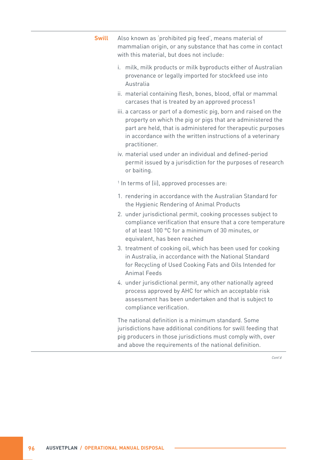| <b>Swill</b> | Also known as 'prohibited pig feed', means material of<br>mammalian origin, or any substance that has come in contact<br>with this material, but does not include:                                                                                                              |
|--------------|---------------------------------------------------------------------------------------------------------------------------------------------------------------------------------------------------------------------------------------------------------------------------------|
|              | i. milk, milk products or milk byproducts either of Australian<br>provenance or legally imported for stockfeed use into<br>Australia                                                                                                                                            |
|              | ii. material containing flesh, bones, blood, offal or mammal<br>carcases that is treated by an approved process1                                                                                                                                                                |
|              | iii. a carcass or part of a domestic pig, born and raised on the<br>property on which the pig or pigs that are administered the<br>part are held, that is administered for therapeutic purposes<br>in accordance with the written instructions of a veterinary<br>practitioner. |
|              | iv. material used under an individual and defined-period<br>permit issued by a jurisdiction for the purposes of research<br>or baiting.                                                                                                                                         |
|              | <sup>1</sup> In terms of (ii), approved processes are:                                                                                                                                                                                                                          |
|              | 1. rendering in accordance with the Australian Standard for<br>the Hygienic Rendering of Animal Products                                                                                                                                                                        |
|              | 2. under jurisdictional permit, cooking processes subject to<br>compliance verification that ensure that a core temperature<br>of at least 100 °C for a minimum of 30 minutes, or<br>equivalent, has been reached                                                               |
|              | 3. treatment of cooking oil, which has been used for cooking<br>in Australia, in accordance with the National Standard<br>for Recycling of Used Cooking Fats and Oils Intended for<br><b>Animal Feeds</b>                                                                       |
|              | 4. under jurisdictional permit, any other nationally agreed<br>process approved by AHC for which an acceptable risk<br>assessment has been undertaken and that is subject to<br>compliance verification.                                                                        |
|              | The national definition is a minimum standard. Some<br>jurisdictions have additional conditions for swill feeding that<br>pig producers in those jurisdictions must comply with, over<br>and above the requirements of the national definition.                                 |
|              | Cont'd                                                                                                                                                                                                                                                                          |
|              |                                                                                                                                                                                                                                                                                 |

 $\sim$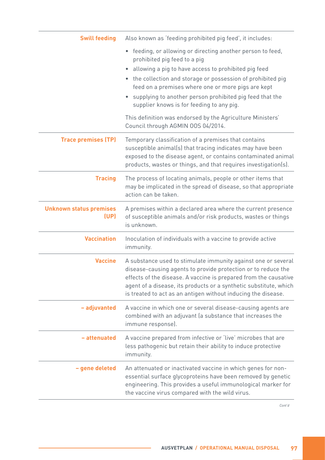| <b>Swill feeding</b>                   | Also known as 'feeding prohibited pig feed', it includes:                                                                                                                                                                                                                                                                                                                                       |
|----------------------------------------|-------------------------------------------------------------------------------------------------------------------------------------------------------------------------------------------------------------------------------------------------------------------------------------------------------------------------------------------------------------------------------------------------|
|                                        | • feeding, or allowing or directing another person to feed,<br>prohibited pig feed to a pig<br>allowing a pig to have access to prohibited pig feed<br>$\bullet$<br>• the collection and storage or possession of prohibited pig<br>feed on a premises where one or more pigs are kept<br>supplying to another person prohibited pig feed that the<br>supplier knows is for feeding to any pig. |
|                                        | This definition was endorsed by the Agriculture Ministers'<br>Council through AGMIN 00S 04/2014.                                                                                                                                                                                                                                                                                                |
| <b>Trace premises (TP)</b>             | Temporary classification of a premises that contains<br>susceptible animal(s) that tracing indicates may have been<br>exposed to the disease agent, or contains contaminated animal<br>products, wastes or things, and that requires investigation(s).                                                                                                                                          |
| <b>Tracing</b>                         | The process of locating animals, people or other items that<br>may be implicated in the spread of disease, so that appropriate<br>action can be taken.                                                                                                                                                                                                                                          |
| <b>Unknown status premises</b><br>(UP) | A premises within a declared area where the current presence<br>of susceptible animals and/or risk products, wastes or things<br>is unknown.                                                                                                                                                                                                                                                    |
| <b>Vaccination</b>                     | Inoculation of individuals with a vaccine to provide active<br>immunity.                                                                                                                                                                                                                                                                                                                        |
| <b>Vaccine</b>                         | A substance used to stimulate immunity against one or several<br>disease-causing agents to provide protection or to reduce the<br>effects of the disease. A vaccine is prepared from the causative<br>agent of a disease, its products or a synthetic substitute, which<br>is treated to act as an antigen without inducing the disease.                                                        |
| - adjuvanted                           | A vaccine in which one or several disease-causing agents are<br>combined with an adjuvant (a substance that increases the<br>immune response).                                                                                                                                                                                                                                                  |
| - attenuated                           | A vaccine prepared from infective or 'live' microbes that are<br>less pathogenic but retain their ability to induce protective<br>immunity.                                                                                                                                                                                                                                                     |
| - gene deleted                         | An attenuated or inactivated vaccine in which genes for non-<br>essential surface glycoproteins have been removed by genetic<br>engineering. This provides a useful immunological marker for<br>the vaccine virus compared with the wild virus.                                                                                                                                                 |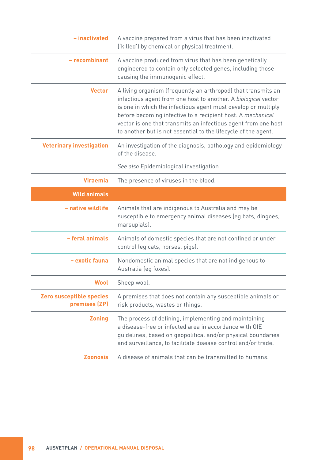| - inactivated                             | A vaccine prepared from a virus that has been inactivated<br>('killed') by chemical or physical treatment.                                                                                                                                                                                                                                                                                          |
|-------------------------------------------|-----------------------------------------------------------------------------------------------------------------------------------------------------------------------------------------------------------------------------------------------------------------------------------------------------------------------------------------------------------------------------------------------------|
| - recombinant                             | A vaccine produced from virus that has been genetically<br>engineered to contain only selected genes, including those<br>causing the immunogenic effect.                                                                                                                                                                                                                                            |
| <b>Vector</b>                             | A living organism (frequently an arthropod) that transmits an<br>infectious agent from one host to another. A biological vector<br>is one in which the infectious agent must develop or multiply<br>before becoming infective to a recipient host. A mechanical<br>vector is one that transmits an infectious agent from one host<br>to another but is not essential to the lifecycle of the agent. |
| <b>Veterinary investigation</b>           | An investigation of the diagnosis, pathology and epidemiology<br>of the disease.                                                                                                                                                                                                                                                                                                                    |
|                                           | See also Epidemiological investigation                                                                                                                                                                                                                                                                                                                                                              |
| <b>Viraemia</b>                           | The presence of viruses in the blood.                                                                                                                                                                                                                                                                                                                                                               |
| <b>Wild animals</b>                       |                                                                                                                                                                                                                                                                                                                                                                                                     |
| - native wildlife                         | Animals that are indigenous to Australia and may be<br>susceptible to emergency animal diseases (eg bats, dingoes,<br>marsupials).                                                                                                                                                                                                                                                                  |
| - feral animals                           | Animals of domestic species that are not confined or under<br>control (eg cats, horses, pigs).                                                                                                                                                                                                                                                                                                      |
| - exotic fauna                            | Nondomestic animal species that are not indigenous to<br>Australia (eg foxes).                                                                                                                                                                                                                                                                                                                      |
| <b>Wool</b>                               | Sheep wool.                                                                                                                                                                                                                                                                                                                                                                                         |
| Zero susceptible species<br>premises (ZP) | A premises that does not contain any susceptible animals or<br>risk products, wastes or things.                                                                                                                                                                                                                                                                                                     |
| <b>Zoning</b>                             | The process of defining, implementing and maintaining<br>a disease-free or infected area in accordance with OIE<br>guidelines, based on geopolitical and/or physical boundaries<br>and surveillance, to facilitate disease control and/or trade.                                                                                                                                                    |
| <b>Zoonosis</b>                           | A disease of animals that can be transmitted to humans.                                                                                                                                                                                                                                                                                                                                             |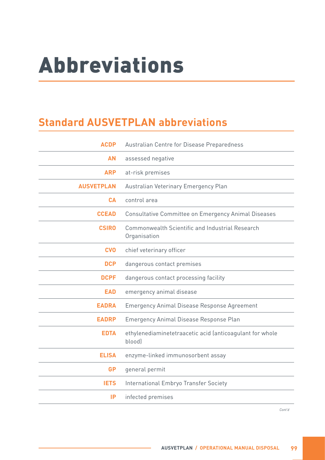## Abbreviations

### **Standard AUSVETPLAN abbreviations**

| <b>ACDP</b>       | Australian Centre for Disease Preparedness                         |
|-------------------|--------------------------------------------------------------------|
| <b>AN</b>         | assessed negative                                                  |
| <b>ARP</b>        | at-risk premises                                                   |
| <b>AUSVETPLAN</b> | Australian Veterinary Emergency Plan                               |
| <b>CA</b>         | control area                                                       |
| <b>CCEAD</b>      | Consultative Committee on Emergency Animal Diseases                |
| <b>CSIRO</b>      | Commonwealth Scientific and Industrial Research<br>Organisation    |
| <b>CVO</b>        | chief veterinary officer                                           |
| <b>DCP</b>        | dangerous contact premises                                         |
| <b>DCPF</b>       | dangerous contact processing facility                              |
| <b>EAD</b>        | emergency animal disease                                           |
| <b>EADRA</b>      | <b>Emergency Animal Disease Response Agreement</b>                 |
| <b>EADRP</b>      | Emergency Animal Disease Response Plan                             |
| <b>EDTA</b>       | ethylenediaminetetraacetic acid (anticoagulant for whole<br>bloodl |
| <b>ELISA</b>      | enzyme-linked immunosorbent assay                                  |
| <b>GP</b>         | general permit                                                     |
| <b>IETS</b>       | International Embryo Transfer Society                              |
| IP                | infected premises                                                  |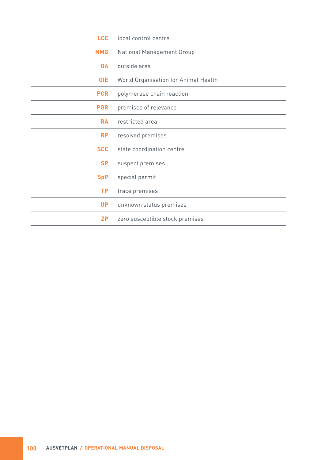| <b>LCC</b> | local control centre                 |
|------------|--------------------------------------|
| <b>NMG</b> | National Management Group            |
| <b>OA</b>  | outside area                         |
| <b>OIE</b> | World Organisation for Animal Health |
| <b>PCR</b> | polymerase chain reaction            |
| <b>POR</b> | premises of relevance                |
| <b>RA</b>  | restricted area                      |
| <b>RP</b>  | resolved premises                    |
| <b>SCC</b> | state coordination centre            |
| <b>SP</b>  | suspect premises                     |
| <b>SpP</b> | special permit                       |
| <b>TP</b>  | trace premises                       |
| <b>UP</b>  | unknown status premises              |
| <b>ZP</b>  | zero susceptible stock premises      |

 $\sim$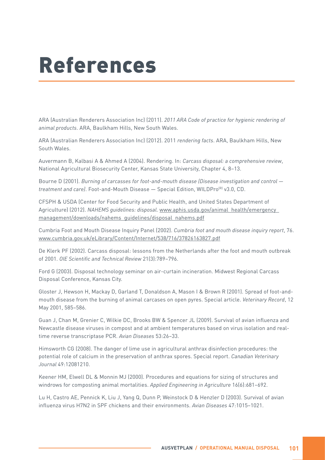## References

ARA (Australian Renderers Association Inc) (2011). *2011 ARA Code of practice for hygienic rendering of animal products*. ARA, Baulkham Hills, New South Wales.

ARA (Australian Renderers Association Inc) (2012). 2011 *rendering facts*. ARA, Baulkham Hills, New South Wales.

Auvermann B, Kalbasi A & Ahmed A (2004). Rendering. In: *Carcass disposal: a comprehensive review*, National Agricultural Biosecurity Center, Kansas State University, Chapter 4, 8–13.

Bourne D (2001). *Burning of carcasses for foot-and-mouth disease (Disease investigation and control treatment and care)*. Foot-and-Mouth Disease — Special Edition, WILDPro(R) v3.0, CD.

CFSPH & USDA (Center for Food Security and Public Health, and United States Department of Agriculture) (2012). *NAHEMS guidelines: disposal*. [www.aphis.usda.gov/animal\\_health/emergency\\_](http://www.aphis.usda.gov/animal_health/emergency_management/downloads/nahems_guidelines/disposal_nahems.pdf) [management/downloads/nahems\\_guidelines/disposal\\_nahems.pdf](http://www.aphis.usda.gov/animal_health/emergency_management/downloads/nahems_guidelines/disposal_nahems.pdf)

Cumbria Foot and Mouth Disease Inquiry Panel (2002). *Cumbria foot and mouth disease inquiry report*, 76. [www.cumbria.gov.uk/eLibrary/Content/Internet/538/716/37826163827.pdf](http://www.cumbria.gov.uk/eLibrary/Content/Internet/538/716/37826163827.pdf)

De Klerk PF (2002). Carcass disposal: lessons from the Netherlands after the foot and mouth outbreak of 2001. OIE Scientific and Technical Review 21(3):789–796.

Ford G (2003). Disposal technology seminar on air-curtain incineration. Midwest Regional Carcass Disposal Conference, Kansas City.

Gloster J, Hewson H, Mackay D, Garland T, Donaldson A, Mason I & Brown R (2001). Spread of foot-andmouth disease from the burning of animal carcases on open pyres. Special article. *Veterinary Record*, 12 May 2001, 585–586.

Guan J, Chan M, Grenier C, Wilkie DC, Brooks BW & Spencer JL (2009). Survival of avian influenza and Newcastle disease viruses in compost and at ambient temperatures based on virus isolation and realtime reverse transcriptase PCR. *Avian Diseases* 53:26–33.

Himsworth CG (2008). The danger of lime use in agricultural anthrax disinfection procedures: the potential role of calcium in the preservation of anthrax spores. Special report. *Canadian Veterinary Journal* 49:12081210.

Keener HM, Elwell DL & Monnin MJ (2000). Procedures and equations for sizing of structures and windrows for composting animal mortalities. *Applied Engineering in Agriculture* 16(6):681–692.

Lu H, Castro AE, Pennick K, Liu J, Yang Q, Dunn P, Weinstock D & Henzler D (2003). Survival of avian influenza virus H7N2 in SPF chickens and their environments. *Avian Diseases* 47:1015–1021.